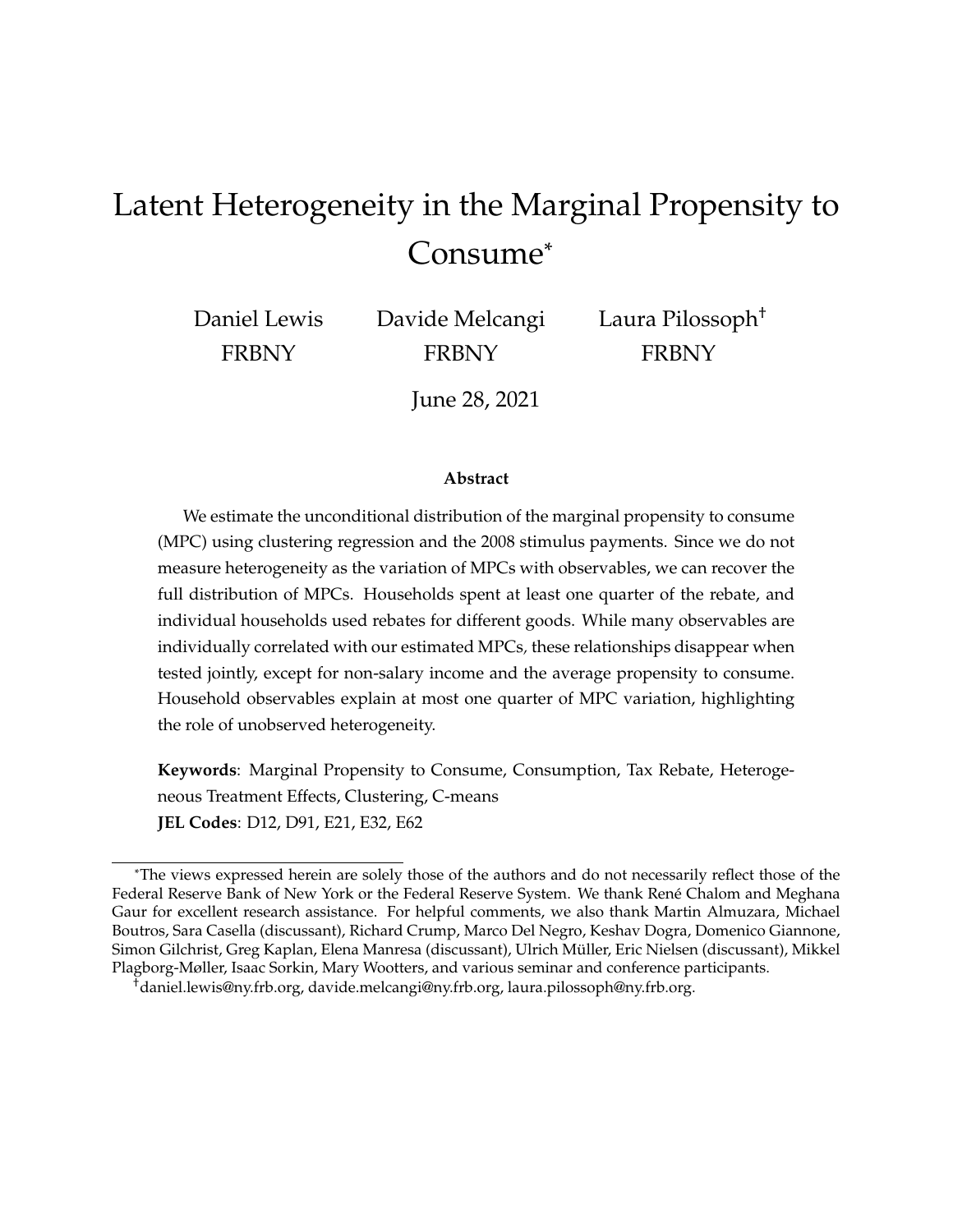# Latent Heterogeneity in the Marginal Propensity to Consume\*

Daniel Lewis FRBNY

Davide Melcangi FRBNY

Laura Pilossoph† FRBNY

June 28, 2021

#### **Abstract**

We estimate the unconditional distribution of the marginal propensity to consume (MPC) using clustering regression and the 2008 stimulus payments. Since we do not measure heterogeneity as the variation of MPCs with observables, we can recover the full distribution of MPCs. Households spent at least one quarter of the rebate, and individual households used rebates for different goods. While many observables are individually correlated with our estimated MPCs*,* these relationships disappear when tested jointly, except for non-salary income and the average propensity to consume. Household observables explain at most one quarter of MPC variation, highlighting the role of unobserved heterogeneity.

**Keywords**: Marginal Propensity to Consume, Consumption, Tax Rebate, Heterogeneous Treatment Effects, Clustering, C-means **JEL Codes**: D12, D91, E21, E32, E62

<sup>\*</sup>The views expressed herein are solely those of the authors and do not necessarily reflect those of the Federal Reserve Bank of New York or the Federal Reserve System. We thank René Chalom and Meghana Gaur for excellent research assistance. For helpful comments, we also thank Martin Almuzara, Michael Boutros, Sara Casella (discussant), Richard Crump, Marco Del Negro, Keshav Dogra, Domenico Giannone, Simon Gilchrist, Greg Kaplan, Elena Manresa (discussant), Ulrich Müller, Eric Nielsen (discussant), Mikkel Plagborg-Møller, Isaac Sorkin, Mary Wootters, and various seminar and conference participants.

<sup>†</sup>daniel.lewis@ny.frb.org, davide.melcangi@ny.frb.org, laura.pilossoph@ny.frb.org.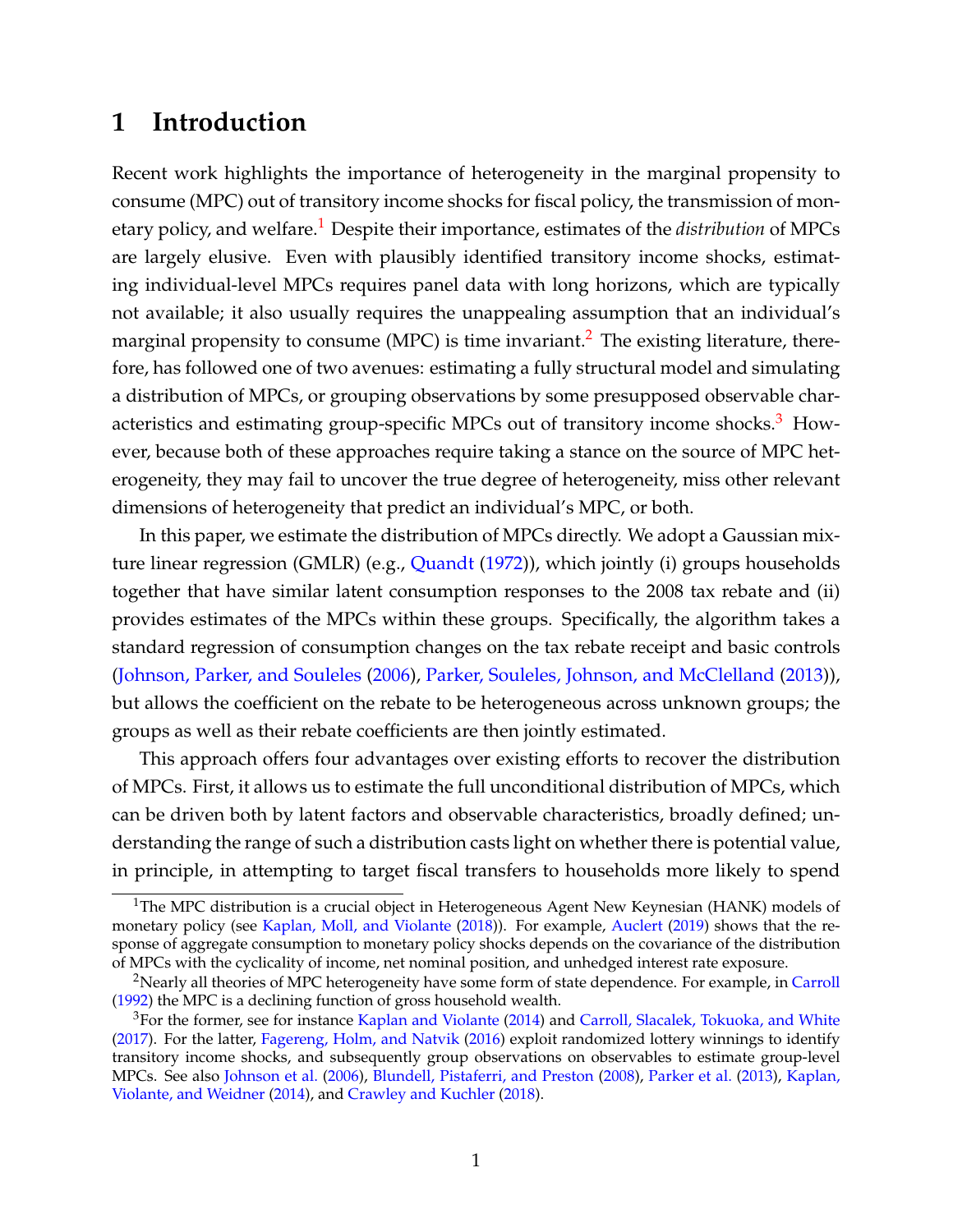# <span id="page-1-3"></span>**1 Introduction**

Recent work highlights the importance of heterogeneity in the marginal propensity to consume (MPC) out of transitory income shocks for fiscal policy, the transmission of monetary policy, and welfare.[1](#page-1-0) Despite their importance, estimates of the *distribution* of MPCs are largely elusive. Even with plausibly identified transitory income shocks, estimating individual-level MPCs requires panel data with long horizons, which are typically not available; it also usually requires the unappealing assumption that an individual's marginal propensity to consume (MPC) is time invariant.<sup>[2](#page-1-1)</sup> The existing literature, therefore, has followed one of two avenues: estimating a fully structural model and simulating a distribution of MPCs, or grouping observations by some presupposed observable char-acteristics and estimating group-specific MPCs out of transitory income shocks.<sup>[3](#page-1-2)</sup> However, because both of these approaches require taking a stance on the source of MPC heterogeneity, they may fail to uncover the true degree of heterogeneity, miss other relevant dimensions of heterogeneity that predict an individual's MPC, or both.

In this paper, we estimate the distribution of MPCs directly. We adopt a Gaussian mix-ture linear regression (GMLR) (e.g., [Quandt](#page--1-0) [\(1972\)](#page--1-0)), which jointly (i) groups households together that have similar latent consumption responses to the 2008 tax rebate and (ii) provides estimates of the MPCs within these groups. Specifically, the algorithm takes a standard regression of consumption changes on the tax rebate receipt and basic controls [\(Johnson, Parker, and Souleles](#page--1-1) [\(2006\)](#page--1-1), [Parker, Souleles, Johnson, and McClelland](#page--1-2) [\(2013\)](#page--1-2)), but allows the coefficient on the rebate to be heterogeneous across unknown groups; the groups as well as their rebate coefficients are then jointly estimated.

This approach offers four advantages over existing efforts to recover the distribution of MPCs. First, it allows us to estimate the full unconditional distribution of MPCs, which can be driven both by latent factors and observable characteristics, broadly defined; understanding the range of such a distribution casts light on whether there is potential value, in principle, in attempting to target fiscal transfers to households more likely to spend

<span id="page-1-0"></span><sup>&</sup>lt;sup>1</sup>The MPC distribution is a crucial object in Heterogeneous Agent New Keynesian (HANK) models of monetary policy (see [Kaplan, Moll, and Violante](#page--1-3) [\(2018\)](#page--1-3)). For example, [Auclert](#page--1-4) [\(2019\)](#page--1-4) shows that the response of aggregate consumption to monetary policy shocks depends on the covariance of the distribution of MPCs with the cyclicality of income, net nominal position, and unhedged interest rate exposure.

<span id="page-1-1"></span><sup>&</sup>lt;sup>2</sup>Nearly all theories of MPC heterogeneity have some form of state dependence. For example, in [Carroll](#page--1-5) [\(1992\)](#page--1-5) the MPC is a declining function of gross household wealth.

<span id="page-1-2"></span><sup>&</sup>lt;sup>3</sup>For the former, see for instance [Kaplan and Violante](#page--1-6) [\(2014\)](#page--1-6) and [Carroll, Slacalek, Tokuoka, and White](#page--1-7) [\(2017\)](#page--1-7). For the latter, [Fagereng, Holm, and Natvik](#page--1-8) [\(2016\)](#page--1-8) exploit randomized lottery winnings to identify transitory income shocks, and subsequently group observations on observables to estimate group-level MPCs. See also [Johnson et al.](#page--1-1) [\(2006\)](#page--1-1), [Blundell, Pistaferri, and Preston](#page--1-9) [\(2008\)](#page--1-9), [Parker et al.](#page--1-2) [\(2013\)](#page--1-2), [Kaplan,](#page--1-10) [Violante, and Weidner](#page--1-10) [\(2014\)](#page--1-10), and [Crawley and Kuchler](#page--1-11) [\(2018\)](#page--1-11).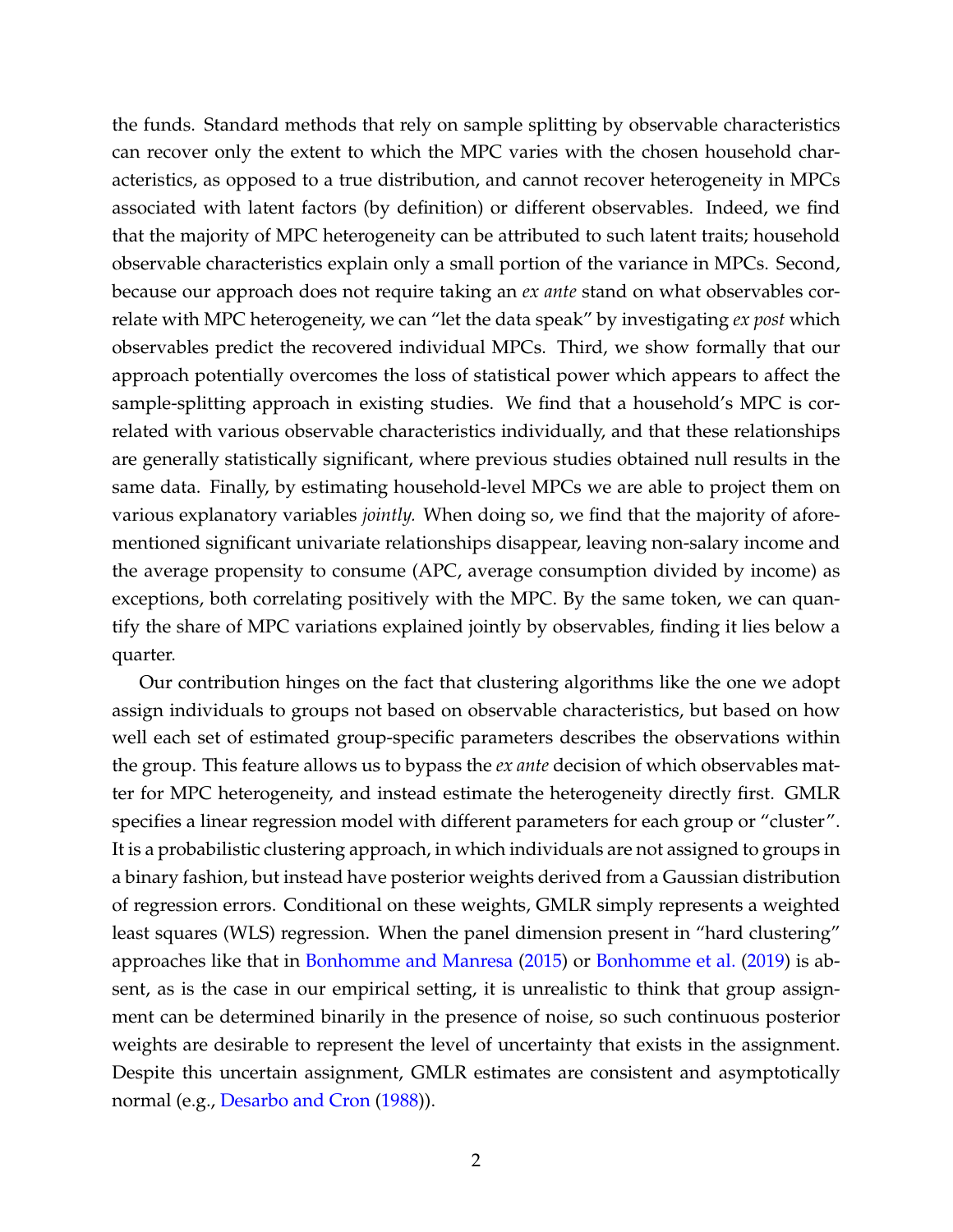the funds. Standard methods that rely on sample splitting by observable characteristics can recover only the extent to which the MPC varies with the chosen household characteristics, as opposed to a true distribution, and cannot recover heterogeneity in MPCs associated with latent factors (by definition) or different observables. Indeed, we find that the majority of MPC heterogeneity can be attributed to such latent traits; household observable characteristics explain only a small portion of the variance in MPCs. Second, because our approach does not require taking an *ex ante* stand on what observables correlate with MPC heterogeneity, we can "let the data speak" by investigating *ex post* which observables predict the recovered individual MPCs. Third, we show formally that our approach potentially overcomes the loss of statistical power which appears to affect the sample-splitting approach in existing studies. We find that a household's MPC is correlated with various observable characteristics individually, and that these relationships are generally statistically significant, where previous studies obtained null results in the same data. Finally, by estimating household-level MPCs we are able to project them on various explanatory variables *jointly.* When doing so, we find that the majority of aforementioned significant univariate relationships disappear, leaving non-salary income and the average propensity to consume (APC, average consumption divided by income) as exceptions, both correlating positively with the MPC. By the same token, we can quantify the share of MPC variations explained jointly by observables, finding it lies below a quarter.

Our contribution hinges on the fact that clustering algorithms like the one we adopt assign individuals to groups not based on observable characteristics, but based on how well each set of estimated group-specific parameters describes the observations within the group. This feature allows us to bypass the *ex ante* decision of which observables matter for MPC heterogeneity, and instead estimate the heterogeneity directly first. GMLR specifies a linear regression model with different parameters for each group or "cluster". It is a probabilistic clustering approach, in which individuals are not assigned to groups in a binary fashion, but instead have posterior weights derived from a Gaussian distribution of regression errors. Conditional on these weights, GMLR simply represents a weighted least squares (WLS) regression. When the panel dimension present in "hard clustering" approaches like that in [Bonhomme and Manresa](#page--1-12) [\(2015\)](#page--1-12) or [Bonhomme et al.](#page--1-13) [\(2019\)](#page--1-13) is absent, as is the case in our empirical setting, it is unrealistic to think that group assignment can be determined binarily in the presence of noise, so such continuous posterior weights are desirable to represent the level of uncertainty that exists in the assignment. Despite this uncertain assignment, GMLR estimates are consistent and asymptotically normal (e.g., [Desarbo and Cron](#page--1-14) [\(1988\)](#page--1-14)).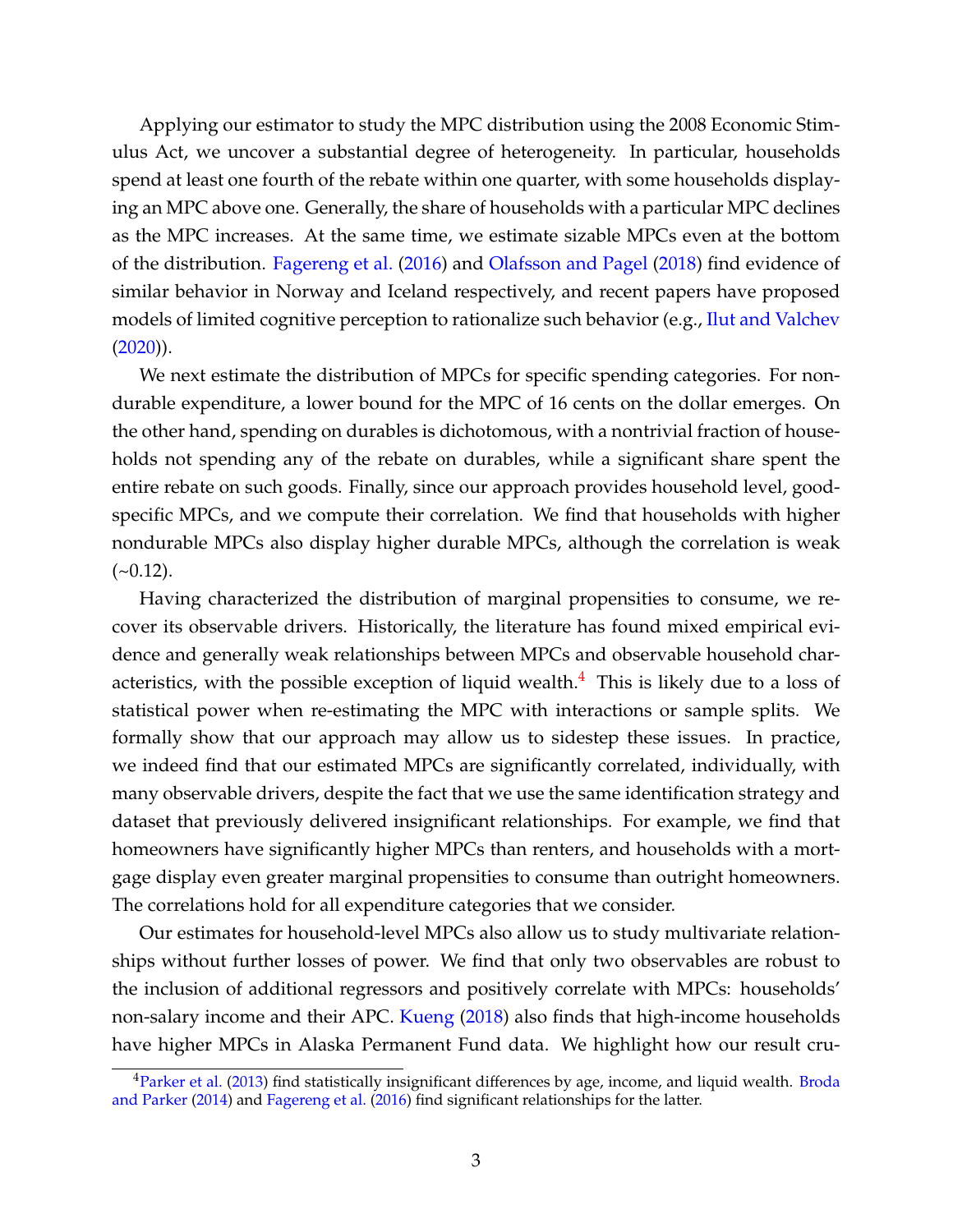Applying our estimator to study the MPC distribution using the 2008 Economic Stimulus Act, we uncover a substantial degree of heterogeneity. In particular, households spend at least one fourth of the rebate within one quarter, with some households displaying an MPC above one. Generally, the share of households with a particular MPC declines as the MPC increases. At the same time, we estimate sizable MPCs even at the bottom of the distribution. [Fagereng et al.](#page--1-8) [\(2016\)](#page--1-8) and [Olafsson and Pagel](#page--1-15) [\(2018\)](#page--1-15) find evidence of similar behavior in Norway and Iceland respectively, and recent papers have proposed models of limited cognitive perception to rationalize such behavior (e.g., [Ilut and Valchev](#page--1-16)  $(2020)$ ).

We next estimate the distribution of MPCs for specific spending categories. For nondurable expenditure, a lower bound for the MPC of 16 cents on the dollar emerges. On the other hand, spending on durables is dichotomous, with a nontrivial fraction of households not spending any of the rebate on durables, while a significant share spent the entire rebate on such goods. Finally, since our approach provides household level, goodspecific MPCs, and we compute their correlation. We find that households with higher nondurable MPCs also display higher durable MPCs, although the correlation is weak  $(-0.12)$ .

Having characterized the distribution of marginal propensities to consume, we recover its observable drivers. Historically, the literature has found mixed empirical evidence and generally weak relationships between MPCs and observable household characteristics, with the possible exception of liquid wealth. $4$  This is likely due to a loss of statistical power when re-estimating the MPC with interactions or sample splits. We formally show that our approach may allow us to sidestep these issues. In practice, we indeed find that our estimated MPCs are significantly correlated, individually, with many observable drivers, despite the fact that we use the same identification strategy and dataset that previously delivered insignificant relationships. For example, we find that homeowners have significantly higher MPCs than renters, and households with a mortgage display even greater marginal propensities to consume than outright homeowners. The correlations hold for all expenditure categories that we consider.

Our estimates for household-level MPCs also allow us to study multivariate relationships without further losses of power. We find that only two observables are robust to the inclusion of additional regressors and positively correlate with MPCs: households' non-salary income and their APC. [Kueng](#page--1-17) [\(2018\)](#page--1-17) also finds that high-income households have higher MPCs in Alaska Permanent Fund data. We highlight how our result cru-

<span id="page-3-0"></span><sup>&</sup>lt;sup>4</sup>[Parker et al.](#page--1-2) [\(2013\)](#page--1-2) find statistically insignificant differences by age, income, and liquid wealth. [Broda](#page--1-18) [and Parker](#page--1-18) [\(2014\)](#page--1-18) and [Fagereng et al.](#page--1-8) [\(2016\)](#page--1-8) find significant relationships for the latter.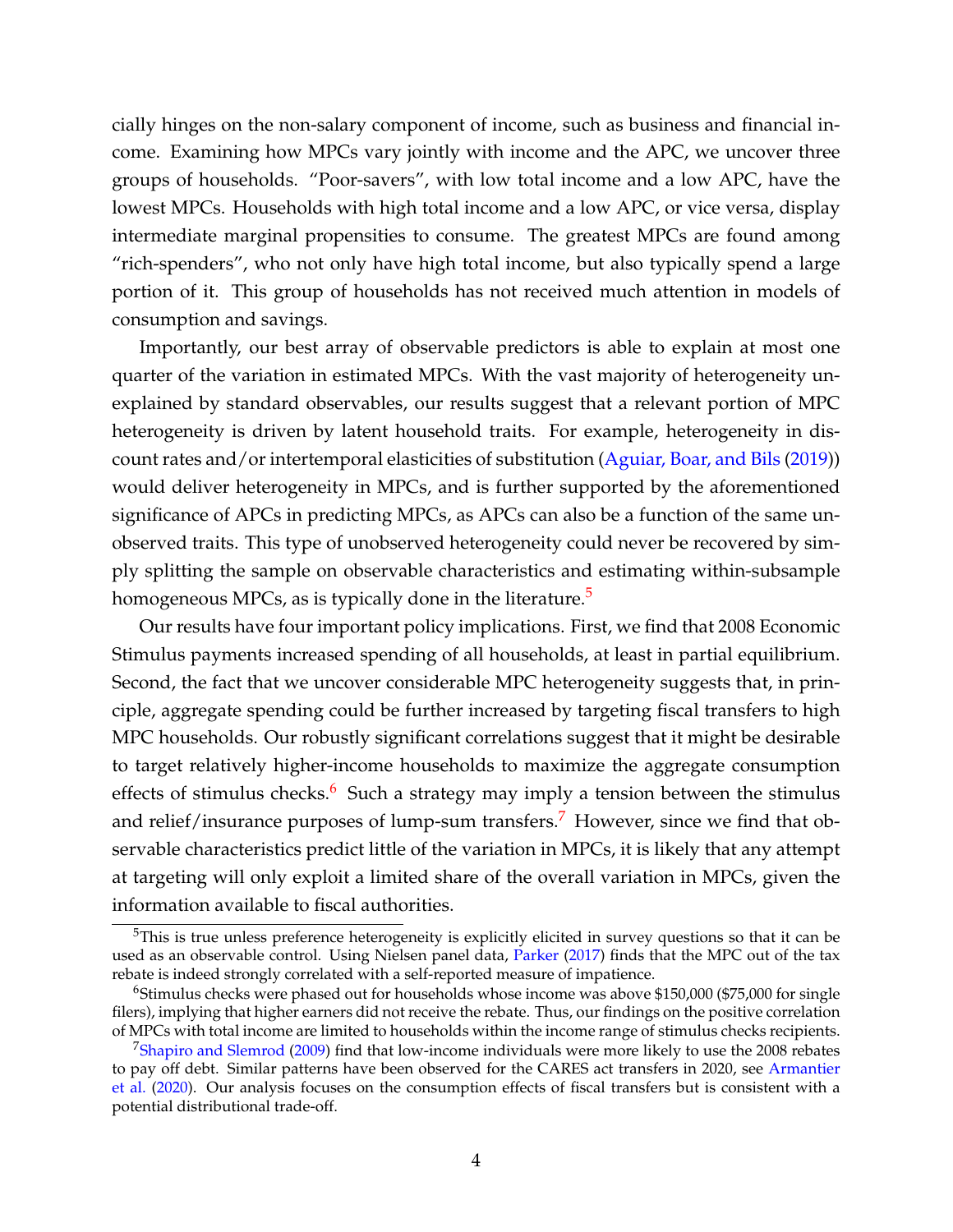cially hinges on the non-salary component of income, such as business and financial income. Examining how MPCs vary jointly with income and the APC, we uncover three groups of households. "Poor-savers", with low total income and a low APC, have the lowest MPCs. Households with high total income and a low APC, or vice versa, display intermediate marginal propensities to consume. The greatest MPCs are found among "rich-spenders", who not only have high total income, but also typically spend a large portion of it. This group of households has not received much attention in models of consumption and savings.

Importantly, our best array of observable predictors is able to explain at most one quarter of the variation in estimated MPCs. With the vast majority of heterogeneity unexplained by standard observables, our results suggest that a relevant portion of MPC heterogeneity is driven by latent household traits. For example, heterogeneity in discount rates and/or intertemporal elasticities of substitution [\(Aguiar, Boar, and Bils](#page--1-19) [\(2019\)](#page--1-19)) would deliver heterogeneity in MPCs, and is further supported by the aforementioned significance of APCs in predicting MPCs, as APCs can also be a function of the same unobserved traits. This type of unobserved heterogeneity could never be recovered by simply splitting the sample on observable characteristics and estimating within-subsample homogeneous MPCs, as is typically done in the literature.<sup>[5](#page-4-0)</sup>

Our results have four important policy implications. First, we find that 2008 Economic Stimulus payments increased spending of all households, at least in partial equilibrium. Second, the fact that we uncover considerable MPC heterogeneity suggests that, in principle, aggregate spending could be further increased by targeting fiscal transfers to high MPC households. Our robustly significant correlations suggest that it might be desirable to target relatively higher-income households to maximize the aggregate consumption effects of stimulus checks. $6$  Such a strategy may imply a tension between the stimulus and relief/insurance purposes of lump-sum transfers.<sup>[7](#page-4-2)</sup> However, since we find that observable characteristics predict little of the variation in MPCs, it is likely that any attempt at targeting will only exploit a limited share of the overall variation in MPCs, given the information available to fiscal authorities.

<span id="page-4-0"></span><sup>&</sup>lt;sup>5</sup>This is true unless preference heterogeneity is explicitly elicited in survey questions so that it can be used as an observable control. Using Nielsen panel data, [Parker](#page--1-20) [\(2017\)](#page--1-20) finds that the MPC out of the tax rebate is indeed strongly correlated with a self-reported measure of impatience.

<span id="page-4-1"></span><sup>&</sup>lt;sup>6</sup>Stimulus checks were phased out for households whose income was above \$150,000 (\$75,000 for single filers), implying that higher earners did not receive the rebate. Thus, our findings on the positive correlation of MPCs with total income are limited to households within the income range of stimulus checks recipients.

<span id="page-4-2"></span><sup>7</sup>[Shapiro and Slemrod](#page--1-21) [\(2009\)](#page--1-21) find that low-income individuals were more likely to use the 2008 rebates to pay off debt. Similar patterns have been observed for the CARES act transfers in 2020, see [Armantier](#page--1-22) [et al.](#page--1-22) [\(2020\)](#page--1-22). Our analysis focuses on the consumption effects of fiscal transfers but is consistent with a potential distributional trade-off.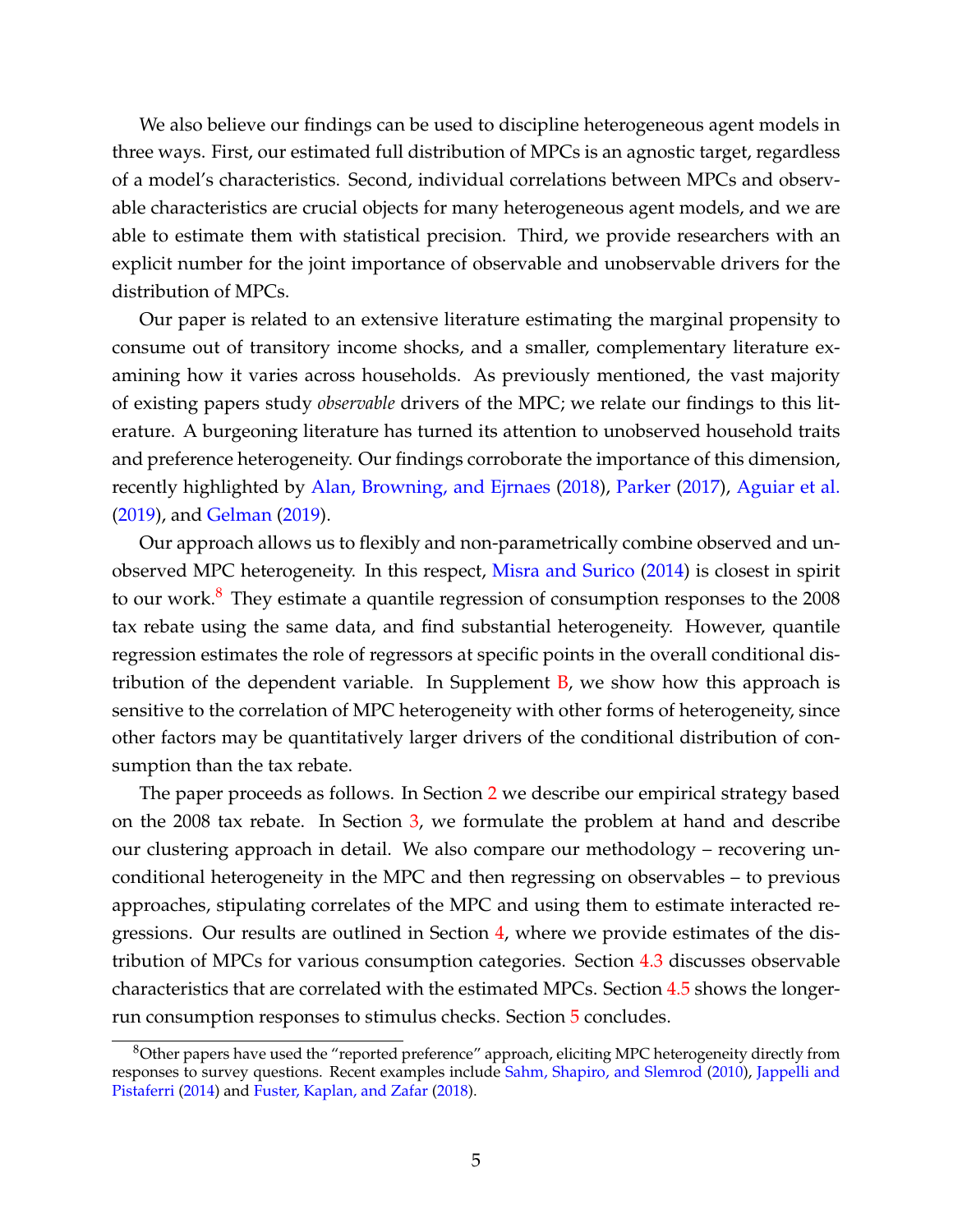We also believe our findings can be used to discipline heterogeneous agent models in three ways. First, our estimated full distribution of MPCs is an agnostic target, regardless of a model's characteristics. Second, individual correlations between MPCs and observable characteristics are crucial objects for many heterogeneous agent models, and we are able to estimate them with statistical precision. Third, we provide researchers with an explicit number for the joint importance of observable and unobservable drivers for the distribution of MPCs.

Our paper is related to an extensive literature estimating the marginal propensity to consume out of transitory income shocks, and a smaller, complementary literature examining how it varies across households. As previously mentioned, the vast majority of existing papers study *observable* drivers of the MPC; we relate our findings to this literature. A burgeoning literature has turned its attention to unobserved household traits and preference heterogeneity. Our findings corroborate the importance of this dimension, recently highlighted by [Alan, Browning, and Ejrnaes](#page--1-23) [\(2018\)](#page--1-23), [Parker](#page--1-20) [\(2017\)](#page--1-20), [Aguiar et al.](#page--1-19) [\(2019\)](#page--1-19), and [Gelman](#page--1-24) [\(2019\)](#page--1-24).

Our approach allows us to flexibly and non-parametrically combine observed and unobserved MPC heterogeneity. In this respect, [Misra and Surico](#page--1-25) [\(2014\)](#page--1-25) is closest in spirit to our work.<sup>[8](#page-5-0)</sup> They estimate a quantile regression of consumption responses to the 2008 tax rebate using the same data, and find substantial heterogeneity. However, quantile regression estimates the role of regressors at specific points in the overall conditional distribution of the dependent variable. In Supplement  $B$ , we show how this approach is sensitive to the correlation of MPC heterogeneity with other forms of heterogeneity, since other factors may be quantitatively larger drivers of the conditional distribution of consumption than the tax rebate.

The paper proceeds as follows. In Section [2](#page-6-0) we describe our empirical strategy based on the 2008 tax rebate. In Section [3,](#page-8-0) we formulate the problem at hand and describe our clustering approach in detail. We also compare our methodology – recovering unconditional heterogeneity in the MPC and then regressing on observables – to previous approaches, stipulating correlates of the MPC and using them to estimate interacted regressions. Our results are outlined in Section [4,](#page-13-0) where we provide estimates of the distribution of MPCs for various consumption categories. Section [4.3](#page-19-0) discusses observable characteristics that are correlated with the estimated MPCs. Section [4.5](#page-28-0) shows the longerrun consumption responses to stimulus checks. Section [5](#page-31-0) concludes.

<span id="page-5-0"></span><sup>&</sup>lt;sup>8</sup>Other papers have used the "reported preference" approach, eliciting MPC heterogeneity directly from responses to survey questions. Recent examples include [Sahm, Shapiro, and Slemrod](#page--1-27) [\(2010\)](#page--1-27), [Jappelli and](#page--1-28) [Pistaferri](#page--1-28) [\(2014\)](#page--1-28) and [Fuster, Kaplan, and Zafar](#page--1-29) [\(2018\)](#page--1-29).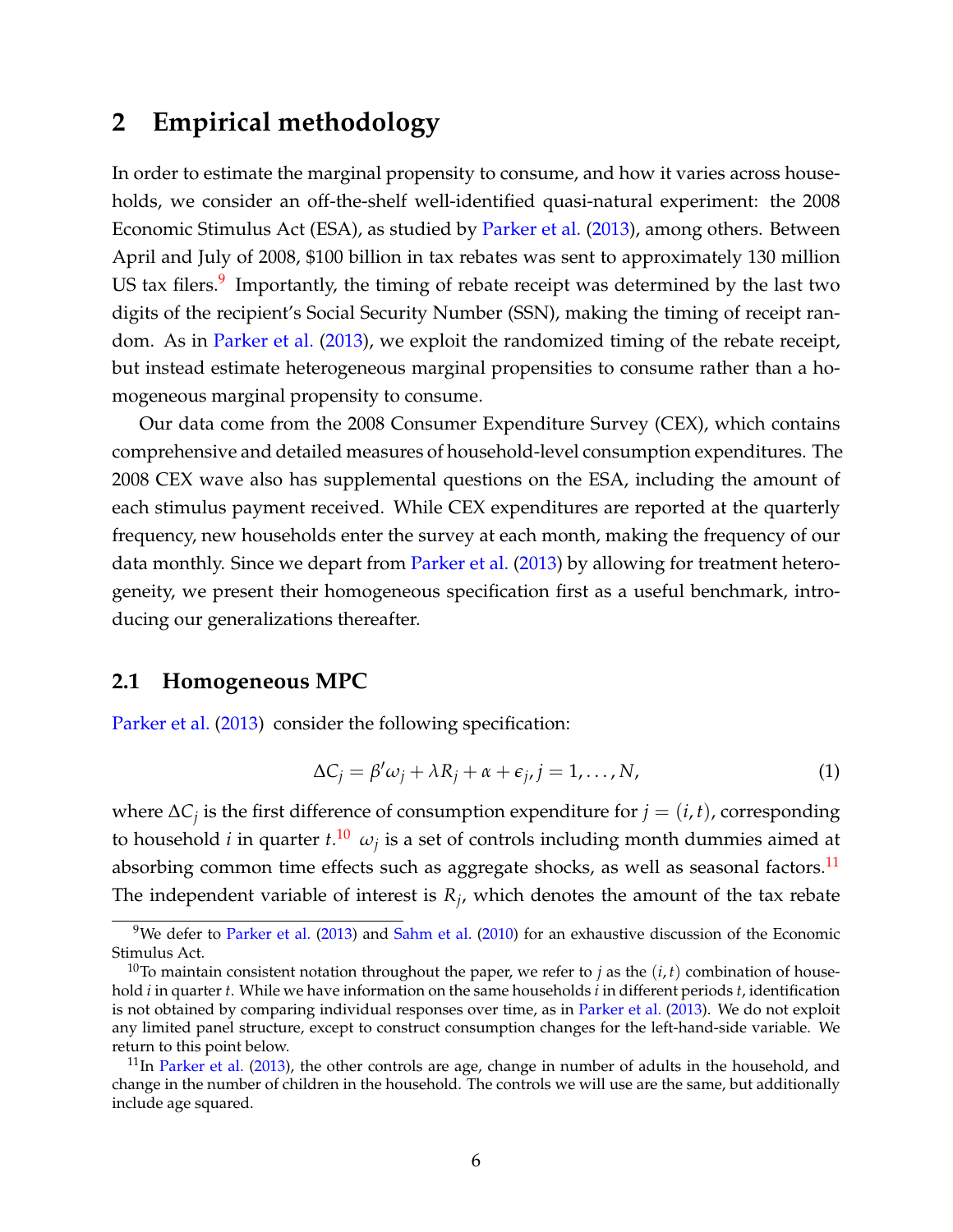### <span id="page-6-0"></span>**2 Empirical methodology**

In order to estimate the marginal propensity to consume, and how it varies across households, we consider an off-the-shelf well-identified quasi-natural experiment: the 2008 Economic Stimulus Act (ESA), as studied by [Parker et al.](#page--1-2) [\(2013\)](#page--1-2), among others. Between April and July of 2008, \$100 billion in tax rebates was sent to approximately 130 million US tax filers.<sup>[9](#page-6-1)</sup> Importantly, the timing of rebate receipt was determined by the last two digits of the recipient's Social Security Number (SSN), making the timing of receipt random. As in [Parker et al.](#page--1-2) [\(2013\)](#page--1-2), we exploit the randomized timing of the rebate receipt, but instead estimate heterogeneous marginal propensities to consume rather than a homogeneous marginal propensity to consume.

Our data come from the 2008 Consumer Expenditure Survey (CEX), which contains comprehensive and detailed measures of household-level consumption expenditures. The 2008 CEX wave also has supplemental questions on the ESA, including the amount of each stimulus payment received. While CEX expenditures are reported at the quarterly frequency, new households enter the survey at each month, making the frequency of our data monthly. Since we depart from [Parker et al.](#page--1-2) [\(2013\)](#page--1-2) by allowing for treatment heterogeneity, we present their homogeneous specification first as a useful benchmark, introducing our generalizations thereafter.

#### **2.1 Homogeneous MPC**

[Parker et al.](#page--1-2) [\(2013\)](#page--1-2) consider the following specification:

<span id="page-6-4"></span>
$$
\Delta C_j = \beta' \omega_j + \lambda R_j + \alpha + \epsilon_j, j = 1, ..., N,
$$
\n(1)

where ∆*C<sup>j</sup>* is the first difference of consumption expenditure for *j* = (*i*, *t*), corresponding to household *i* in quarter  $t.^{10}$  $t.^{10}$  $t.^{10}$   $\omega_j$  is a set of controls including month dummies aimed at absorbing common time effects such as aggregate shocks, as well as seasonal factors.<sup>[11](#page-6-3)</sup> The independent variable of interest is *R<sup>j</sup>* , which denotes the amount of the tax rebate

<span id="page-6-1"></span><sup>&</sup>lt;sup>9</sup>We defer to [Parker et al.](#page--1-2) [\(2013\)](#page--1-2) and [Sahm et al.](#page--1-27) [\(2010\)](#page--1-27) for an exhaustive discussion of the Economic Stimulus Act.

<span id="page-6-2"></span><sup>&</sup>lt;sup>10</sup>To maintain consistent notation throughout the paper, we refer to *j* as the  $(i, t)$  combination of household *i* in quarter *t*. While we have information on the same households *i* in different periods *t*, identification is not obtained by comparing individual responses over time, as in [Parker et al.](#page--1-2) [\(2013\)](#page--1-2). We do not exploit any limited panel structure, except to construct consumption changes for the left-hand-side variable. We return to this point below.

<span id="page-6-3"></span> $11$ In [Parker et al.](#page--1-2) [\(2013\)](#page--1-2), the other controls are age, change in number of adults in the household, and change in the number of children in the household. The controls we will use are the same, but additionally include age squared.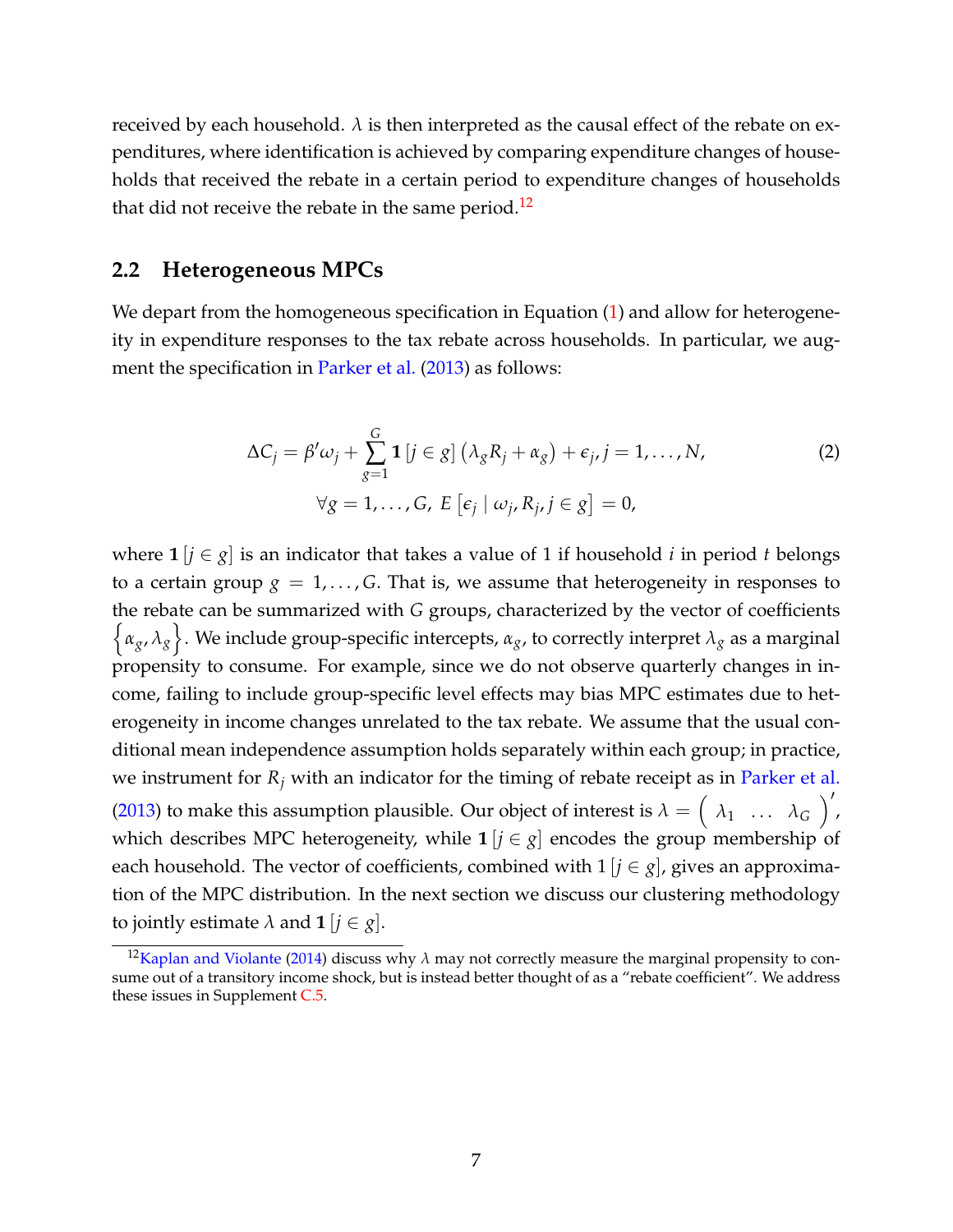received by each household.  $\lambda$  is then interpreted as the causal effect of the rebate on expenditures, where identification is achieved by comparing expenditure changes of households that received the rebate in a certain period to expenditure changes of households that did not receive the rebate in the same period.<sup>[12](#page-7-0)</sup>

### **2.2 Heterogeneous MPCs**

We depart from the homogeneous specification in Equation [\(1\)](#page-6-4) and allow for heterogeneity in expenditure responses to the tax rebate across households. In particular, we aug-ment the specification in [Parker et al.](#page--1-2) [\(2013\)](#page--1-2) as follows:

<span id="page-7-1"></span>
$$
\Delta C_j = \beta' \omega_j + \sum_{g=1}^G \mathbf{1}[j \in g] \left(\lambda_g R_j + \alpha_g\right) + \epsilon_j, j = 1, ..., N,
$$
  

$$
\forall g = 1, ..., G, E \left[\epsilon_j \mid \omega_j, R_j, j \in g\right] = 0,
$$
 (2)

where  $\mathbf{1}[j \in g]$  is an indicator that takes a value of 1 if household *i* in period *t* belongs to a certain group  $g = 1, \ldots, G$ . That is, we assume that heterogeneity in responses to the rebate can be summarized with *G* groups, characterized by the vector of coefficients  $\{\alpha_g, \lambda_g\}$ . We include group-specific intercepts,  $\alpha_g$ , to correctly interpret  $\lambda_g$  as a marginal propensity to consume. For example, since we do not observe quarterly changes in income, failing to include group-specific level effects may bias MPC estimates due to heterogeneity in income changes unrelated to the tax rebate. We assume that the usual conditional mean independence assumption holds separately within each group; in practice, we instrument for  $R_j$  with an indicator for the timing of rebate receipt as in [Parker et al.](#page--1-2) [\(2013\)](#page--1-2) to make this assumption plausible. Our object of interest is  $\lambda = \begin{pmatrix} \lambda_1 & \dots & \lambda_G \end{pmatrix}'$ , which describes MPC heterogeneity, while  $\mathbf{1}[i \in g]$  encodes the group membership of each household. The vector of coefficients, combined with  $1 | i \in g$ , gives an approximation of the MPC distribution. In the next section we discuss our clustering methodology to jointly estimate  $\lambda$  and **1** [ $j \in g$ ].

<span id="page-7-0"></span><sup>&</sup>lt;sup>12</sup>[Kaplan and Violante](#page--1-6) [\(2014\)](#page--1-6) discuss why  $\lambda$  may not correctly measure the marginal propensity to consume out of a transitory income shock, but is instead better thought of as a "rebate coefficient". We address these issues in Supplement [C.5.](#page--1-30)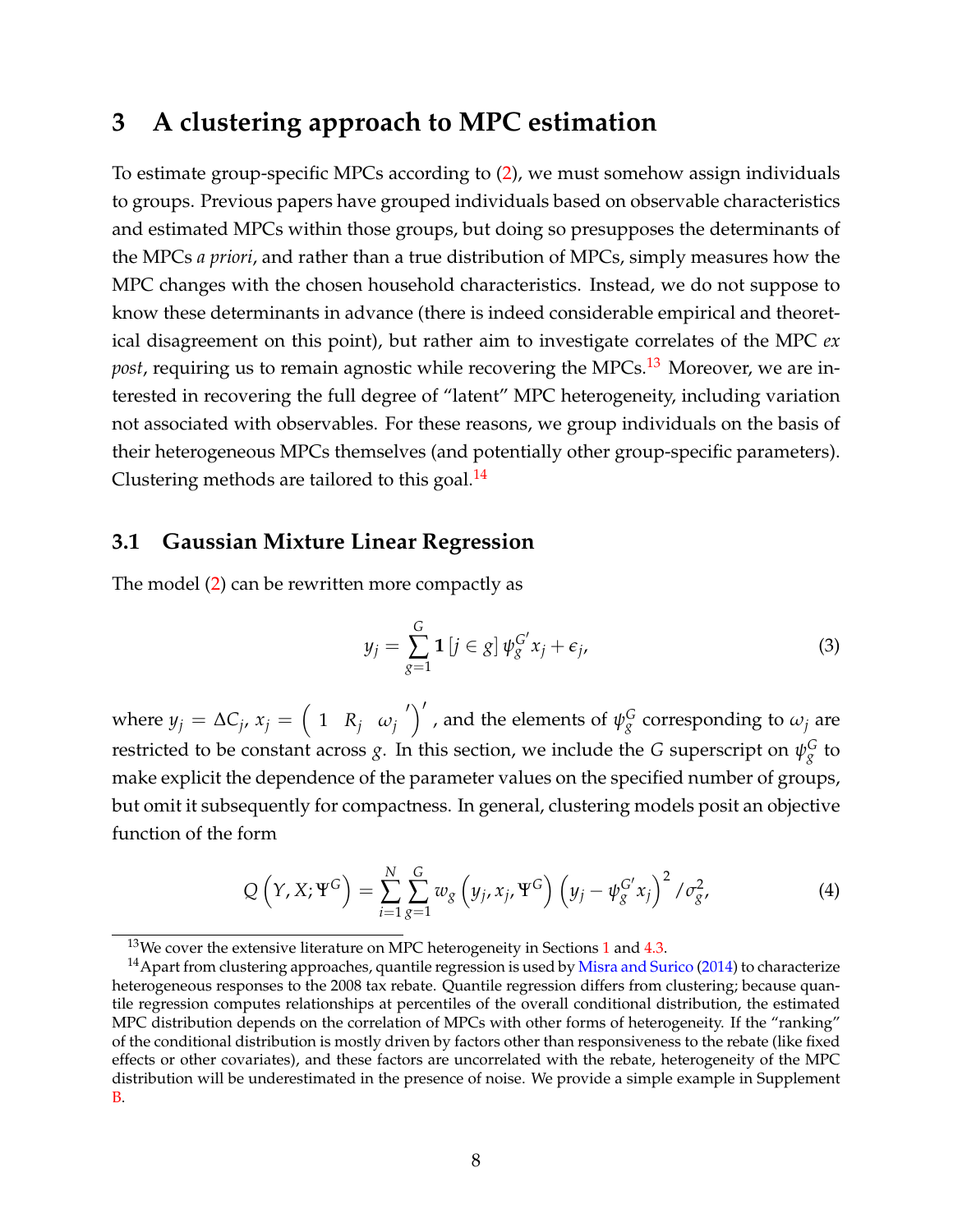# <span id="page-8-0"></span>**3 A clustering approach to MPC estimation**

To estimate group-specific MPCs according to [\(2\)](#page-7-1), we must somehow assign individuals to groups. Previous papers have grouped individuals based on observable characteristics and estimated MPCs within those groups, but doing so presupposes the determinants of the MPCs *a priori*, and rather than a true distribution of MPCs, simply measures how the MPC changes with the chosen household characteristics. Instead, we do not suppose to know these determinants in advance (there is indeed considerable empirical and theoretical disagreement on this point), but rather aim to investigate correlates of the MPC *ex* post, requiring us to remain agnostic while recovering the MPCs.<sup>[13](#page-8-1)</sup> Moreover, we are interested in recovering the full degree of "latent" MPC heterogeneity, including variation not associated with observables. For these reasons, we group individuals on the basis of their heterogeneous MPCs themselves (and potentially other group-specific parameters). Clustering methods are tailored to this goal. $^{14}$  $^{14}$  $^{14}$ 

### <span id="page-8-5"></span>**3.1 Gaussian Mixture Linear Regression**

The model [\(2\)](#page-7-1) can be rewritten more compactly as

<span id="page-8-4"></span>
$$
y_j = \sum_{g=1}^G \mathbf{1} \left[ j \in g \right] \psi_g^{G'} x_j + \epsilon_j,
$$
\n(3)

where  $y_j = \Delta C_j$ ,  $x_j = \left( \begin{array}{cc} 1 & R_j & \omega_j \end{array}' \right)'$ , and the elements of  $\psi_g^G$  corresponding to  $\omega_j$  are restricted to be constant across  $g$ . In this section, we include the  $G$  superscript on  $\psi_g^G$  to make explicit the dependence of the parameter values on the specified number of groups, but omit it subsequently for compactness. In general, clustering models posit an objective function of the form

<span id="page-8-3"></span>
$$
Q\left(Y, X; \Psi^G\right) = \sum_{i=1}^N \sum_{g=1}^G w_g \left(y_j, x_j, \Psi^G\right) \left(y_j - \psi_g^{G'} x_j\right)^2 / \sigma_g^2,
$$
\n(4)

<span id="page-8-2"></span><span id="page-8-1"></span> $13$  $13$ We cover the extensive literature on MPC heterogeneity in Sections 1 and [4.3.](#page-19-0)

 $14$  Apart from clustering approaches, quantile regression is used by [Misra and Surico](#page--1-25) [\(2014\)](#page--1-25) to characterize heterogeneous responses to the 2008 tax rebate. Quantile regression differs from clustering; because quantile regression computes relationships at percentiles of the overall conditional distribution, the estimated MPC distribution depends on the correlation of MPCs with other forms of heterogeneity. If the "ranking" of the conditional distribution is mostly driven by factors other than responsiveness to the rebate (like fixed effects or other covariates), and these factors are uncorrelated with the rebate, heterogeneity of the MPC distribution will be underestimated in the presence of noise. We provide a simple example in Supplement [B.](#page--1-26)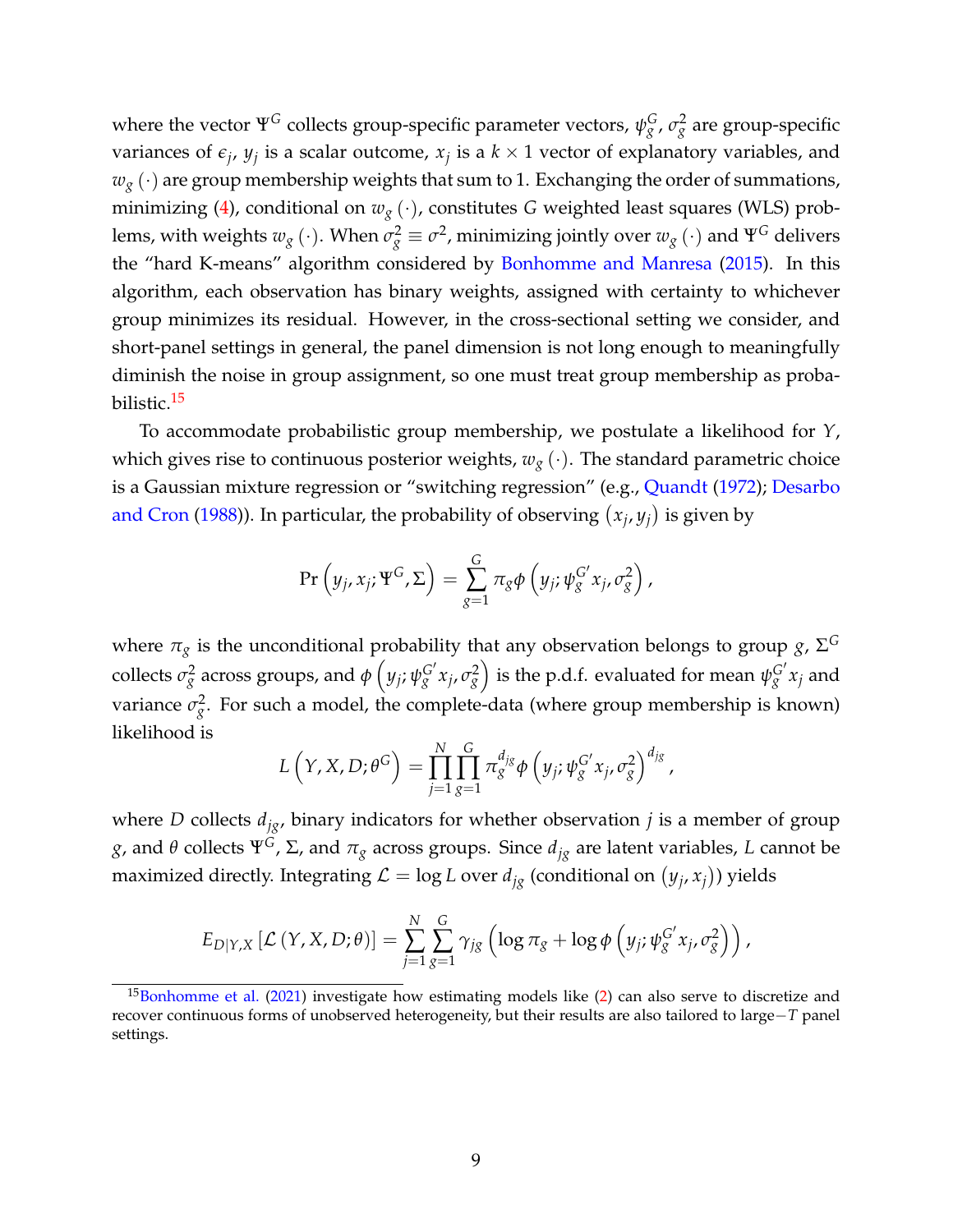where the vector  $\Psi^G$  collects group-specific parameter vectors,  $\psi^G_g$ ,  $\sigma^2_g$  are group-specific variances of  $\epsilon_j$ ,  $y_j$  is a scalar outcome,  $x_j$  is a  $k \times 1$  vector of explanatory variables, and  $w_g(\cdot)$  are group membership weights that sum to 1. Exchanging the order of summations, minimizing [\(4\)](#page-8-3), conditional on  $w_g(\cdot)$ , constitutes G weighted least squares (WLS) problems, with weights  $w_g\ (\cdot)$ . When  $\sigma_g^2 \equiv \sigma^2$ , minimizing jointly over  $w_g\ (\cdot)$  and  $\Psi^G$  delivers the "hard K-means" algorithm considered by [Bonhomme and Manresa](#page--1-12) [\(2015\)](#page--1-12). In this algorithm, each observation has binary weights, assigned with certainty to whichever group minimizes its residual. However, in the cross-sectional setting we consider, and short-panel settings in general, the panel dimension is not long enough to meaningfully diminish the noise in group assignment, so one must treat group membership as proba-bilistic.<sup>[15](#page-9-0)</sup>

To accommodate probabilistic group membership, we postulate a likelihood for *Y*, which gives rise to continuous posterior weights,  $w_g(\cdot)$ . The standard parametric choice is a Gaussian mixture regression or "switching regression" (e.g., [Quandt](#page--1-0) [\(1972\)](#page--1-0); [Desarbo](#page--1-14) [and Cron](#page--1-14) [\(1988\)](#page--1-14)). In particular, the probability of observing  $(x_j, y_j)$  is given by

$$
\Pr\left(y_j, x_j; \Psi^G, \Sigma\right) = \sum_{g=1}^G \pi_g \phi\left(y_j; \psi_g^{G'} x_j, \sigma_g^2\right),
$$

where  $\pi_g$  is the unconditional probability that any observation belongs to group  $g$ ,  $\Sigma^G$ collects  $\sigma^2_g$  across groups, and  $\phi\left(y_j;\psi^{G'}_g x_j,\sigma^2_g\right)$  is the p.d.f. evaluated for mean  $\psi^{G'}_g x_j$  and variance  $\sigma_{g}^2$ . For such a model, the complete-data (where group membership is known) likelihood is

$$
L(Y, X, D; \theta^G) = \prod_{j=1}^N \prod_{g=1}^G \pi_g^{d_{jg}} \phi \left( y_j; \psi_g^{G'} x_j, \sigma_g^2 \right)^{d_{jg}}
$$

,

where *D* collects  $d_{jg}$ , binary indicators for whether observation *j* is a member of group *g*, and *θ* collects  $\Psi$ <sup>*G*</sup>, Σ, and  $\pi$ <sup>*g*</sup> across groups. Since  $d$ <sub>*jg*</sub> are latent variables, *L* cannot be maximized directly. Integrating  $\mathcal{L} = \log L$  over  $d_{jg}$  (conditional on  $(y_j, x_j)$ ) yields

$$
E_{D|Y,X}\left[\mathcal{L}\left(Y,X,D;\theta\right)\right] = \sum_{j=1}^N \sum_{g=1}^G \gamma_{jg} \left(\log \pi_g + \log \phi\left(y_j; \psi_g^{G'} x_j, \sigma_g^2\right)\right),
$$

<span id="page-9-0"></span> $15$ [Bonhomme et al.](#page--1-31) [\(2021\)](#page--1-31) investigate how estimating models like [\(2\)](#page-7-1) can also serve to discretize and recover continuous forms of unobserved heterogeneity, but their results are also tailored to large−*T* panel settings.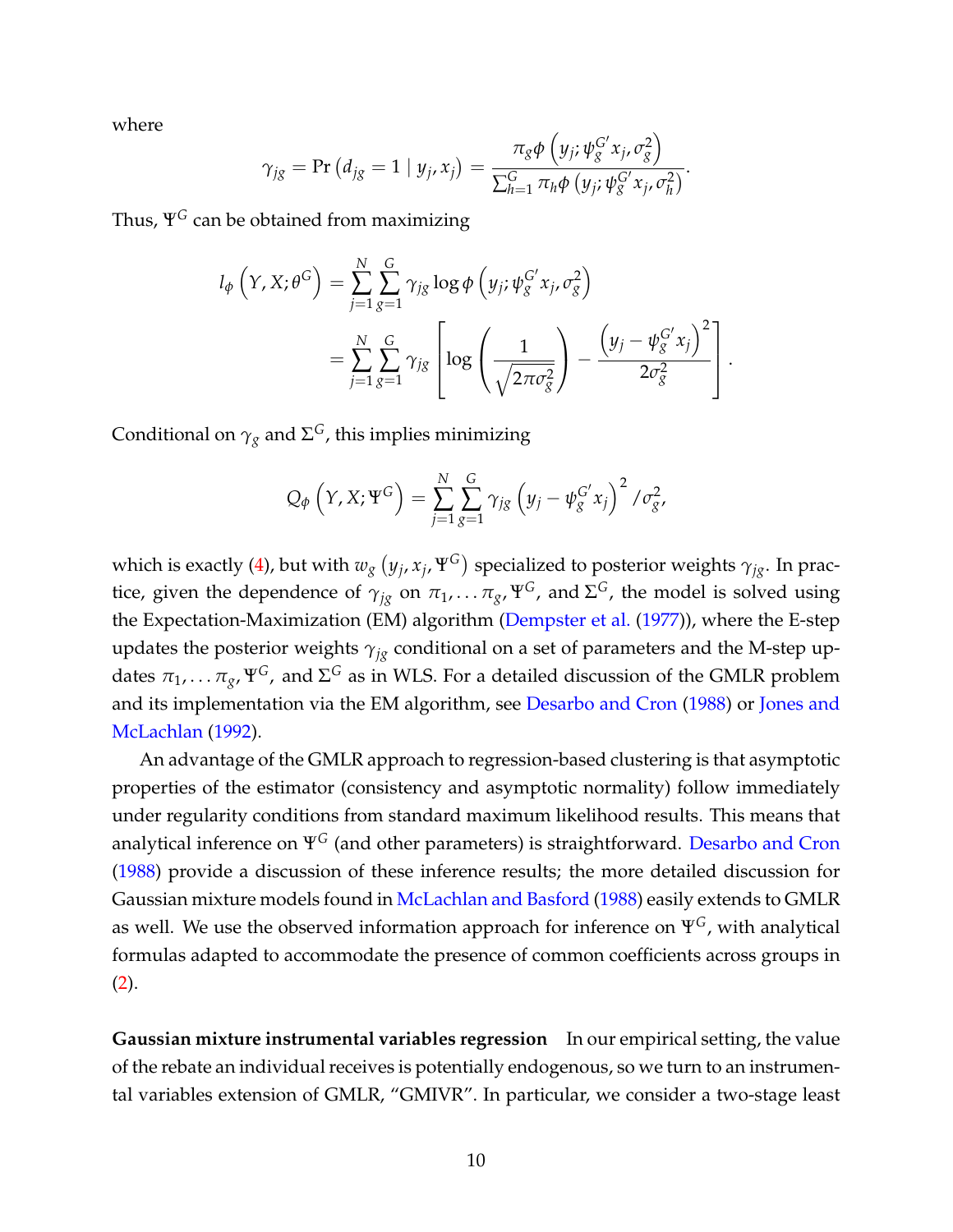where

$$
\gamma_{jg} = \Pr\left(d_{jg} = 1 \mid y_j, x_j\right) = \frac{\pi_g \phi\left(y_j; \psi_g^{G'} x_j, \sigma_g^2\right)}{\sum_{h=1}^G \pi_h \phi\left(y_j; \psi_g^{G'} x_j, \sigma_h^2\right)}.
$$

Thus, Ψ*<sup>G</sup>* can be obtained from maximizing

$$
l_{\phi}\left(Y, X; \theta^{G}\right) = \sum_{j=1}^{N} \sum_{g=1}^{G} \gamma_{jg} \log \phi\left(y_{j}; \psi_{g}^{G'} x_{j}, \sigma_{g}^{2}\right)
$$
  
= 
$$
\sum_{j=1}^{N} \sum_{g=1}^{G} \gamma_{jg} \left[ \log \left( \frac{1}{\sqrt{2\pi \sigma_{g}^{2}}} \right) - \frac{\left(y_{j} - \psi_{g}^{G'} x_{j}\right)^{2}}{2\sigma_{g}^{2}} \right].
$$

Conditional on *γ<sup>g</sup>* and Σ *<sup>G</sup>*, this implies minimizing

$$
Q_{\phi}\left(Y, X; \Psi^{G}\right) = \sum_{j=1}^{N} \sum_{g=1}^{G} \gamma_{jg} \left(y_{j} - \psi_{g}^{G'} x_{j}\right)^{2} / \sigma_{g}^{2},
$$

which is exactly [\(4\)](#page-8-3), but with  $w_g\left(y_j, x_j, \Psi^G\right)$  specialized to posterior weights  $\gamma_{jg}.$  In practice, given the dependence of  $\gamma_{jg}$  on  $\pi_1, \ldots \pi_g, \Psi^G$ , and  $\Sigma^G$ , the model is solved using the Expectation-Maximization (EM) algorithm [\(Dempster et al.](#page--1-32) [\(1977\)](#page--1-32)), where the E-step updates the posterior weights *γjg* conditional on a set of parameters and the M-step updates  $\pi_1,\ldots\pi_g$ ,  $\Psi^G$ , and  $\Sigma^G$  as in WLS. For a detailed discussion of the GMLR problem and its implementation via the EM algorithm, see [Desarbo and Cron](#page--1-14) [\(1988\)](#page--1-14) or [Jones and](#page--1-33) [McLachlan](#page--1-33) [\(1992\)](#page--1-33).

An advantage of the GMLR approach to regression-based clustering is that asymptotic properties of the estimator (consistency and asymptotic normality) follow immediately under regularity conditions from standard maximum likelihood results. This means that analytical inference on Ψ*<sup>G</sup>* (and other parameters) is straightforward. [Desarbo and Cron](#page--1-14) [\(1988\)](#page--1-14) provide a discussion of these inference results; the more detailed discussion for Gaussian mixture models found in [McLachlan and Basford](#page--1-34) [\(1988\)](#page--1-34) easily extends to GMLR as well. We use the observed information approach for inference on Ψ*G*, with analytical formulas adapted to accommodate the presence of common coefficients across groups in  $(2).$  $(2).$ 

**Gaussian mixture instrumental variables regression** In our empirical setting, the value of the rebate an individual receives is potentially endogenous, so we turn to an instrumental variables extension of GMLR, "GMIVR". In particular, we consider a two-stage least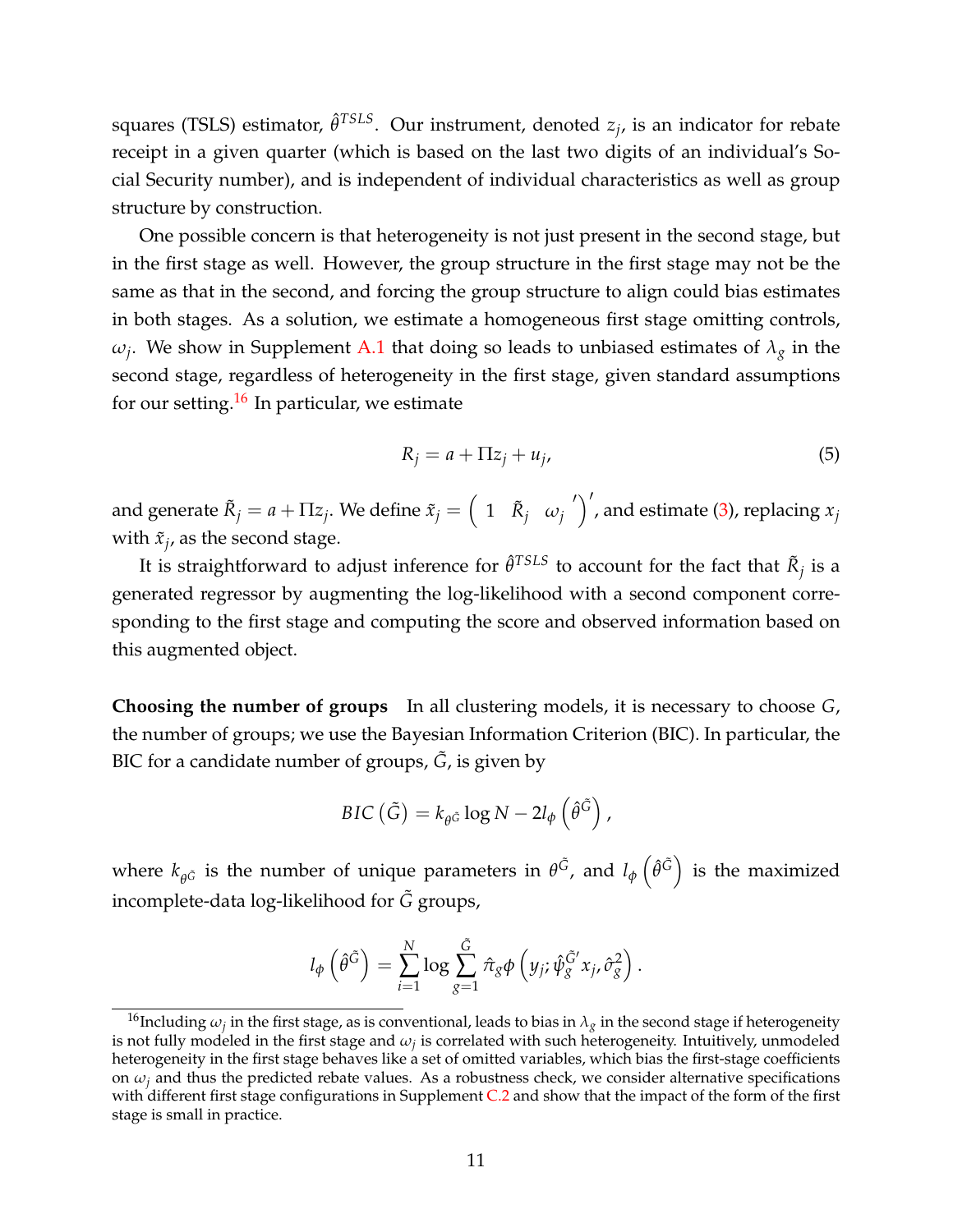squares (TSLS) estimator,  $\hat{\theta}^{TSLS}$ . Our instrument, denoted *z<sub>j</sub>*, is an indicator for rebate receipt in a given quarter (which is based on the last two digits of an individual's Social Security number), and is independent of individual characteristics as well as group structure by construction.

One possible concern is that heterogeneity is not just present in the second stage, but in the first stage as well. However, the group structure in the first stage may not be the same as that in the second, and forcing the group structure to align could bias estimates in both stages. As a solution, we estimate a homogeneous first stage omitting controls, *ωj* . We show in Supplement [A.1](#page--1-35) that doing so leads to unbiased estimates of *λ<sup>g</sup>* in the second stage, regardless of heterogeneity in the first stage, given standard assumptions for our setting.<sup>[16](#page-11-0)</sup> In particular, we estimate

$$
R_j = a + \Pi z_j + u_j,\tag{5}
$$

and generate  $\tilde{R}_j = a + \Pi z_j.$  We define  $\tilde{x}_j = \left(\begin{array}{cc} 1 & \tilde{R}_j & \omega_j \end{array}\right)$  $\binom{1}{1}$ , and estimate [\(3\)](#page-8-4), replacing  $x_j$ with  $\tilde{x}_j$ , as the second stage.

It is straightforward to adjust inference for  $\hat{\theta}^{TSLS}$  to account for the fact that  $\tilde{R}_j$  is a generated regressor by augmenting the log-likelihood with a second component corresponding to the first stage and computing the score and observed information based on this augmented object.

**Choosing the number of groups** In all clustering models, it is necessary to choose *G*, the number of groups; we use the Bayesian Information Criterion (BIC). In particular, the BIC for a candidate number of groups,  $\tilde{G}$ , is given by

$$
BIC\left(\tilde{G}\right) = k_{\theta \tilde{G}} \log N - 2l_{\phi}\left(\hat{\theta}^{\tilde{G}}\right),
$$

where  $k_{\theta^{\tilde{G}}}$  is the number of unique parameters in  $\theta^{\tilde{G}}$ , and  $l_{\phi}\left(\hat{\theta}^{\tilde{G}}\right)$  is the maximized incomplete-data log-likelihood for *G*˜ groups,

$$
l_{\phi}\left(\hat{\theta}^{\tilde{G}}\right)=\sum_{i=1}^{N}\log\sum_{g=1}^{\tilde{G}}\hat{\pi}_{g}\phi\left(y_{j};\hat{\psi}_{g}^{\tilde{G}'}x_{j},\hat{\sigma}_{g}^{2}\right).
$$

<span id="page-11-0"></span> $^{16}$ Including  $\omega_j$  in the first stage, as is conventional, leads to bias in  $\lambda_g$  in the second stage if heterogeneity is not fully modeled in the first stage and  $\omega_j$  is correlated with such heterogeneity. Intuitively, unmodeled heterogeneity in the first stage behaves like a set of omitted variables, which bias the first-stage coefficients on  $\omega_i$  and thus the predicted rebate values. As a robustness check, we consider alternative specifications with different first stage configurations in Supplement [C.2](#page--1-36) and show that the impact of the form of the first stage is small in practice.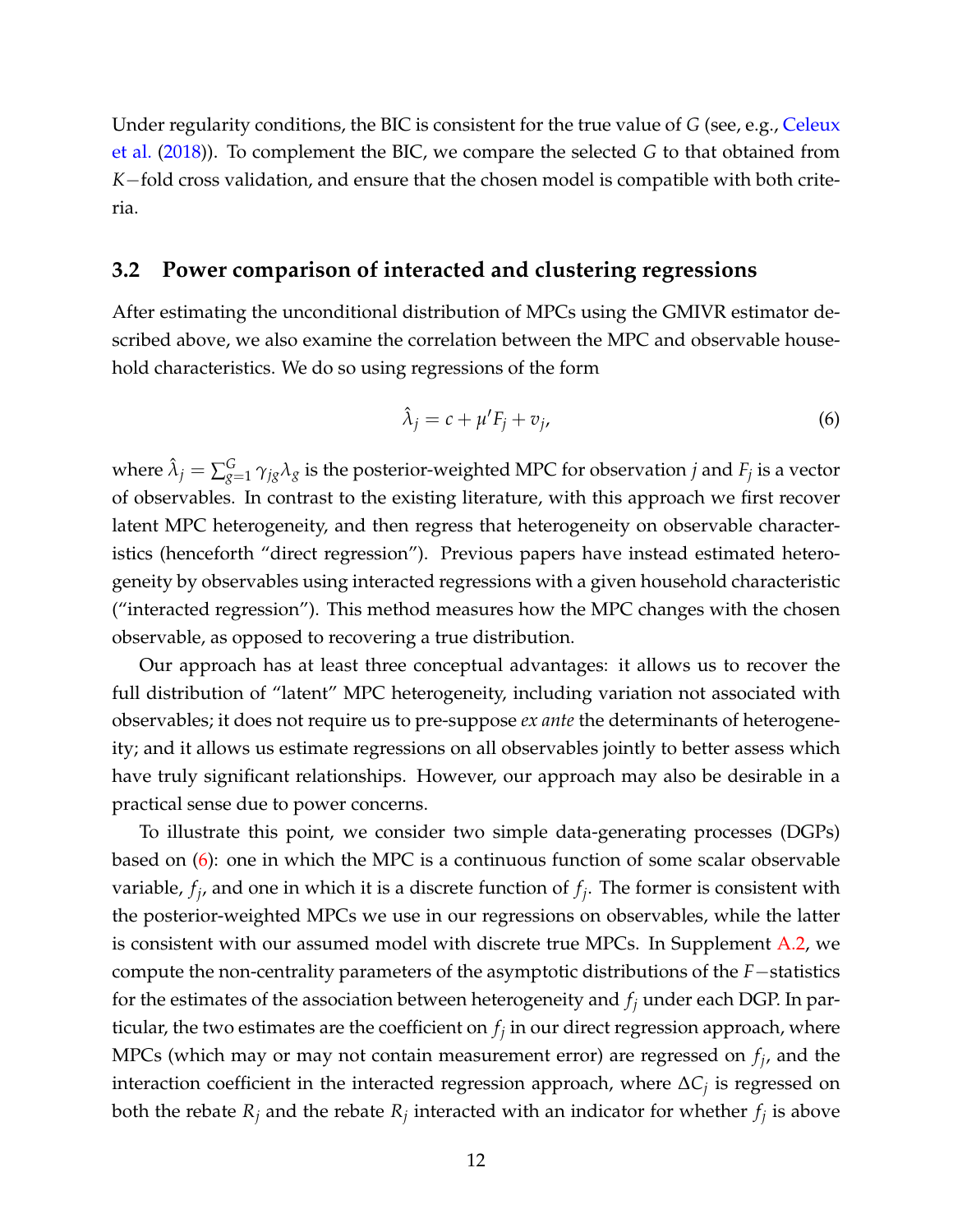Under regularity conditions, the BIC is consistent for the true value of *G* (see, e.g., [Celeux](#page--1-37) [et al.](#page--1-37) [\(2018\)](#page--1-37)). To complement the BIC, we compare the selected *G* to that obtained from *K*−fold cross validation, and ensure that the chosen model is compatible with both criteria.

### **3.2 Power comparison of interacted and clustering regressions**

After estimating the unconditional distribution of MPCs using the GMIVR estimator described above, we also examine the correlation between the MPC and observable household characteristics. We do so using regressions of the form

<span id="page-12-0"></span>
$$
\hat{\lambda}_j = c + \mu' F_j + v_j,\tag{6}
$$

where  $\hat{\lambda}_j = \sum_{g=1}^G \gamma_{jg} \lambda_g$  is the posterior-weighted MPC for observation  $j$  and  $F_j$  is a vector of observables. In contrast to the existing literature, with this approach we first recover latent MPC heterogeneity, and then regress that heterogeneity on observable characteristics (henceforth "direct regression"). Previous papers have instead estimated heterogeneity by observables using interacted regressions with a given household characteristic ("interacted regression"). This method measures how the MPC changes with the chosen observable, as opposed to recovering a true distribution.

Our approach has at least three conceptual advantages: it allows us to recover the full distribution of "latent" MPC heterogeneity, including variation not associated with observables; it does not require us to pre-suppose *ex ante* the determinants of heterogeneity; and it allows us estimate regressions on all observables jointly to better assess which have truly significant relationships. However, our approach may also be desirable in a practical sense due to power concerns.

To illustrate this point, we consider two simple data-generating processes (DGPs) based on [\(6\)](#page-12-0): one in which the MPC is a continuous function of some scalar observable variable, *f<sup>j</sup>* , and one in which it is a discrete function of *f<sup>j</sup>* . The former is consistent with the posterior-weighted MPCs we use in our regressions on observables, while the latter is consistent with our assumed model with discrete true MPCs. In Supplement [A.2,](#page--1-38) we compute the non-centrality parameters of the asymptotic distributions of the *F*−statistics for the estimates of the association between heterogeneity and *f<sup>j</sup>* under each DGP. In particular, the two estimates are the coefficient on  $f_j$  in our direct regression approach, where MPCs (which may or may not contain measurement error) are regressed on *f<sup>j</sup>* , and the interaction coefficient in the interacted regression approach, where ∆*C<sup>j</sup>* is regressed on both the rebate  $R_j$  and the rebate  $R_j$  interacted with an indicator for whether  $f_j$  is above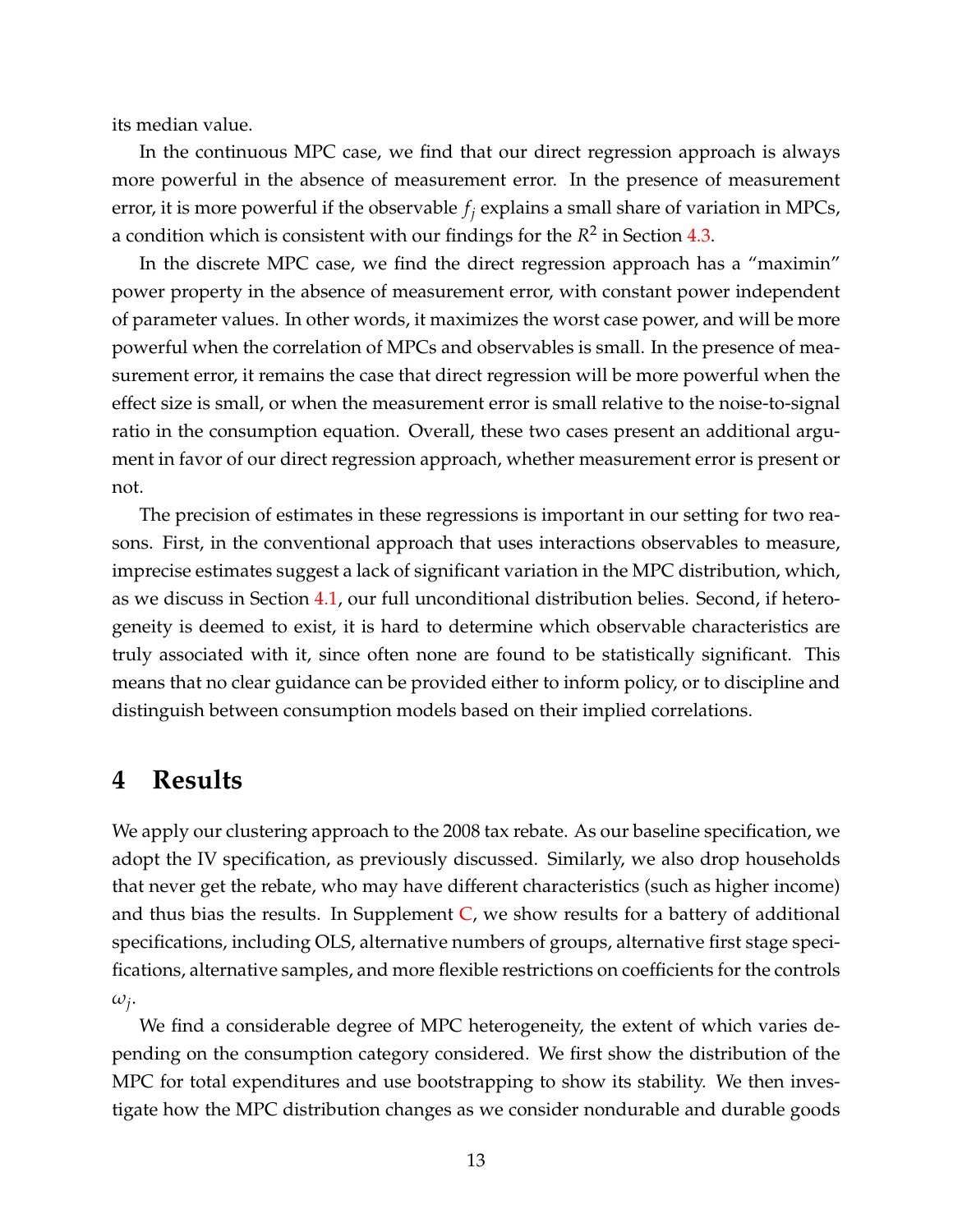its median value.

In the continuous MPC case, we find that our direct regression approach is always more powerful in the absence of measurement error. In the presence of measurement error, it is more powerful if the observable *f<sup>j</sup>* explains a small share of variation in MPCs, a condition which is consistent with our findings for the  $R^2$  in Section  $4.3$ .

In the discrete MPC case, we find the direct regression approach has a "maximin" power property in the absence of measurement error, with constant power independent of parameter values. In other words, it maximizes the worst case power, and will be more powerful when the correlation of MPCs and observables is small. In the presence of measurement error, it remains the case that direct regression will be more powerful when the effect size is small, or when the measurement error is small relative to the noise-to-signal ratio in the consumption equation. Overall, these two cases present an additional argument in favor of our direct regression approach, whether measurement error is present or not.

The precision of estimates in these regressions is important in our setting for two reasons. First, in the conventional approach that uses interactions observables to measure, imprecise estimates suggest a lack of significant variation in the MPC distribution, which, as we discuss in Section [4.1,](#page-14-0) our full unconditional distribution belies. Second, if heterogeneity is deemed to exist, it is hard to determine which observable characteristics are truly associated with it, since often none are found to be statistically significant. This means that no clear guidance can be provided either to inform policy, or to discipline and distinguish between consumption models based on their implied correlations.

### <span id="page-13-0"></span>**4 Results**

We apply our clustering approach to the 2008 tax rebate. As our baseline specification, we adopt the IV specification, as previously discussed. Similarly, we also drop households that never get the rebate, who may have different characteristics (such as higher income) and thus bias the results. In Supplement  $C$ , we show results for a battery of additional specifications, including OLS, alternative numbers of groups, alternative first stage specifications, alternative samples, and more flexible restrictions on coefficients for the controls *ωj* .

We find a considerable degree of MPC heterogeneity, the extent of which varies depending on the consumption category considered. We first show the distribution of the MPC for total expenditures and use bootstrapping to show its stability. We then investigate how the MPC distribution changes as we consider nondurable and durable goods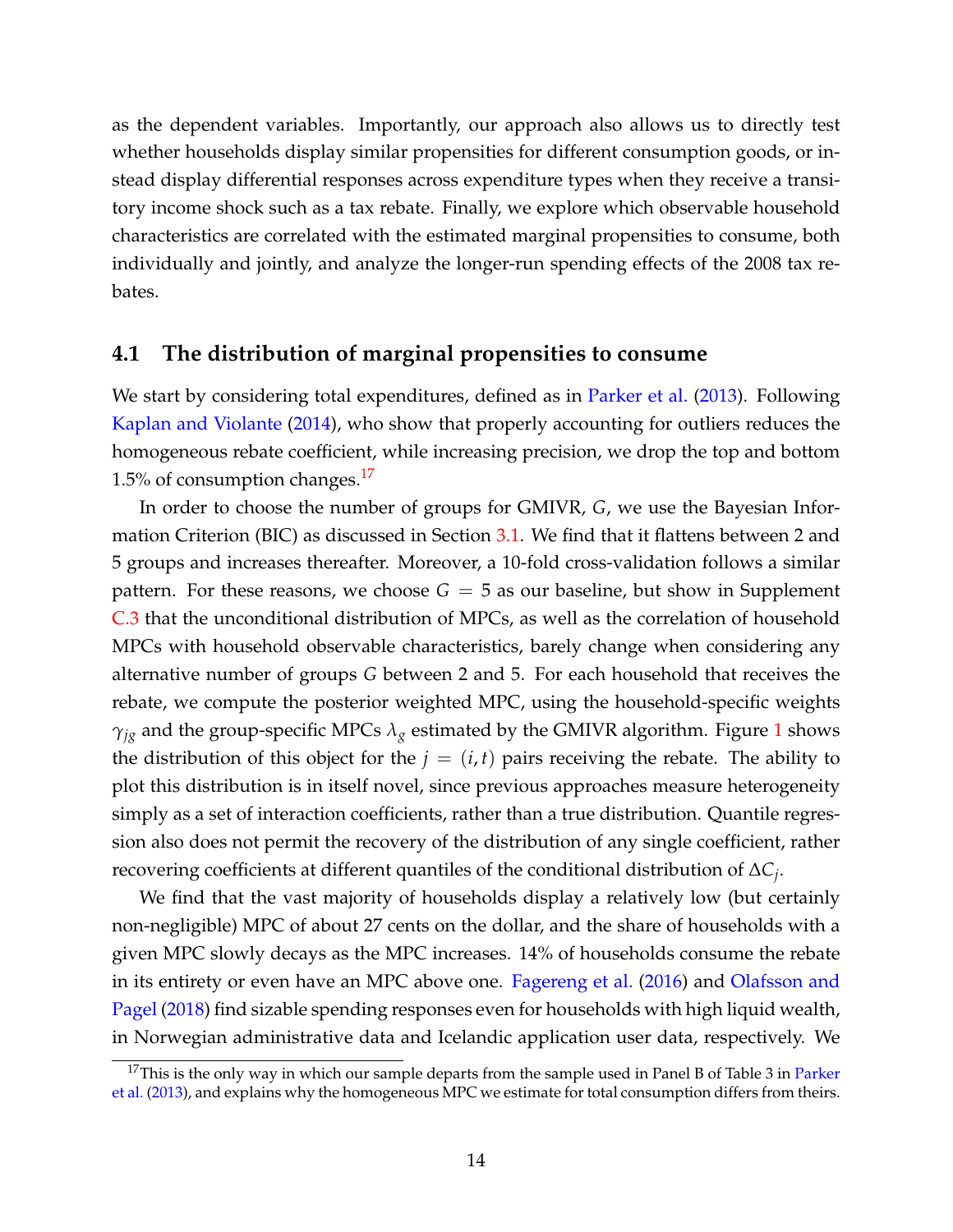as the dependent variables. Importantly, our approach also allows us to directly test whether households display similar propensities for different consumption goods, or instead display differential responses across expenditure types when they receive a transitory income shock such as a tax rebate. Finally, we explore which observable household characteristics are correlated with the estimated marginal propensities to consume, both individually and jointly, and analyze the longer-run spending effects of the 2008 tax rebates.

### <span id="page-14-0"></span>**4.1 The distribution of marginal propensities to consume**

We start by considering total expenditures, defined as in [Parker et al.](#page--1-2) [\(2013\)](#page--1-2). Following [Kaplan and Violante](#page--1-6) [\(2014\)](#page--1-6), who show that properly accounting for outliers reduces the homogeneous rebate coefficient, while increasing precision, we drop the top and bottom 1.5% of consumption changes.<sup>[17](#page-14-1)</sup>

In order to choose the number of groups for GMIVR, *G*, we use the Bayesian Information Criterion (BIC) as discussed in Section [3.1.](#page-8-5) We find that it flattens between 2 and 5 groups and increases thereafter. Moreover, a 10-fold cross-validation follows a similar pattern. For these reasons, we choose  $G = 5$  as our baseline, but show in Supplement [C.3](#page--1-40) that the unconditional distribution of MPCs, as well as the correlation of household MPCs with household observable characteristics, barely change when considering any alternative number of groups *G* between 2 and 5. For each household that receives the rebate, we compute the posterior weighted MPC, using the household-specific weights  $\gamma_{jg}$  and the group-specific MPCs  $\lambda_g$  estimated by the GMIVR algorithm. Figure [1](#page-15-0) shows the distribution of this object for the  $j = (i, t)$  pairs receiving the rebate. The ability to plot this distribution is in itself novel, since previous approaches measure heterogeneity simply as a set of interaction coefficients, rather than a true distribution. Quantile regression also does not permit the recovery of the distribution of any single coefficient, rather recovering coefficients at different quantiles of the conditional distribution of ∆*C<sup>j</sup>* .

We find that the vast majority of households display a relatively low (but certainly non-negligible) MPC of about 27 cents on the dollar, and the share of households with a given MPC slowly decays as the MPC increases. 14% of households consume the rebate in its entirety or even have an MPC above one. [Fagereng et al.](#page--1-8) [\(2016\)](#page--1-8) and [Olafsson and](#page--1-15) [Pagel](#page--1-15) [\(2018\)](#page--1-15) find sizable spending responses even for households with high liquid wealth, in Norwegian administrative data and Icelandic application user data, respectively. We

<span id="page-14-1"></span> $17$ This is the only way in which our sample departs from the sample used in Panel B of Table 3 in [Parker](#page--1-2) [et al.](#page--1-2) [\(2013\)](#page--1-2), and explains why the homogeneous MPC we estimate for total consumption differs from theirs.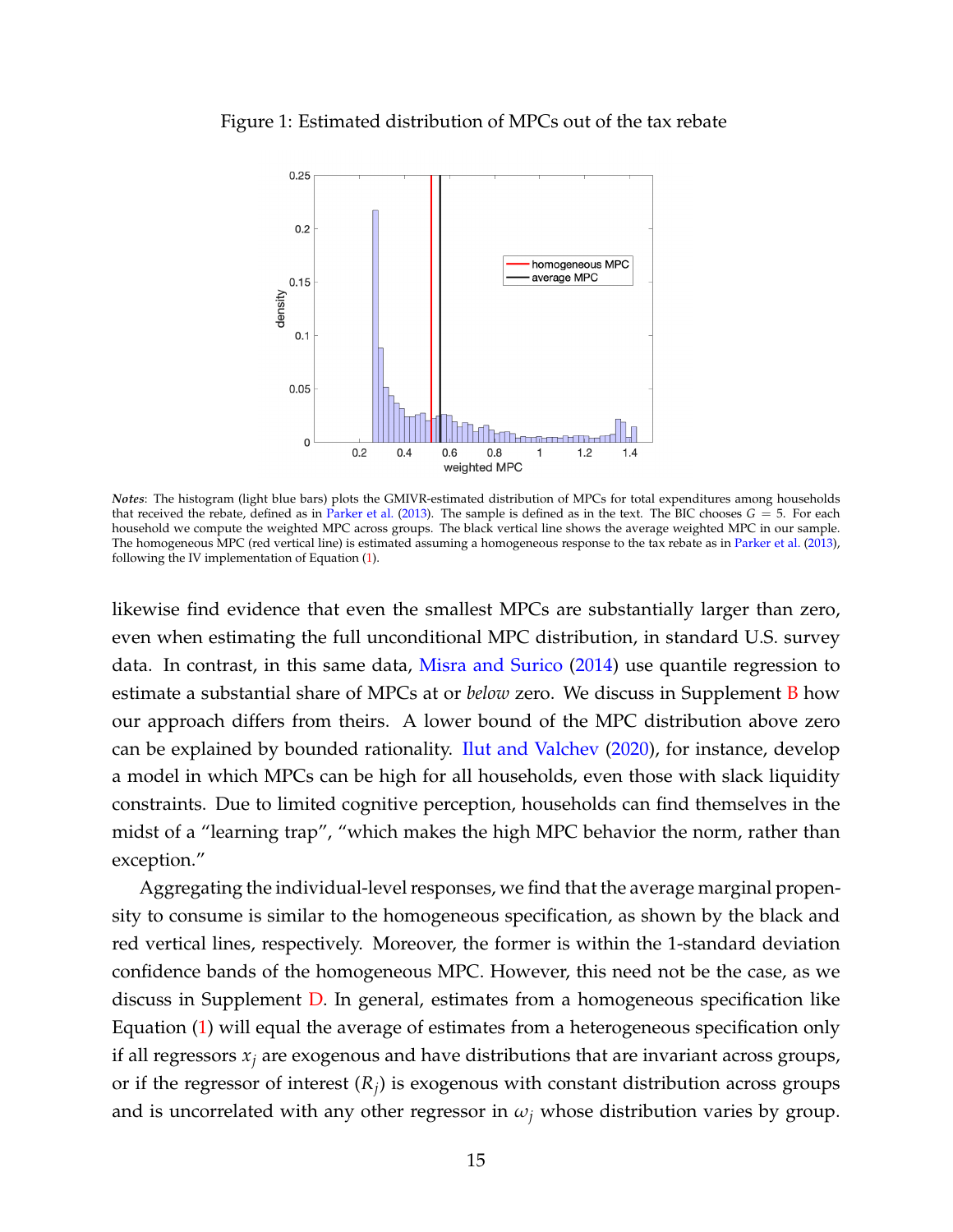#### <span id="page-15-0"></span>Figure 1: Estimated distribution of MPCs out of the tax rebate



*Notes*: The histogram (light blue bars) plots the GMIVR-estimated distribution of MPCs for total expenditures among households that received the rebate, defined as in [Parker et al.](#page--1-2) [\(2013\)](#page--1-2). The sample is defined as in the text. The BIC chooses  $G = 5$ . For each household we compute the weighted MPC across groups. The black vertical line shows the average weighted MPC in our sample. The homogeneous MPC (red vertical line) is estimated assuming a homogeneous response to the tax rebate as in [Parker et al.](#page--1-2) [\(2013\)](#page--1-2), following the IV implementation of Equation [\(1\)](#page-6-4).

likewise find evidence that even the smallest MPCs are substantially larger than zero, even when estimating the full unconditional MPC distribution, in standard U.S. survey data. In contrast, in this same data, [Misra and Surico](#page--1-25) [\(2014\)](#page--1-25) use quantile regression to estimate a substantial share of MPCs at or *below* zero. We discuss in Supplement [B](#page--1-26) how our approach differs from theirs. A lower bound of the MPC distribution above zero can be explained by bounded rationality. [Ilut and Valchev](#page--1-16) [\(2020\)](#page--1-16), for instance, develop a model in which MPCs can be high for all households, even those with slack liquidity constraints. Due to limited cognitive perception, households can find themselves in the midst of a "learning trap", "which makes the high MPC behavior the norm, rather than exception."

Aggregating the individual-level responses, we find that the average marginal propensity to consume is similar to the homogeneous specification, as shown by the black and red vertical lines, respectively. Moreover, the former is within the 1-standard deviation confidence bands of the homogeneous MPC. However, this need not be the case, as we discuss in Supplement [D.](#page--1-41) In general, estimates from a homogeneous specification like Equation [\(1\)](#page-6-4) will equal the average of estimates from a heterogeneous specification only if all regressors  $x_j$  are exogenous and have distributions that are invariant across groups, or if the regressor of interest (*R<sup>j</sup>* ) is exogenous with constant distribution across groups and is uncorrelated with any other regressor in  $\omega_j$  whose distribution varies by group.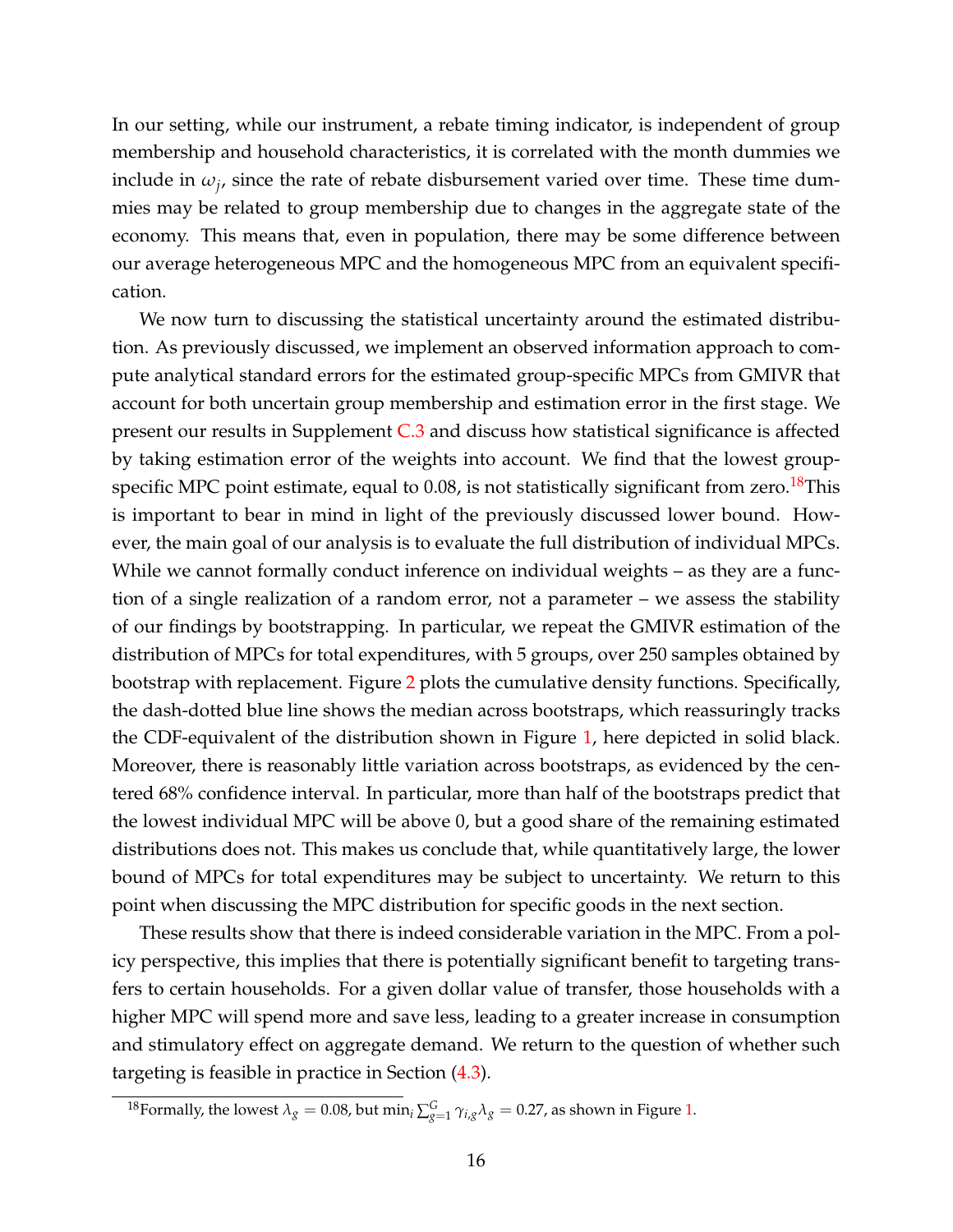In our setting, while our instrument, a rebate timing indicator, is independent of group membership and household characteristics, it is correlated with the month dummies we include in  $\omega_j$ , since the rate of rebate disbursement varied over time. These time dummies may be related to group membership due to changes in the aggregate state of the economy. This means that, even in population, there may be some difference between our average heterogeneous MPC and the homogeneous MPC from an equivalent specification.

We now turn to discussing the statistical uncertainty around the estimated distribution. As previously discussed, we implement an observed information approach to compute analytical standard errors for the estimated group-specific MPCs from GMIVR that account for both uncertain group membership and estimation error in the first stage. We present our results in Supplement [C.3](#page--1-40) and discuss how statistical significance is affected by taking estimation error of the weights into account. We find that the lowest groupspecific MPC point estimate, equal to  $0.08$ , is not statistically significant from zero.<sup>[18](#page-16-0)</sup>This is important to bear in mind in light of the previously discussed lower bound. However, the main goal of our analysis is to evaluate the full distribution of individual MPCs. While we cannot formally conduct inference on individual weights – as they are a function of a single realization of a random error, not a parameter – we assess the stability of our findings by bootstrapping. In particular, we repeat the GMIVR estimation of the distribution of MPCs for total expenditures, with 5 groups, over 250 samples obtained by bootstrap with replacement. Figure [2](#page-17-0) plots the cumulative density functions. Specifically, the dash-dotted blue line shows the median across bootstraps, which reassuringly tracks the CDF-equivalent of the distribution shown in Figure [1,](#page-15-0) here depicted in solid black. Moreover, there is reasonably little variation across bootstraps, as evidenced by the centered 68% confidence interval. In particular, more than half of the bootstraps predict that the lowest individual MPC will be above 0, but a good share of the remaining estimated distributions does not. This makes us conclude that, while quantitatively large, the lower bound of MPCs for total expenditures may be subject to uncertainty. We return to this point when discussing the MPC distribution for specific goods in the next section.

These results show that there is indeed considerable variation in the MPC. From a policy perspective, this implies that there is potentially significant benefit to targeting transfers to certain households. For a given dollar value of transfer, those households with a higher MPC will spend more and save less, leading to a greater increase in consumption and stimulatory effect on aggregate demand. We return to the question of whether such targeting is feasible in practice in Section [\(4.3\)](#page-19-0).

<span id="page-16-0"></span> $^{18}$ Formally, the lowest  $\lambda_g = 0.08$ , but min<sub>*i*</sub>  $\sum_{g=1}^G \gamma_{i,g} \lambda_g = 0.27$ , as shown in Figure [1.](#page-15-0)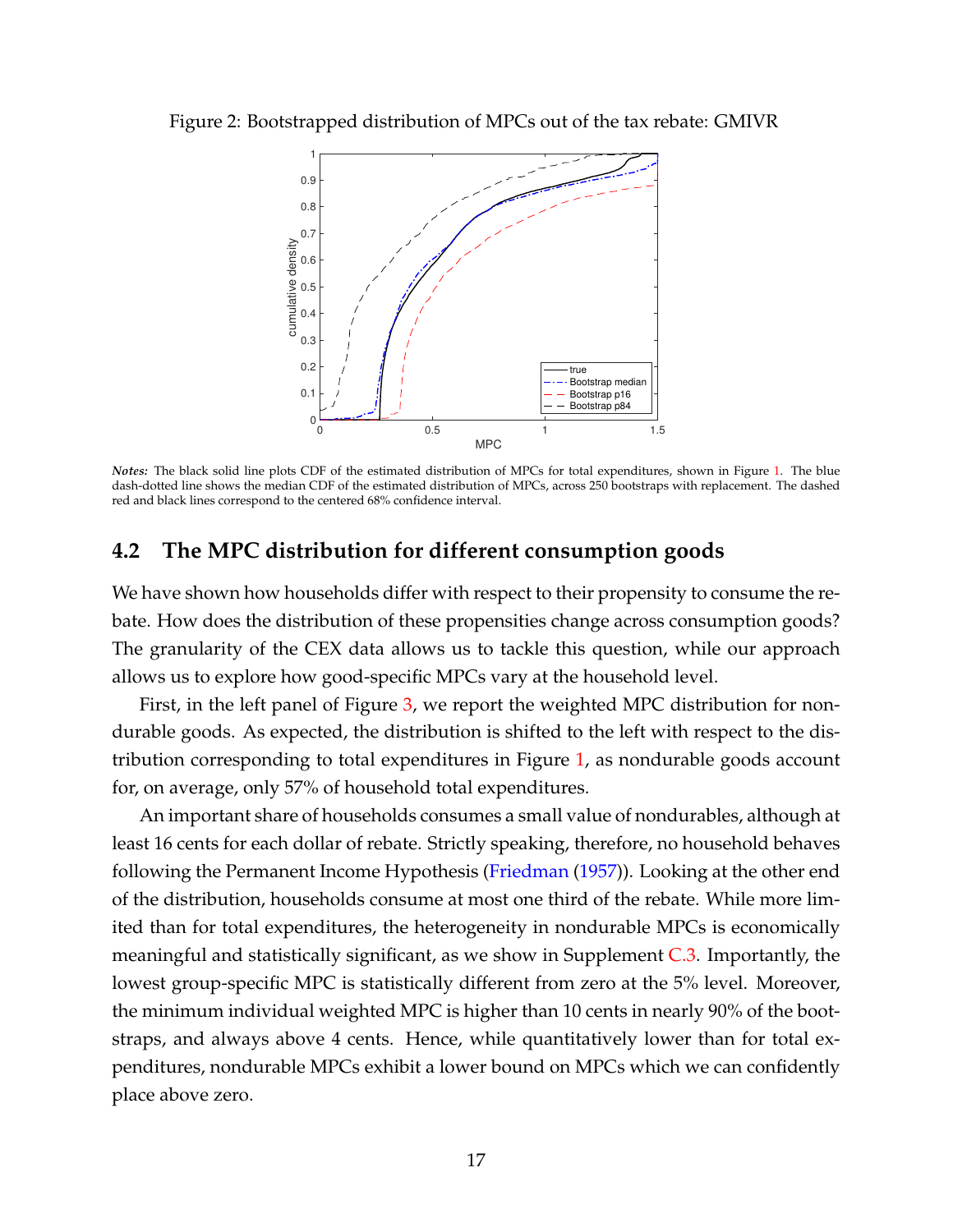<span id="page-17-0"></span>Figure 2: Bootstrapped distribution of MPCs out of the tax rebate: GMIVR



*Notes:* The black solid line plots CDF of the estimated distribution of MPCs for total expenditures, shown in Figure [1.](#page-15-0) The blue dash-dotted line shows the median CDF of the estimated distribution of MPCs, across 250 bootstraps with replacement. The dashed red and black lines correspond to the centered 68% confidence interval.

### **4.2 The MPC distribution for different consumption goods**

We have shown how households differ with respect to their propensity to consume the rebate. How does the distribution of these propensities change across consumption goods? The granularity of the CEX data allows us to tackle this question, while our approach allows us to explore how good-specific MPCs vary at the household level.

First, in the left panel of Figure [3,](#page-18-0) we report the weighted MPC distribution for nondurable goods. As expected, the distribution is shifted to the left with respect to the distribution corresponding to total expenditures in Figure [1,](#page-15-0) as nondurable goods account for, on average, only 57% of household total expenditures.

An important share of households consumes a small value of nondurables, although at least 16 cents for each dollar of rebate. Strictly speaking, therefore, no household behaves following the Permanent Income Hypothesis [\(Friedman](#page--1-21) [\(1957\)](#page--1-21)). Looking at the other end of the distribution, households consume at most one third of the rebate. While more limited than for total expenditures, the heterogeneity in nondurable MPCs is economically meaningful and statistically significant, as we show in Supplement [C.3.](#page--1-40) Importantly, the lowest group-specific MPC is statistically different from zero at the 5% level. Moreover, the minimum individual weighted MPC is higher than 10 cents in nearly 90% of the bootstraps, and always above 4 cents. Hence, while quantitatively lower than for total expenditures, nondurable MPCs exhibit a lower bound on MPCs which we can confidently place above zero.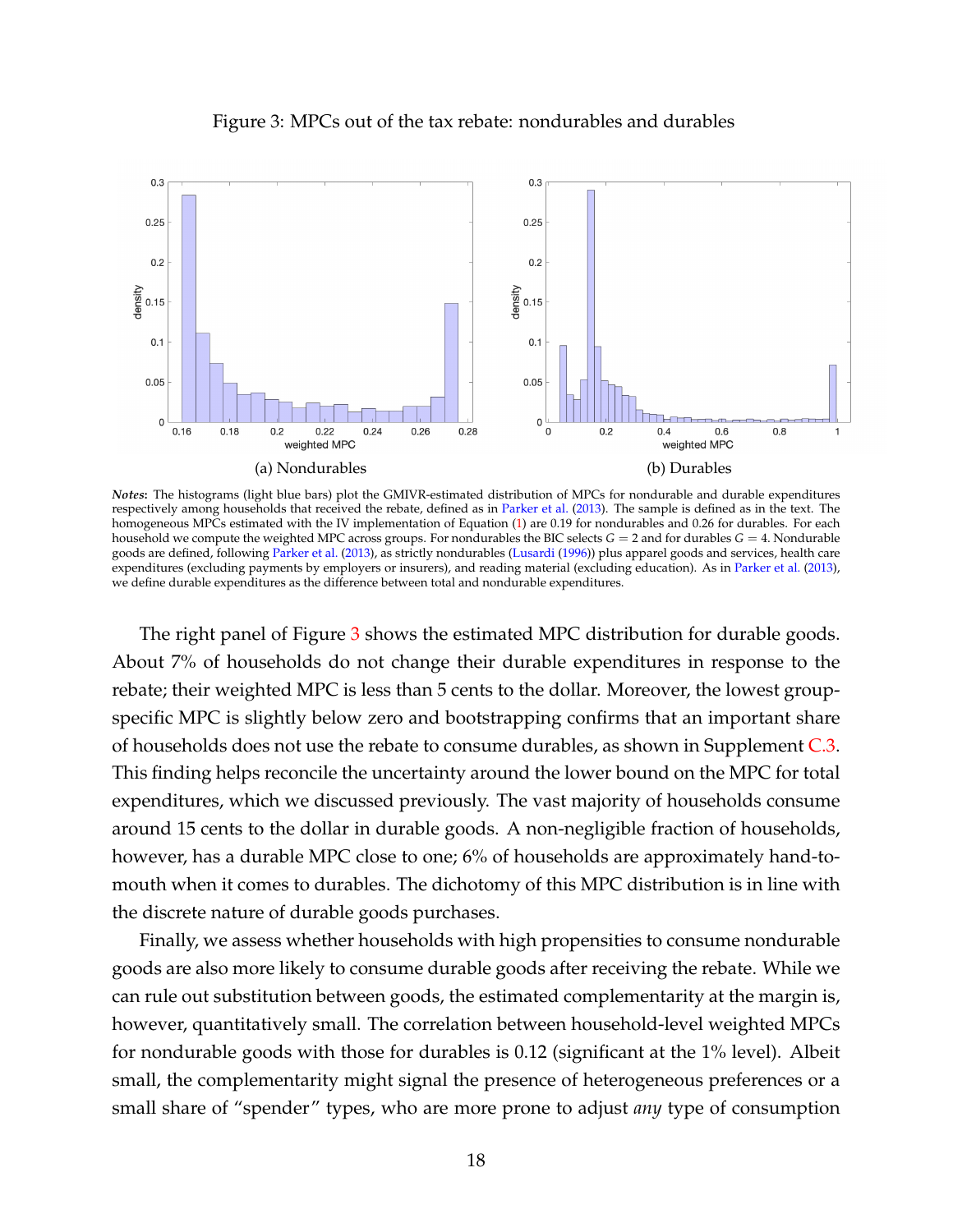<span id="page-18-0"></span>

Figure 3: MPCs out of the tax rebate: nondurables and durables

*Notes***:** The histograms (light blue bars) plot the GMIVR-estimated distribution of MPCs for nondurable and durable expenditures respectively among households that received the rebate, defined as in [Parker et al.](#page--1-2) [\(2013\)](#page--1-2). The sample is defined as in the text. The homogeneous MPCs estimated with the IV implementation of Equation [\(1\)](#page-6-4) are 0.19 for nondurables and 0.26 for durables. For each household we compute the weighted MPC across groups. For nondurables the BIC selects *G* = 2 and for durables *G* = 4. Nondurable goods are defined, following [Parker et al.](#page--1-2) [\(2013\)](#page--1-2), as strictly nondurables [\(Lusardi](#page--1-42) [\(1996\)](#page--1-42)) plus apparel goods and services, health care expenditures (excluding payments by employers or insurers), and reading material (excluding education). As in [Parker et al.](#page--1-2) [\(2013\)](#page--1-2), we define durable expenditures as the difference between total and nondurable expenditures.

The right panel of Figure [3](#page-18-0) shows the estimated MPC distribution for durable goods. About 7% of households do not change their durable expenditures in response to the rebate; their weighted MPC is less than 5 cents to the dollar. Moreover, the lowest groupspecific MPC is slightly below zero and bootstrapping confirms that an important share of households does not use the rebate to consume durables, as shown in Supplement  $C_{.3}$ . This finding helps reconcile the uncertainty around the lower bound on the MPC for total expenditures, which we discussed previously. The vast majority of households consume around 15 cents to the dollar in durable goods. A non-negligible fraction of households, however, has a durable MPC close to one; 6% of households are approximately hand-tomouth when it comes to durables. The dichotomy of this MPC distribution is in line with the discrete nature of durable goods purchases.

Finally, we assess whether households with high propensities to consume nondurable goods are also more likely to consume durable goods after receiving the rebate. While we can rule out substitution between goods, the estimated complementarity at the margin is, however, quantitatively small. The correlation between household-level weighted MPCs for nondurable goods with those for durables is 0.12 (significant at the 1% level). Albeit small, the complementarity might signal the presence of heterogeneous preferences or a small share of "spender" types, who are more prone to adjust *any* type of consumption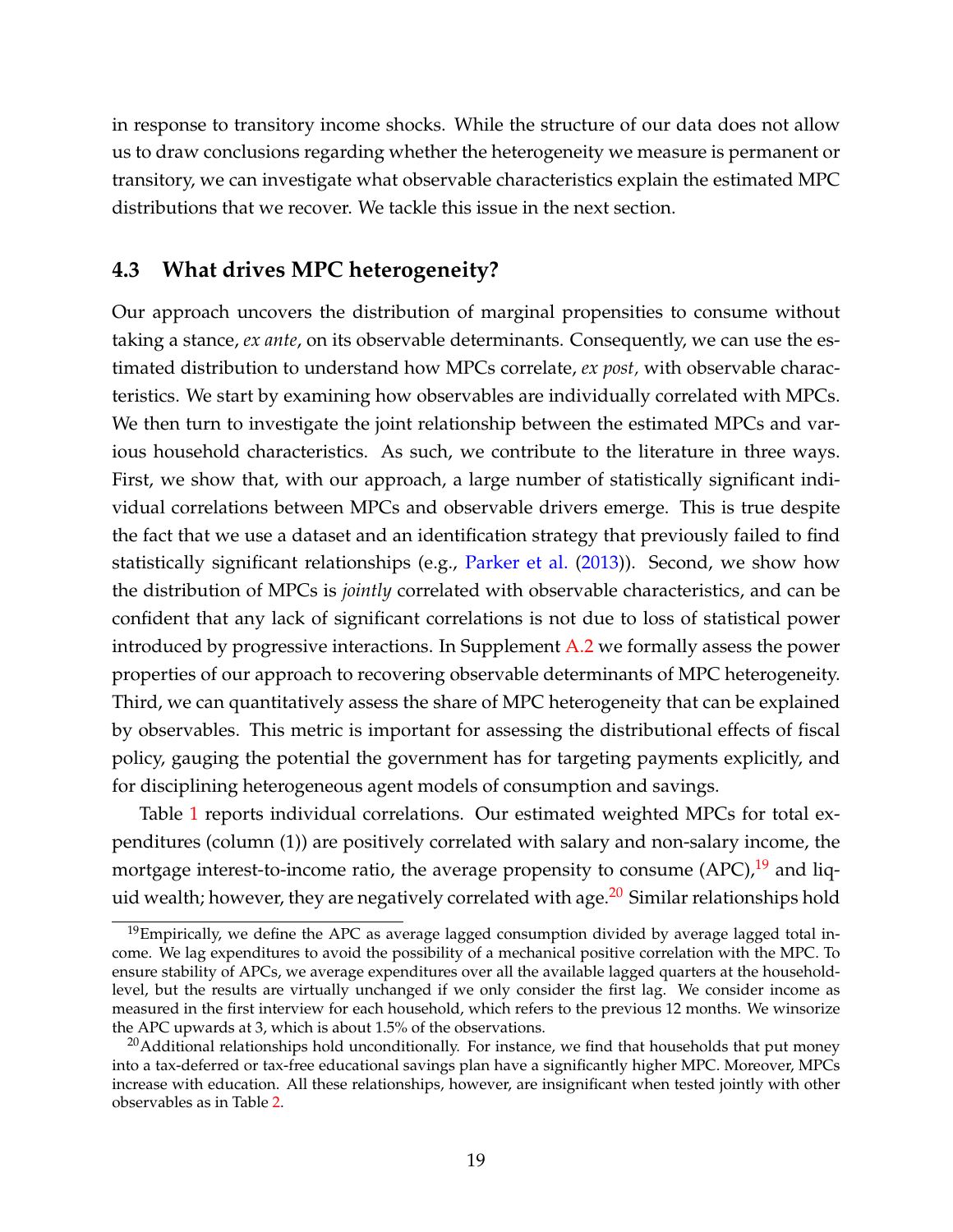in response to transitory income shocks. While the structure of our data does not allow us to draw conclusions regarding whether the heterogeneity we measure is permanent or transitory, we can investigate what observable characteristics explain the estimated MPC distributions that we recover. We tackle this issue in the next section.

### <span id="page-19-0"></span>**4.3 What drives MPC heterogeneity?**

Our approach uncovers the distribution of marginal propensities to consume without taking a stance, *ex ante*, on its observable determinants. Consequently, we can use the estimated distribution to understand how MPCs correlate, *ex post,* with observable characteristics. We start by examining how observables are individually correlated with MPCs. We then turn to investigate the joint relationship between the estimated MPCs and various household characteristics. As such, we contribute to the literature in three ways. First, we show that, with our approach, a large number of statistically significant individual correlations between MPCs and observable drivers emerge. This is true despite the fact that we use a dataset and an identification strategy that previously failed to find statistically significant relationships (e.g., [Parker et al.](#page--1-2) [\(2013\)](#page--1-2)). Second, we show how the distribution of MPCs is *jointly* correlated with observable characteristics, and can be confident that any lack of significant correlations is not due to loss of statistical power introduced by progressive interactions. In Supplement [A.2](#page--1-38) we formally assess the power properties of our approach to recovering observable determinants of MPC heterogeneity. Third, we can quantitatively assess the share of MPC heterogeneity that can be explained by observables. This metric is important for assessing the distributional effects of fiscal policy, gauging the potential the government has for targeting payments explicitly, and for disciplining heterogeneous agent models of consumption and savings.

Table [1](#page-20-0) reports individual correlations. Our estimated weighted MPCs for total expenditures (column (1)) are positively correlated with salary and non-salary income, the mortgage interest-to-income ratio, the average propensity to consume  $(APC)<sup>19</sup>$  $(APC)<sup>19</sup>$  $(APC)<sup>19</sup>$  and liquid wealth; however, they are negatively correlated with age. $^{20}$  $^{20}$  $^{20}$  Similar relationships hold

<span id="page-19-1"></span> $19$ Empirically, we define the APC as average lagged consumption divided by average lagged total income. We lag expenditures to avoid the possibility of a mechanical positive correlation with the MPC. To ensure stability of APCs, we average expenditures over all the available lagged quarters at the householdlevel, but the results are virtually unchanged if we only consider the first lag. We consider income as measured in the first interview for each household, which refers to the previous 12 months. We winsorize the APC upwards at 3, which is about 1.5% of the observations.

<span id="page-19-2"></span><sup>&</sup>lt;sup>20</sup>Additional relationships hold unconditionally. For instance, we find that households that put money into a tax-deferred or tax-free educational savings plan have a significantly higher MPC. Moreover, MPCs increase with education. All these relationships, however, are insignificant when tested jointly with other observables as in Table [2.](#page-23-0)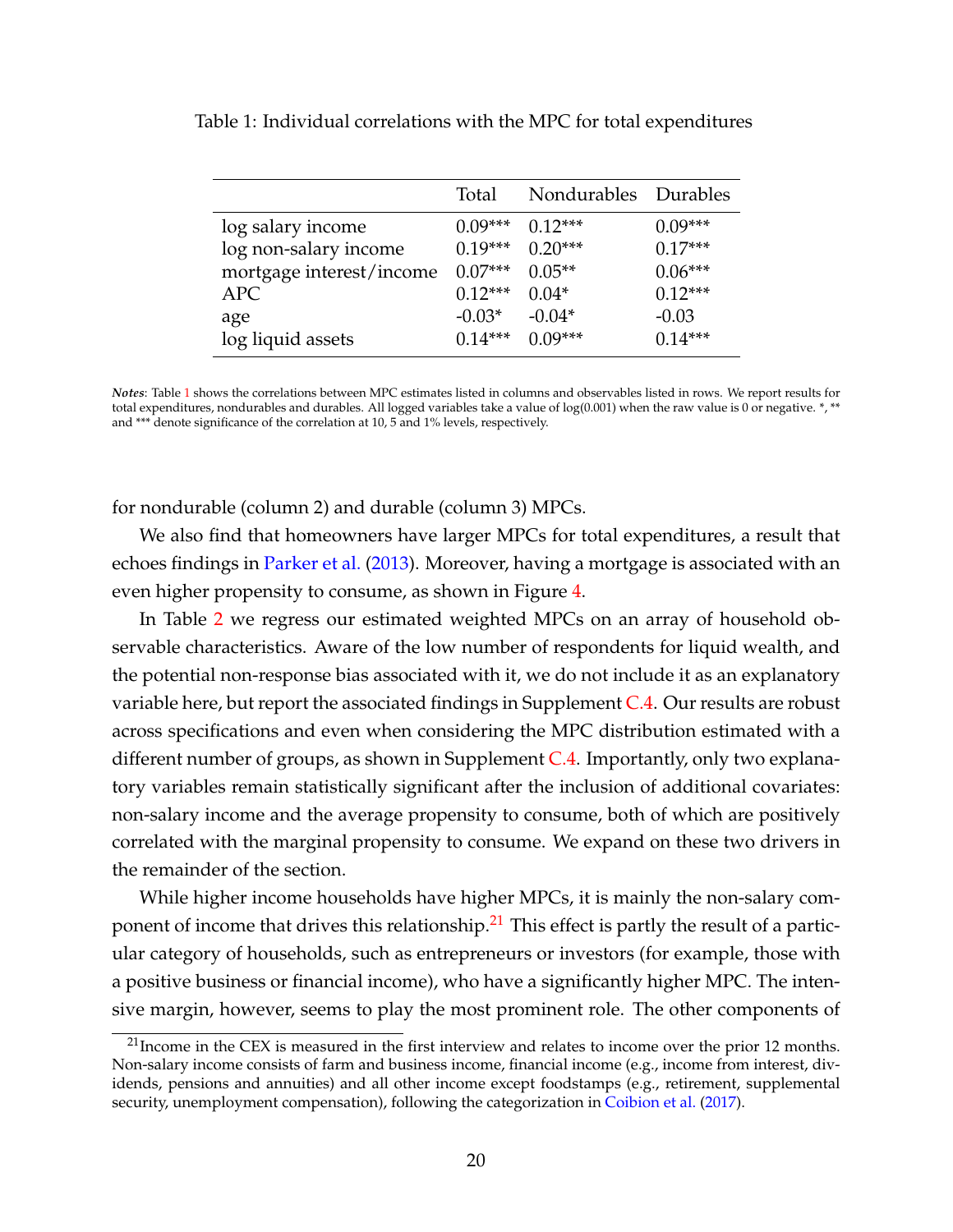|                          | Total     | Nondurables Durables |           |
|--------------------------|-----------|----------------------|-----------|
| log salary income        | $0.09***$ | $0.12***$            | $0.09***$ |
| log non-salary income    | $0.19***$ | $0.20***$            | $0.17***$ |
| mortgage interest/income | $0.07***$ | $0.05**$             | $0.06***$ |
| <b>APC</b>               | $0.12***$ | $0.04*$              | $0.12***$ |
| age                      | $-0.03*$  | $-0.04*$             | $-0.03$   |
| log liquid assets        | $0.14***$ | $0.09***$            | $0.14***$ |

<span id="page-20-0"></span>Table 1: Individual correlations with the MPC for total expenditures

*Notes*: Table [1](#page-20-0) shows the correlations between MPC estimates listed in columns and observables listed in rows. We report results for total expenditures, nondurables and durables. All logged variables take a value of log(0.001) when the raw value is 0 or negative. \*, \*\* and \*\*\* denote significance of the correlation at 10, 5 and 1% levels, respectively.

for nondurable (column 2) and durable (column 3) MPCs.

We also find that homeowners have larger MPCs for total expenditures, a result that echoes findings in [Parker et al.](#page--1-2) [\(2013\)](#page--1-2). Moreover, having a mortgage is associated with an even higher propensity to consume, as shown in Figure [4.](#page-21-0)

In Table [2](#page-23-0) we regress our estimated weighted MPCs on an array of household observable characteristics. Aware of the low number of respondents for liquid wealth, and the potential non-response bias associated with it, we do not include it as an explanatory variable here, but report the associated findings in Supplement [C.4.](#page--1-43) Our results are robust across specifications and even when considering the MPC distribution estimated with a different number of groups, as shown in Supplement  $C.4$ . Importantly, only two explanatory variables remain statistically significant after the inclusion of additional covariates: non-salary income and the average propensity to consume, both of which are positively correlated with the marginal propensity to consume. We expand on these two drivers in the remainder of the section.

While higher income households have higher MPCs, it is mainly the non-salary com-ponent of income that drives this relationship.<sup>[21](#page-20-1)</sup> This effect is partly the result of a particular category of households, such as entrepreneurs or investors (for example, those with a positive business or financial income), who have a significantly higher MPC. The intensive margin, however, seems to play the most prominent role. The other components of

<span id="page-20-1"></span> $^{21}$ Income in the CEX is measured in the first interview and relates to income over the prior 12 months. Non-salary income consists of farm and business income, financial income (e.g., income from interest, dividends, pensions and annuities) and all other income except foodstamps (e.g., retirement, supplemental security, unemployment compensation), following the categorization in [Coibion et al.](#page--1-44) [\(2017\)](#page--1-44).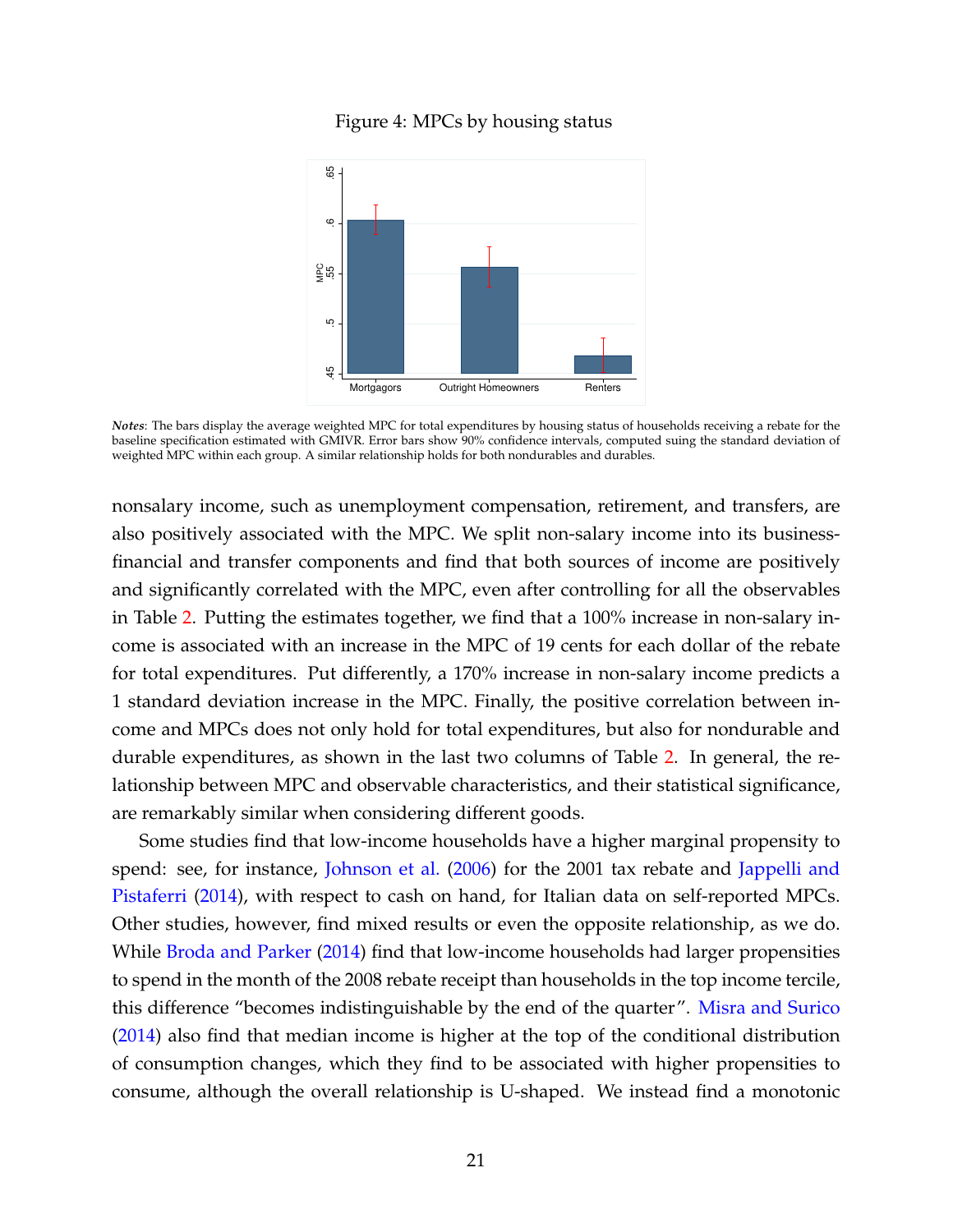<span id="page-21-0"></span>

Figure 4: MPCs by housing status

*Notes*: The bars display the average weighted MPC for total expenditures by housing status of households receiving a rebate for the baseline specification estimated with GMIVR. Error bars show 90% confidence intervals, computed suing the standard deviation of weighted MPC within each group. A similar relationship holds for both nondurables and durables.

nonsalary income, such as unemployment compensation, retirement, and transfers, are also positively associated with the MPC. We split non-salary income into its businessfinancial and transfer components and find that both sources of income are positively and significantly correlated with the MPC, even after controlling for all the observables in Table [2.](#page-23-0) Putting the estimates together, we find that a 100% increase in non-salary income is associated with an increase in the MPC of 19 cents for each dollar of the rebate for total expenditures. Put differently, a 170% increase in non-salary income predicts a 1 standard deviation increase in the MPC. Finally, the positive correlation between income and MPCs does not only hold for total expenditures, but also for nondurable and durable expenditures, as shown in the last two columns of Table [2.](#page-23-0) In general, the relationship between MPC and observable characteristics, and their statistical significance, are remarkably similar when considering different goods.

Some studies find that low-income households have a higher marginal propensity to spend: see, for instance, [Johnson et al.](#page--1-1) [\(2006\)](#page--1-1) for the 2001 tax rebate and [Jappelli and](#page--1-28) [Pistaferri](#page--1-28) [\(2014\)](#page--1-28), with respect to cash on hand, for Italian data on self-reported MPCs. Other studies, however, find mixed results or even the opposite relationship, as we do. While [Broda and Parker](#page--1-18) [\(2014\)](#page--1-18) find that low-income households had larger propensities to spend in the month of the 2008 rebate receipt than households in the top income tercile, this difference "becomes indistinguishable by the end of the quarter". [Misra and Surico](#page--1-25) [\(2014\)](#page--1-25) also find that median income is higher at the top of the conditional distribution of consumption changes, which they find to be associated with higher propensities to consume, although the overall relationship is U-shaped. We instead find a monotonic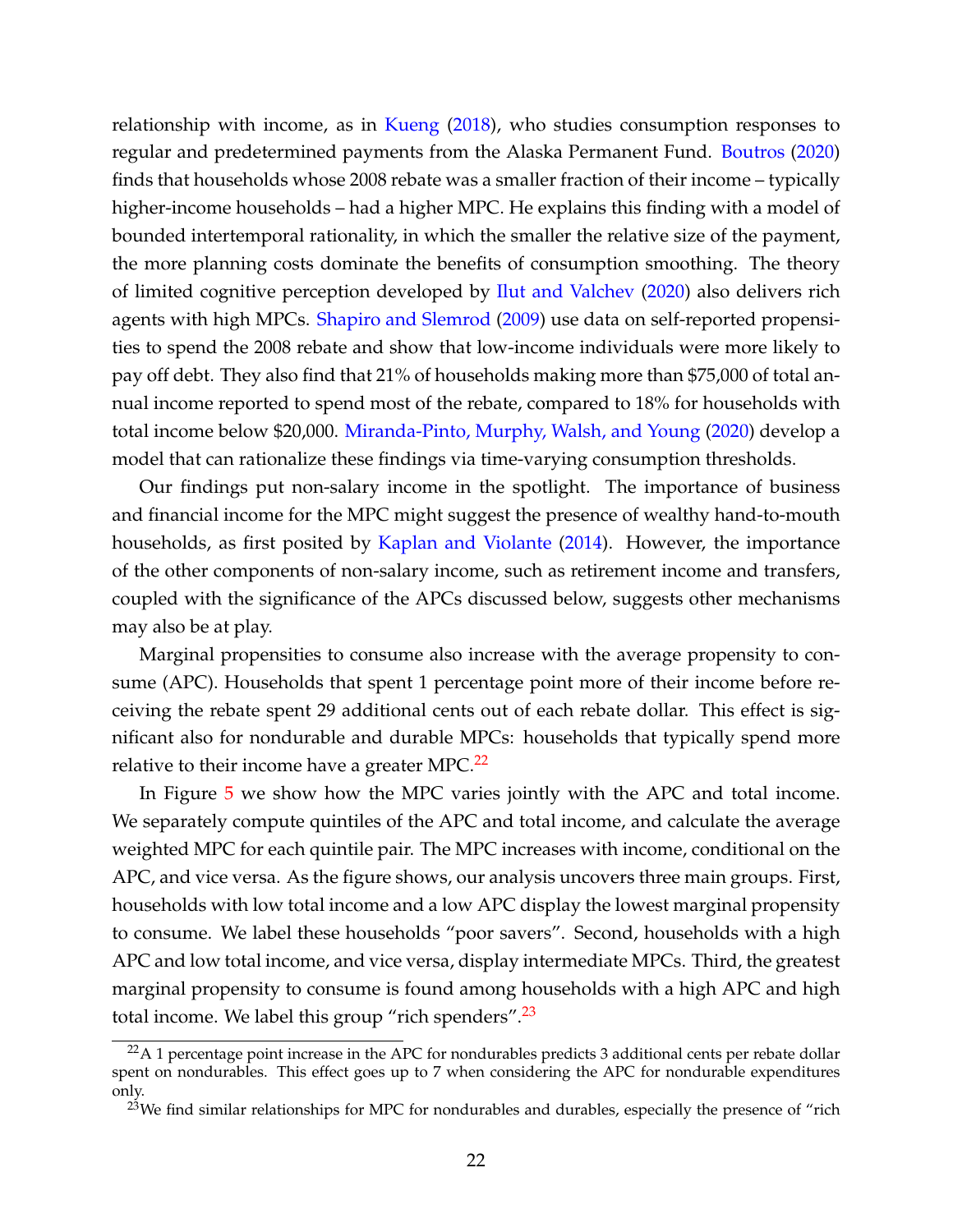relationship with income, as in [Kueng](#page--1-17) [\(2018\)](#page--1-17), who studies consumption responses to regular and predetermined payments from the Alaska Permanent Fund. [Boutros](#page--1-45) [\(2020\)](#page--1-45) finds that households whose 2008 rebate was a smaller fraction of their income – typically higher-income households – had a higher MPC. He explains this finding with a model of bounded intertemporal rationality, in which the smaller the relative size of the payment, the more planning costs dominate the benefits of consumption smoothing. The theory of limited cognitive perception developed by [Ilut and Valchev](#page--1-16) [\(2020\)](#page--1-16) also delivers rich agents with high MPCs. [Shapiro and Slemrod](#page--1-21) [\(2009\)](#page--1-21) use data on self-reported propensities to spend the 2008 rebate and show that low-income individuals were more likely to pay off debt. They also find that 21% of households making more than \$75,000 of total annual income reported to spend most of the rebate, compared to 18% for households with total income below \$20,000. [Miranda-Pinto, Murphy, Walsh, and Young](#page--1-46) [\(2020\)](#page--1-46) develop a model that can rationalize these findings via time-varying consumption thresholds.

Our findings put non-salary income in the spotlight. The importance of business and financial income for the MPC might suggest the presence of wealthy hand-to-mouth households, as first posited by [Kaplan and Violante](#page--1-6) [\(2014\)](#page--1-6). However, the importance of the other components of non-salary income, such as retirement income and transfers, coupled with the significance of the APCs discussed below, suggests other mechanisms may also be at play.

Marginal propensities to consume also increase with the average propensity to consume (APC). Households that spent 1 percentage point more of their income before receiving the rebate spent 29 additional cents out of each rebate dollar. This effect is significant also for nondurable and durable MPCs: households that typically spend more relative to their income have a greater MPC.<sup>[22](#page-22-0)</sup>

In Figure [5](#page-24-0) we show how the MPC varies jointly with the APC and total income. We separately compute quintiles of the APC and total income, and calculate the average weighted MPC for each quintile pair. The MPC increases with income, conditional on the APC, and vice versa. As the figure shows, our analysis uncovers three main groups. First, households with low total income and a low APC display the lowest marginal propensity to consume. We label these households "poor savers". Second, households with a high APC and low total income, and vice versa, display intermediate MPCs. Third, the greatest marginal propensity to consume is found among households with a high APC and high total income. We label this group "rich spenders". $^{23}$  $^{23}$  $^{23}$ 

<span id="page-22-0"></span> $^{22}A$  1 percentage point increase in the APC for nondurables predicts 3 additional cents per rebate dollar spent on nondurables. This effect goes up to 7 when considering the APC for nondurable expenditures only.

<span id="page-22-1"></span> $^{23}$ We find similar relationships for MPC for nondurables and durables, especially the presence of "rich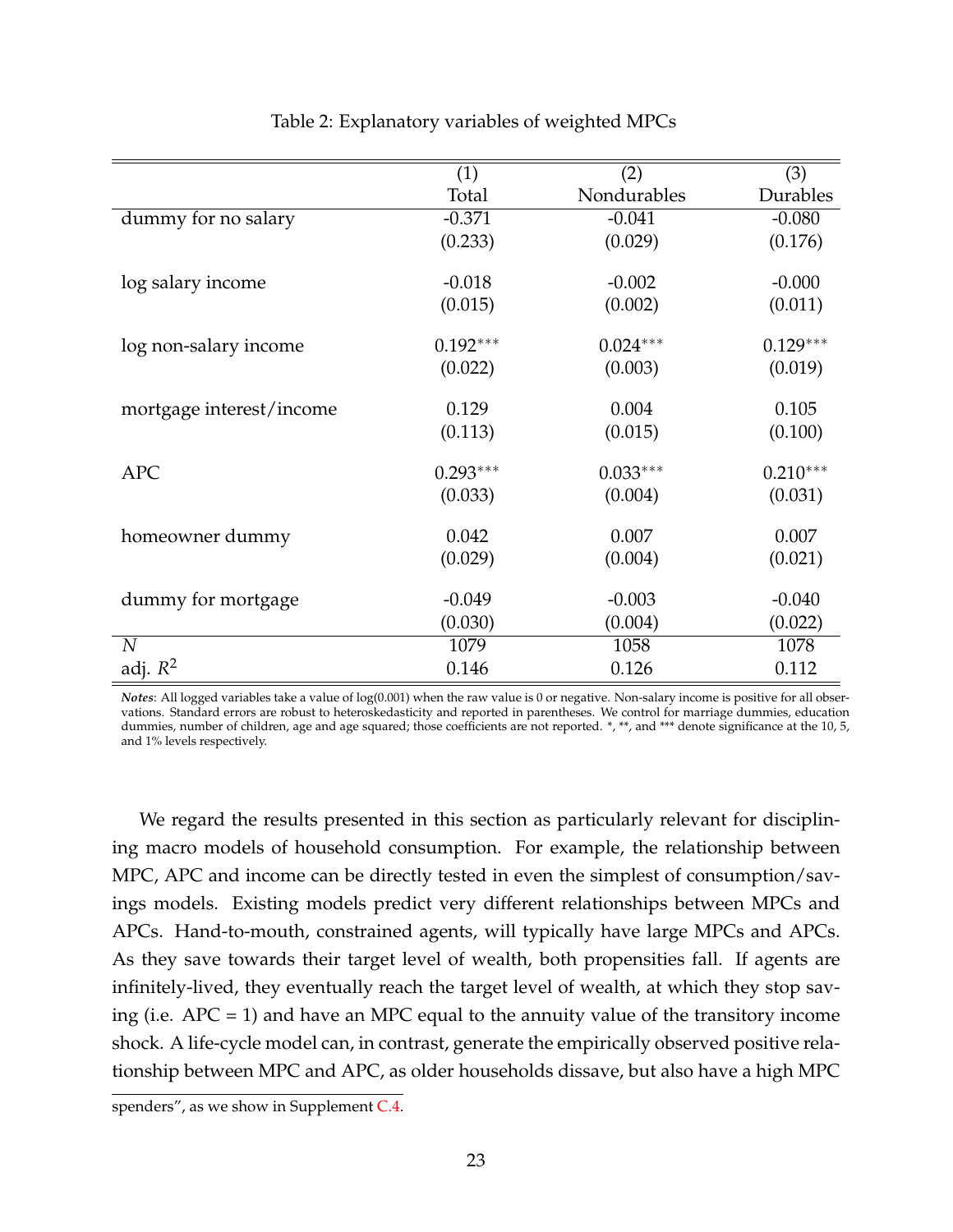<span id="page-23-0"></span>

|                          | (1)        | (2)         | (3)        |
|--------------------------|------------|-------------|------------|
|                          | Total      | Nondurables | Durables   |
| dummy for no salary      | $-0.371$   | $-0.041$    | $-0.080$   |
|                          | (0.233)    | (0.029)     | (0.176)    |
| log salary income        | $-0.018$   | $-0.002$    | $-0.000$   |
|                          | (0.015)    | (0.002)     | (0.011)    |
| log non-salary income    | $0.192***$ | $0.024***$  | $0.129***$ |
|                          | (0.022)    | (0.003)     | (0.019)    |
| mortgage interest/income | 0.129      | 0.004       | 0.105      |
|                          | (0.113)    | (0.015)     | (0.100)    |
| <b>APC</b>               | $0.293***$ | $0.033***$  | $0.210***$ |
|                          | (0.033)    | (0.004)     | (0.031)    |
|                          |            |             |            |
| homeowner dummy          | 0.042      | 0.007       | 0.007      |
|                          | (0.029)    | (0.004)     | (0.021)    |
| dummy for mortgage       | $-0.049$   | $-0.003$    | $-0.040$   |
|                          | (0.030)    | (0.004)     | (0.022)    |
| $\overline{N}$           | 1079       | 1058        | 1078       |
| adj. $R^2$               | 0.146      | 0.126       | 0.112      |

Table 2: Explanatory variables of weighted MPCs

*Notes*: All logged variables take a value of log(0.001) when the raw value is 0 or negative. Non-salary income is positive for all observations. Standard errors are robust to heteroskedasticity and reported in parentheses. We control for marriage dummies, education dummies, number of children, age and age squared; those coefficients are not reported. \*, \*\*, and \*\*\* denote significance at the 10, 5, and 1% levels respectively.

We regard the results presented in this section as particularly relevant for disciplining macro models of household consumption. For example, the relationship between MPC, APC and income can be directly tested in even the simplest of consumption/savings models. Existing models predict very different relationships between MPCs and APCs. Hand-to-mouth, constrained agents, will typically have large MPCs and APCs. As they save towards their target level of wealth, both propensities fall. If agents are infinitely-lived, they eventually reach the target level of wealth, at which they stop saving (i.e.  $APC = 1$ ) and have an MPC equal to the annuity value of the transitory income shock. A life-cycle model can, in contrast, generate the empirically observed positive relationship between MPC and APC, as older households dissave, but also have a high MPC

spenders", as we show in Supplement [C.4.](#page--1-43)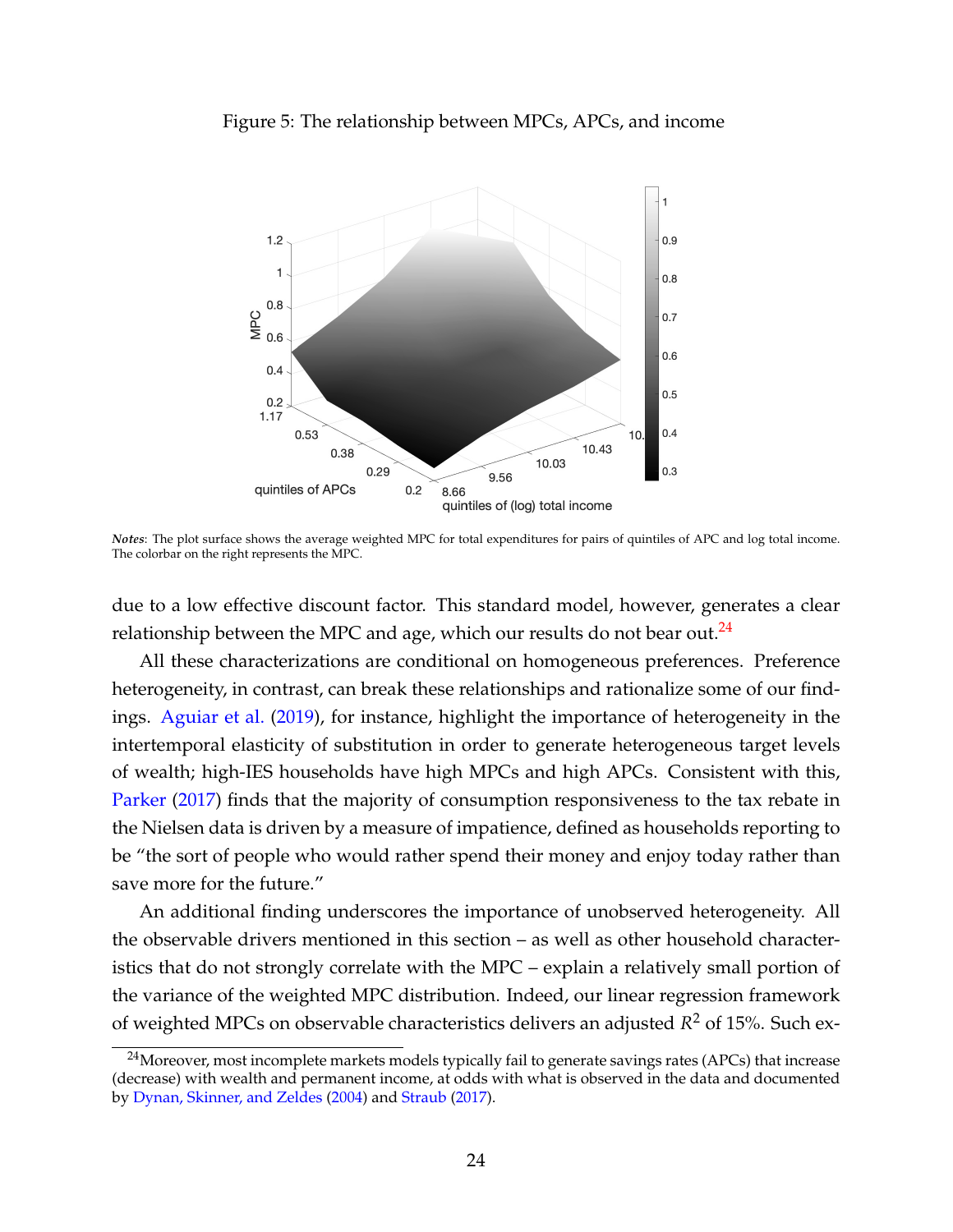<span id="page-24-0"></span>



*Notes*: The plot surface shows the average weighted MPC for total expenditures for pairs of quintiles of APC and log total income. The colorbar on the right represents the MPC.

due to a low effective discount factor. This standard model, however, generates a clear relationship between the MPC and age, which our results do not bear out.<sup>[24](#page-24-1)</sup>

All these characterizations are conditional on homogeneous preferences. Preference heterogeneity, in contrast, can break these relationships and rationalize some of our findings. [Aguiar et al.](#page--1-19) [\(2019\)](#page--1-19), for instance, highlight the importance of heterogeneity in the intertemporal elasticity of substitution in order to generate heterogeneous target levels of wealth; high-IES households have high MPCs and high APCs. Consistent with this, [Parker](#page--1-20) [\(2017\)](#page--1-20) finds that the majority of consumption responsiveness to the tax rebate in the Nielsen data is driven by a measure of impatience, defined as households reporting to be "the sort of people who would rather spend their money and enjoy today rather than save more for the future."

An additional finding underscores the importance of unobserved heterogeneity. All the observable drivers mentioned in this section – as well as other household characteristics that do not strongly correlate with the MPC – explain a relatively small portion of the variance of the weighted MPC distribution. Indeed, our linear regression framework of weighted MPCs on observable characteristics delivers an adjusted *R* <sup>2</sup> of 15%. Such ex-

<span id="page-24-1"></span><sup>&</sup>lt;sup>24</sup>Moreover, most incomplete markets models typically fail to generate savings rates (APCs) that increase (decrease) with wealth and permanent income, at odds with what is observed in the data and documented by [Dynan, Skinner, and Zeldes](#page--1-47) [\(2004\)](#page--1-47) and [Straub](#page--1-48) [\(2017\)](#page--1-48).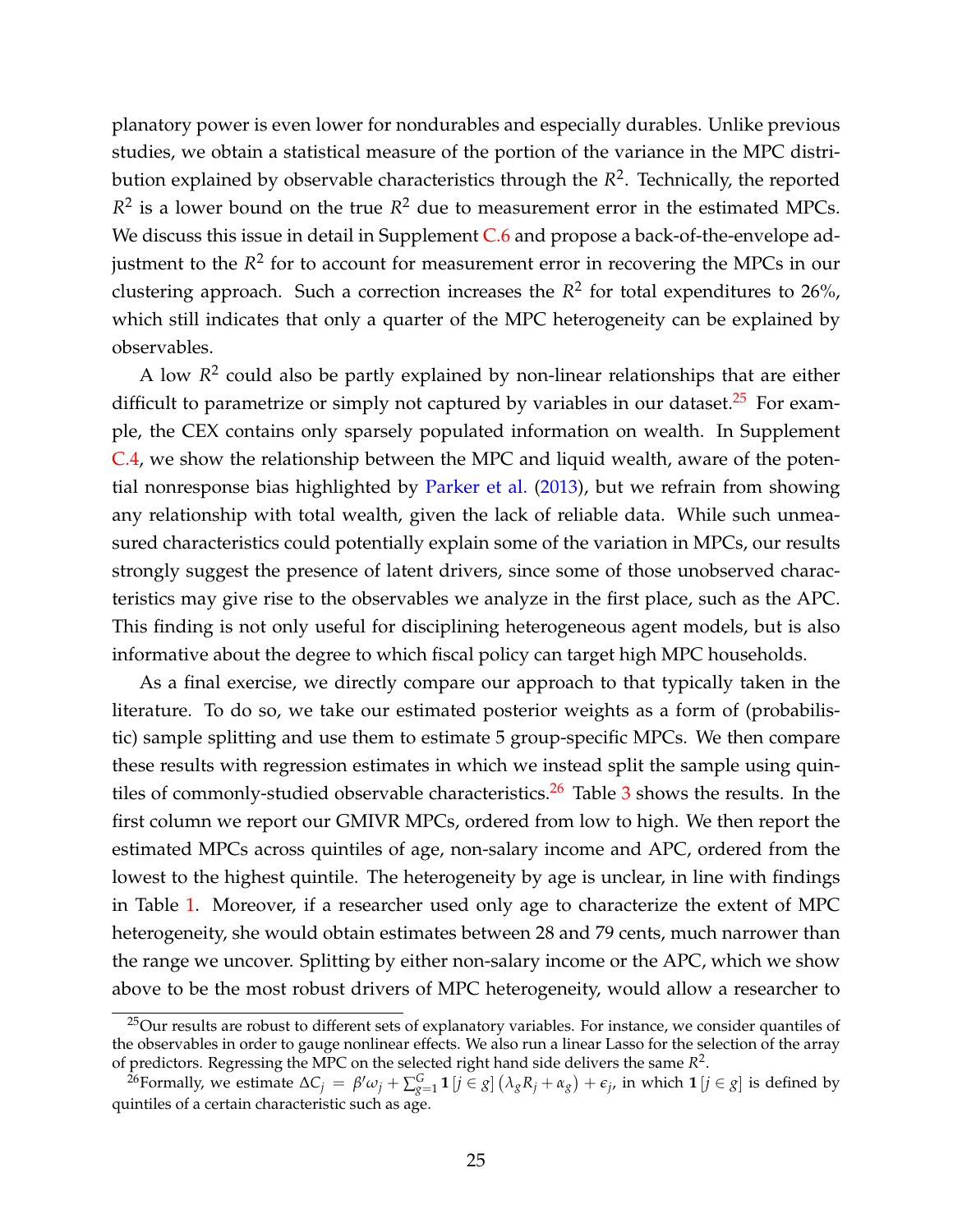planatory power is even lower for nondurables and especially durables. Unlike previous studies, we obtain a statistical measure of the portion of the variance in the MPC distribution explained by observable characteristics through the *R* 2 . Technically, the reported  $R^2$  is a lower bound on the true  $R^2$  due to measurement error in the estimated MPCs. We discuss this issue in detail in Supplement [C.6](#page--1-49) and propose a back-of-the-envelope adjustment to the *R*<sup>2</sup> for to account for measurement error in recovering the MPCs in our clustering approach. Such a correction increases the  $R^2$  for total expenditures to 26%, which still indicates that only a quarter of the MPC heterogeneity can be explained by observables.

A low *R* 2 could also be partly explained by non-linear relationships that are either difficult to parametrize or simply not captured by variables in our dataset.<sup>[25](#page-25-0)</sup> For example, the CEX contains only sparsely populated information on wealth. In Supplement [C.4,](#page--1-43) we show the relationship between the MPC and liquid wealth, aware of the potential nonresponse bias highlighted by [Parker et al.](#page--1-2) [\(2013\)](#page--1-2), but we refrain from showing any relationship with total wealth, given the lack of reliable data. While such unmeasured characteristics could potentially explain some of the variation in MPCs, our results strongly suggest the presence of latent drivers, since some of those unobserved characteristics may give rise to the observables we analyze in the first place, such as the APC. This finding is not only useful for disciplining heterogeneous agent models, but is also informative about the degree to which fiscal policy can target high MPC households.

As a final exercise, we directly compare our approach to that typically taken in the literature. To do so, we take our estimated posterior weights as a form of (probabilistic) sample splitting and use them to estimate 5 group-specific MPCs. We then compare these results with regression estimates in which we instead split the sample using quin-tiles of commonly-studied observable characteristics.<sup>[26](#page-25-1)</sup> Table  $3$  shows the results. In the first column we report our GMIVR MPCs, ordered from low to high. We then report the estimated MPCs across quintiles of age, non-salary income and APC, ordered from the lowest to the highest quintile. The heterogeneity by age is unclear, in line with findings in Table [1.](#page-20-0) Moreover, if a researcher used only age to characterize the extent of MPC heterogeneity, she would obtain estimates between 28 and 79 cents, much narrower than the range we uncover. Splitting by either non-salary income or the APC, which we show above to be the most robust drivers of MPC heterogeneity, would allow a researcher to

<span id="page-25-0"></span><sup>&</sup>lt;sup>25</sup>Our results are robust to different sets of explanatory variables. For instance, we consider quantiles of the observables in order to gauge nonlinear effects. We also run a linear Lasso for the selection of the array of predictors. Regressing the MPC on the selected right hand side delivers the same *R* 2 .

<span id="page-25-1"></span><sup>&</sup>lt;sup>26</sup>Formally, we estimate  $\Delta C_j = \beta' \omega_j + \sum_{g=1}^G \mathbf{1}[j \in g]$   $(\lambda_g R_j + \alpha_g) + \epsilon_j$ , in which  $\mathbf{1}[j \in g]$  is defined by quintiles of a certain characteristic such as age.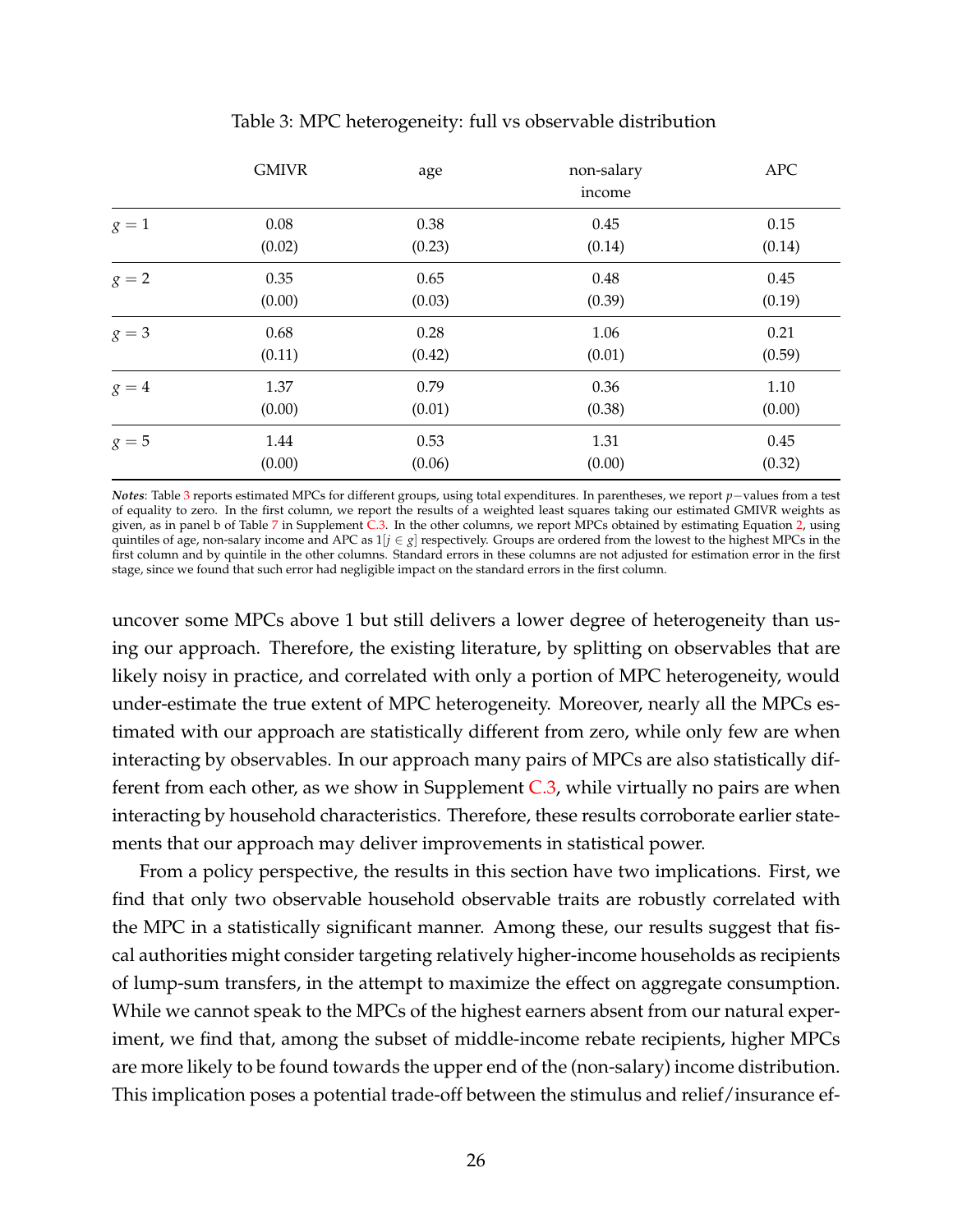<span id="page-26-0"></span>

|         | <b>GMIVR</b> | age    | non-salary | APC      |
|---------|--------------|--------|------------|----------|
|         |              |        | income     |          |
| $g=1$   | $0.08\,$     | 0.38   | 0.45       | 0.15     |
|         | (0.02)       | (0.23) | (0.14)     | (0.14)   |
| $g = 2$ | 0.35         | 0.65   | 0.48       | 0.45     |
|         | (0.00)       | (0.03) | (0.39)     | (0.19)   |
| $g=3$   | 0.68         | 0.28   | 1.06       | 0.21     |
|         | (0.11)       | (0.42) | (0.01)     | (0.59)   |
| $g=4$   | 1.37         | 0.79   | 0.36       | $1.10\,$ |
|         | (0.00)       | (0.01) | (0.38)     | (0.00)   |
| $g=5$   | 1.44         | 0.53   | 1.31       | 0.45     |
|         | (0.00)       | (0.06) | (0.00)     | (0.32)   |

#### Table 3: MPC heterogeneity: full vs observable distribution

*Notes*: Table [3](#page-26-0) reports estimated MPCs for different groups, using total expenditures. In parentheses, we report *p*−values from a test of equality to zero. In the first column, we report the results of a weighted least squares taking our estimated GMIVR weights as given, as in panel b of Table [7](#page--1-50) in Supplement [C.3.](#page--1-40) In the other columns, we report MPCs obtained by estimating Equation [2,](#page-7-1) using quintiles of age, non-salary income and APC as 1[*j* ∈ *g*] respectively. Groups are ordered from the lowest to the highest MPCs in the first column and by quintile in the other columns. Standard errors in these columns are not adjusted for estimation error in the first stage, since we found that such error had negligible impact on the standard errors in the first column.

uncover some MPCs above 1 but still delivers a lower degree of heterogeneity than using our approach. Therefore, the existing literature, by splitting on observables that are likely noisy in practice, and correlated with only a portion of MPC heterogeneity, would under-estimate the true extent of MPC heterogeneity. Moreover, nearly all the MPCs estimated with our approach are statistically different from zero, while only few are when interacting by observables. In our approach many pairs of MPCs are also statistically different from each other, as we show in Supplement  $C_{.3}$ , while virtually no pairs are when interacting by household characteristics. Therefore, these results corroborate earlier statements that our approach may deliver improvements in statistical power.

From a policy perspective, the results in this section have two implications. First, we find that only two observable household observable traits are robustly correlated with the MPC in a statistically significant manner. Among these, our results suggest that fiscal authorities might consider targeting relatively higher-income households as recipients of lump-sum transfers, in the attempt to maximize the effect on aggregate consumption. While we cannot speak to the MPCs of the highest earners absent from our natural experiment, we find that, among the subset of middle-income rebate recipients, higher MPCs are more likely to be found towards the upper end of the (non-salary) income distribution. This implication poses a potential trade-off between the stimulus and relief/insurance ef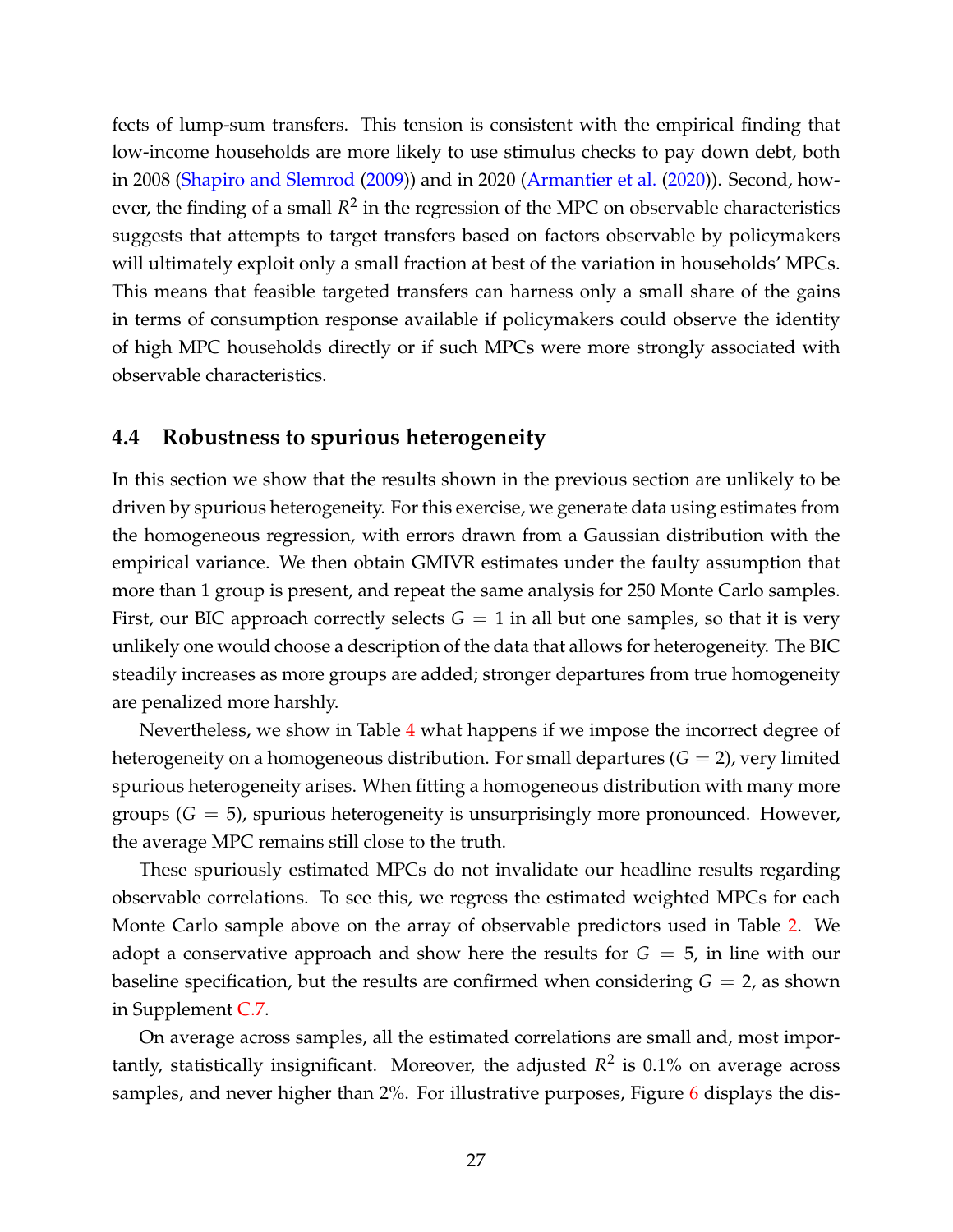fects of lump-sum transfers. This tension is consistent with the empirical finding that low-income households are more likely to use stimulus checks to pay down debt, both in 2008 [\(Shapiro and Slemrod](#page--1-21) [\(2009\)](#page--1-21)) and in 2020 [\(Armantier et al.](#page--1-22) [\(2020\)](#page--1-22)). Second, however, the finding of a small  $R^2$  in the regression of the MPC on observable characteristics suggests that attempts to target transfers based on factors observable by policymakers will ultimately exploit only a small fraction at best of the variation in households' MPCs. This means that feasible targeted transfers can harness only a small share of the gains in terms of consumption response available if policymakers could observe the identity of high MPC households directly or if such MPCs were more strongly associated with observable characteristics.

#### **4.4 Robustness to spurious heterogeneity**

In this section we show that the results shown in the previous section are unlikely to be driven by spurious heterogeneity. For this exercise, we generate data using estimates from the homogeneous regression, with errors drawn from a Gaussian distribution with the empirical variance. We then obtain GMIVR estimates under the faulty assumption that more than 1 group is present, and repeat the same analysis for 250 Monte Carlo samples. First, our BIC approach correctly selects  $G = 1$  in all but one samples, so that it is very unlikely one would choose a description of the data that allows for heterogeneity. The BIC steadily increases as more groups are added; stronger departures from true homogeneity are penalized more harshly.

Nevertheless, we show in Table [4](#page-28-1) what happens if we impose the incorrect degree of heterogeneity on a homogeneous distribution. For small departures  $(G = 2)$ , very limited spurious heterogeneity arises. When fitting a homogeneous distribution with many more groups (*G* = 5), spurious heterogeneity is unsurprisingly more pronounced. However, the average MPC remains still close to the truth.

These spuriously estimated MPCs do not invalidate our headline results regarding observable correlations. To see this, we regress the estimated weighted MPCs for each Monte Carlo sample above on the array of observable predictors used in Table [2.](#page-23-0) We adopt a conservative approach and show here the results for  $G = 5$ , in line with our baseline specification, but the results are confirmed when considering  $G = 2$ , as shown in Supplement [C.7.](#page--1-51)

On average across samples, all the estimated correlations are small and, most importantly, statistically insignificant. Moreover, the adjusted *R* 2 is 0.1% on average across samples, and never higher than 2%. For illustrative purposes, Figure [6](#page-29-0) displays the dis-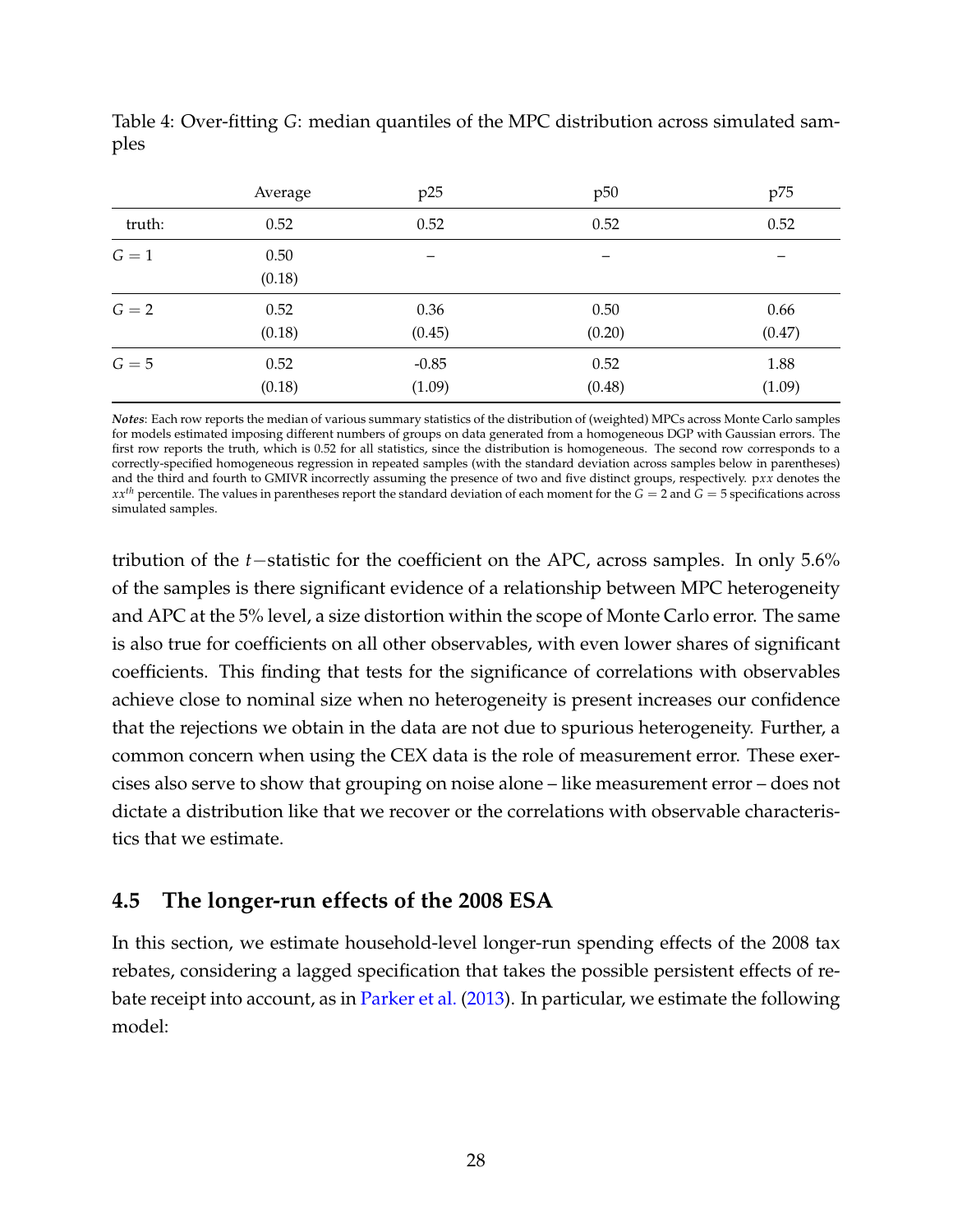|        | Average        | p25               | p50                      | p75            |
|--------|----------------|-------------------|--------------------------|----------------|
| truth: | 0.52           | 0.52              | 0.52                     | 0.52           |
| $G=1$  | 0.50<br>(0.18) |                   | $\overline{\phantom{m}}$ | —              |
| $G=2$  | 0.52<br>(0.18) | 0.36<br>(0.45)    | 0.50<br>(0.20)           | 0.66<br>(0.47) |
| $G=5$  | 0.52<br>(0.18) | $-0.85$<br>(1.09) | 0.52<br>(0.48)           | 1.88<br>(1.09) |

<span id="page-28-1"></span>Table 4: Over-fitting *G*: median quantiles of the MPC distribution across simulated samples

*Notes*: Each row reports the median of various summary statistics of the distribution of (weighted) MPCs across Monte Carlo samples for models estimated imposing different numbers of groups on data generated from a homogeneous DGP with Gaussian errors. The first row reports the truth, which is 0.52 for all statistics, since the distribution is homogeneous. The second row corresponds to a correctly-specified homogeneous regression in repeated samples (with the standard deviation across samples below in parentheses) and the third and fourth to GMIVR incorrectly assuming the presence of two and five distinct groups, respectively. p*xx* denotes the  $xx<sup>th</sup>$  percentile. The values in parentheses report the standard deviation of each moment for the *G* = 2 and *G* = 5 specifications across simulated samples.

tribution of the *t*−statistic for the coefficient on the APC, across samples. In only 5.6% of the samples is there significant evidence of a relationship between MPC heterogeneity and APC at the 5% level, a size distortion within the scope of Monte Carlo error. The same is also true for coefficients on all other observables, with even lower shares of significant coefficients. This finding that tests for the significance of correlations with observables achieve close to nominal size when no heterogeneity is present increases our confidence that the rejections we obtain in the data are not due to spurious heterogeneity. Further, a common concern when using the CEX data is the role of measurement error. These exercises also serve to show that grouping on noise alone – like measurement error – does not dictate a distribution like that we recover or the correlations with observable characteristics that we estimate.

### <span id="page-28-0"></span>**4.5 The longer-run effects of the 2008 ESA**

In this section, we estimate household-level longer-run spending effects of the 2008 tax rebates, considering a lagged specification that takes the possible persistent effects of rebate receipt into account, as in [Parker et al.](#page--1-2) [\(2013\)](#page--1-2). In particular, we estimate the following model: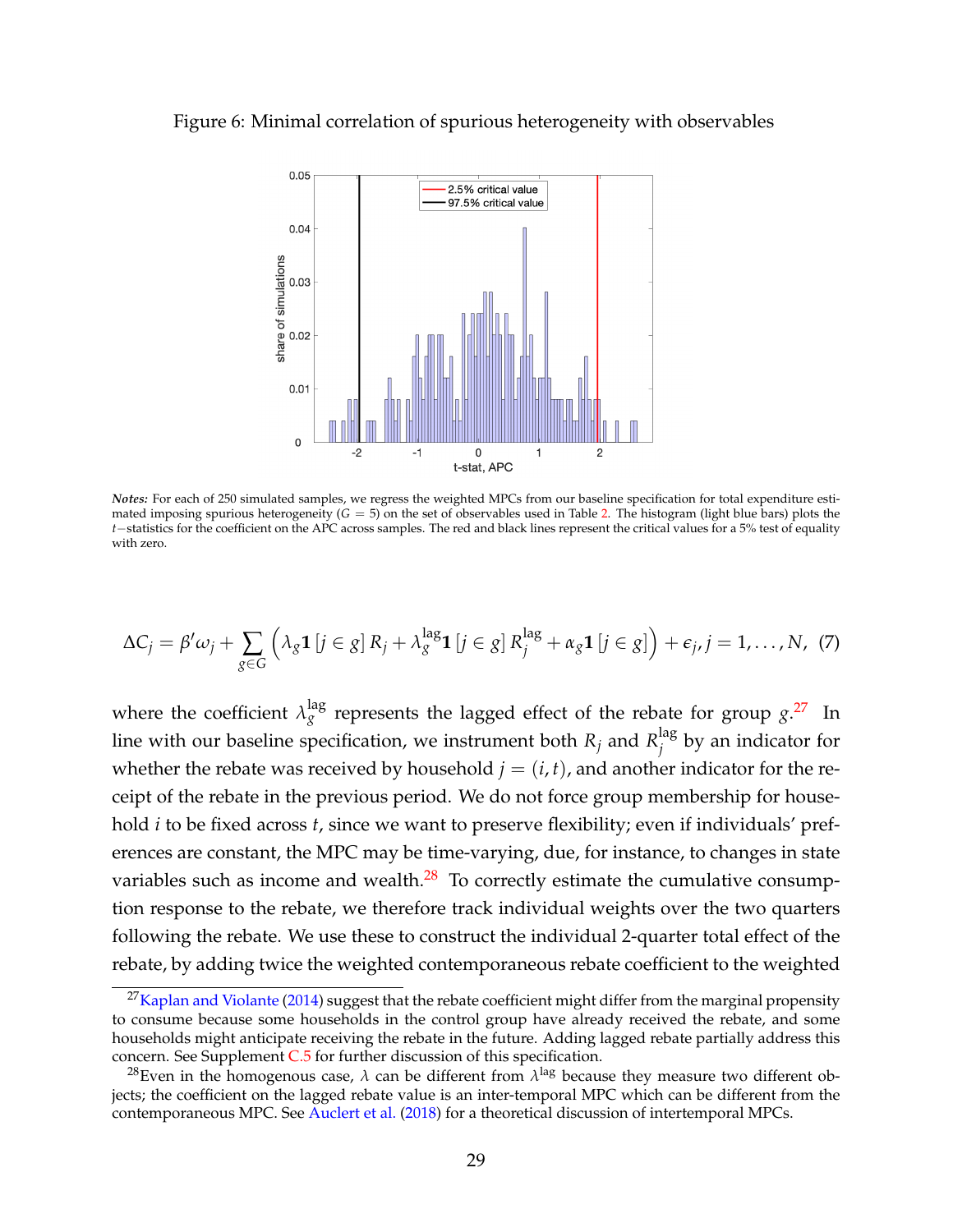#### <span id="page-29-0"></span>Figure 6: Minimal correlation of spurious heterogeneity with observables



*Notes:* For each of 250 simulated samples, we regress the weighted MPCs from our baseline specification for total expenditure estimated imposing spurious heterogeneity (*G* = 5) on the set of observables used in Table [2.](#page-23-0) The histogram (light blue bars) plots the *t*−statistics for the coefficient on the APC across samples. The red and black lines represent the critical values for a 5% test of equality with zero.

<span id="page-29-3"></span>
$$
\Delta C_j = \beta' \omega_j + \sum_{g \in G} \left( \lambda_g \mathbf{1} \left[ j \in g \right] R_j + \lambda_g^{\text{lag}} \mathbf{1} \left[ j \in g \right] R_j^{\text{lag}} + \alpha_g \mathbf{1} \left[ j \in g \right] \right) + \epsilon_j, j = 1, \dots, N, (7)
$$

where the coefficient  $\lambda_g^{\rm lag}$  represents the lagged effect of the rebate for group  $g^{27}$  $g^{27}$  $g^{27}$  In line with our baseline specification, we instrument both  $R_j$  and  $R_j^{\textrm{lag}}$  $j$ <sup>tag</sup> by an indicator for whether the rebate was received by household  $j = (i, t)$ , and another indicator for the receipt of the rebate in the previous period. We do not force group membership for household *i* to be fixed across *t*, since we want to preserve flexibility; even if individuals' preferences are constant, the MPC may be time-varying, due, for instance, to changes in state variables such as income and wealth. $^{28}$  $^{28}$  $^{28}$  To correctly estimate the cumulative consumption response to the rebate, we therefore track individual weights over the two quarters following the rebate. We use these to construct the individual 2-quarter total effect of the rebate, by adding twice the weighted contemporaneous rebate coefficient to the weighted

<span id="page-29-1"></span><sup>&</sup>lt;sup>27</sup>[Kaplan and Violante](#page--1-6) [\(2014\)](#page--1-6) suggest that the rebate coefficient might differ from the marginal propensity to consume because some households in the control group have already received the rebate, and some households might anticipate receiving the rebate in the future. Adding lagged rebate partially address this concern. See Supplement [C.5](#page--1-30) for further discussion of this specification.

<span id="page-29-2"></span> $^{28}$ Even in the homogenous case,  $\lambda$  can be different from  $\lambda^{\rm lag}$  because they measure two different objects; the coefficient on the lagged rebate value is an inter-temporal MPC which can be different from the contemporaneous MPC. See [Auclert et al.](#page--1-52) [\(2018\)](#page--1-52) for a theoretical discussion of intertemporal MPCs.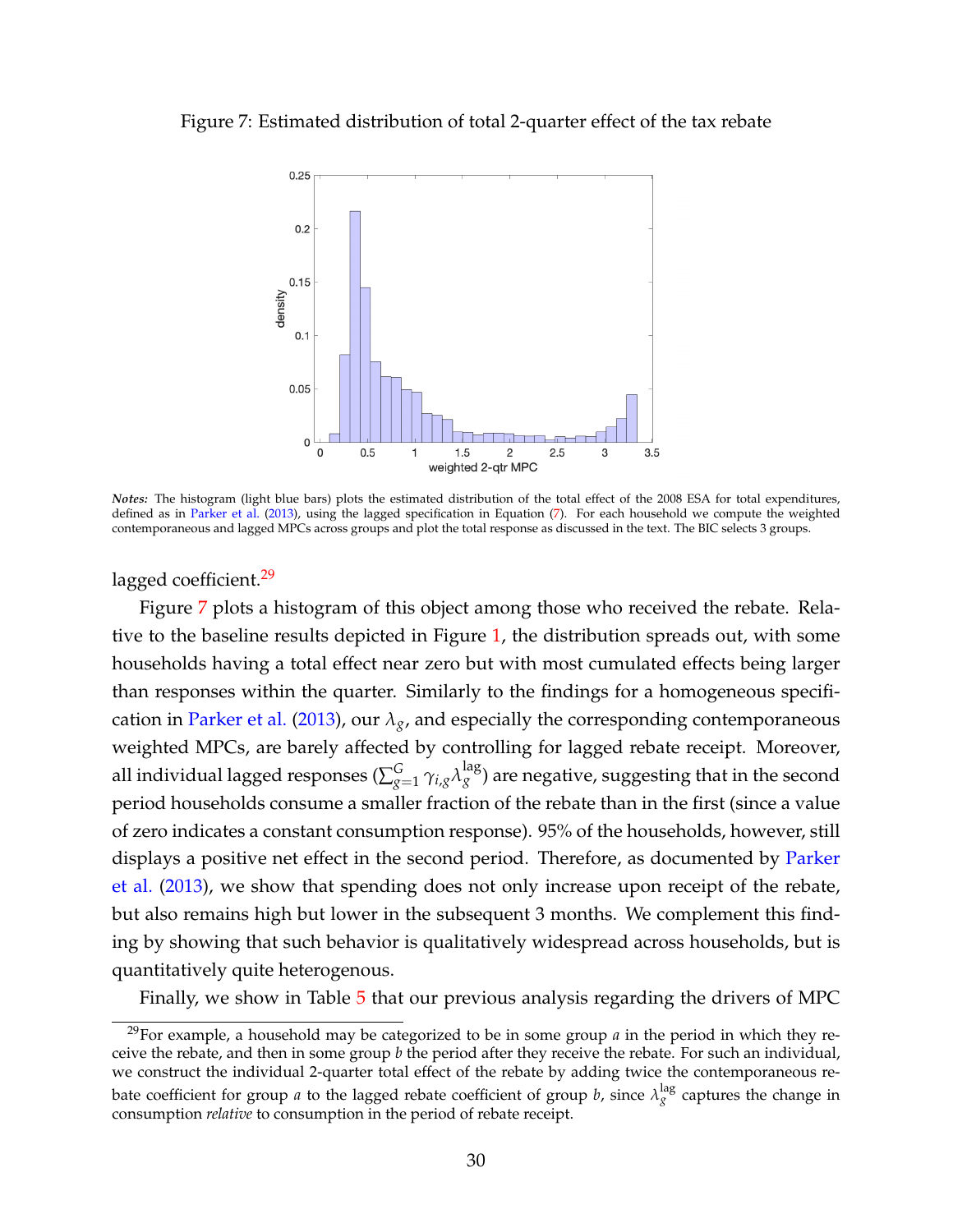<span id="page-30-1"></span>Figure 7: Estimated distribution of total 2-quarter effect of the tax rebate



*Notes:* The histogram (light blue bars) plots the estimated distribution of the total effect of the 2008 ESA for total expenditures, defined as in [Parker et al.](#page--1-2) [\(2013\)](#page--1-2), using the lagged specification in Equation [\(7\)](#page-29-3). For each household we compute the weighted contemporaneous and lagged MPCs across groups and plot the total response as discussed in the text. The BIC selects 3 groups.

lagged coefficient.<sup>[29](#page-30-0)</sup>

Figure [7](#page-30-1) plots a histogram of this object among those who received the rebate. Relative to the baseline results depicted in Figure [1,](#page-15-0) the distribution spreads out, with some households having a total effect near zero but with most cumulated effects being larger than responses within the quarter. Similarly to the findings for a homogeneous specifi-cation in [Parker et al.](#page--1-2) [\(2013\)](#page--1-2), our  $\lambda_g$ , and especially the corresponding contemporaneous weighted MPCs, are barely affected by controlling for lagged rebate receipt. Moreover, all individual lagged responses ( $\sum_{g=1}^G \gamma_{i,g} \lambda_g^{\rm lag}$ ) are negative, suggesting that in the second period households consume a smaller fraction of the rebate than in the first (since a value of zero indicates a constant consumption response). 95% of the households, however, still displays a positive net effect in the second period. Therefore, as documented by [Parker](#page--1-2) [et al.](#page--1-2) [\(2013\)](#page--1-2), we show that spending does not only increase upon receipt of the rebate, but also remains high but lower in the subsequent 3 months. We complement this finding by showing that such behavior is qualitatively widespread across households, but is quantitatively quite heterogenous.

Finally, we show in Table [5](#page-31-1) that our previous analysis regarding the drivers of MPC

<span id="page-30-0"></span><sup>&</sup>lt;sup>29</sup>For example, a household may be categorized to be in some group  $a$  in the period in which they receive the rebate, and then in some group *b* the period after they receive the rebate. For such an individual, we construct the individual 2-quarter total effect of the rebate by adding twice the contemporaneous rebate coefficient for group *a* to the lagged rebate coefficient of group *b*, since  $\lambda_g^{\rm lag}$  captures the change in consumption *relative* to consumption in the period of rebate receipt.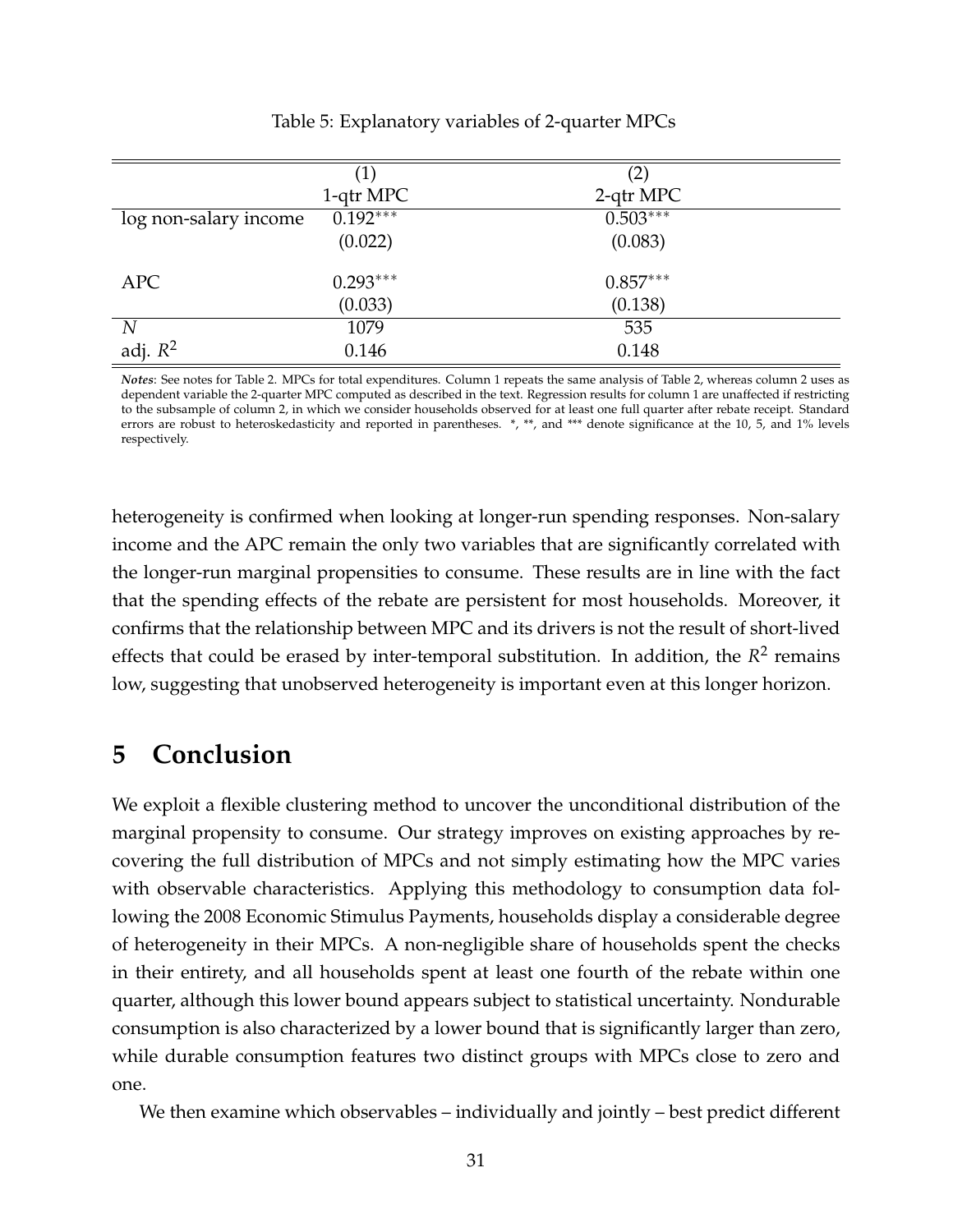<span id="page-31-1"></span>

|                       | $\left(1\right)$ | (2)        |
|-----------------------|------------------|------------|
|                       | 1-qtr MPC        | 2-qtr MPC  |
| log non-salary income | $0.192***$       | $0.503***$ |
|                       | (0.022)          | (0.083)    |
| APC                   | $0.293***$       | $0.857***$ |
|                       | (0.033)          | (0.138)    |
| $\boldsymbol{N}$      | 1079             | 535        |
| adj. $R^2$            | 0.146            | 0.148      |

Table 5: Explanatory variables of 2-quarter MPCs

*Notes*: See notes for Table 2. MPCs for total expenditures. Column 1 repeats the same analysis of Table 2, whereas column 2 uses as dependent variable the 2-quarter MPC computed as described in the text. Regression results for column 1 are unaffected if restricting to the subsample of column 2, in which we consider households observed for at least one full quarter after rebate receipt. Standard errors are robust to heteroskedasticity and reported in parentheses. \*, \*\*, and \*\*\* denote significance at the 10, 5, and 1% levels respectively.

heterogeneity is confirmed when looking at longer-run spending responses. Non-salary income and the APC remain the only two variables that are significantly correlated with the longer-run marginal propensities to consume. These results are in line with the fact that the spending effects of the rebate are persistent for most households. Moreover, it confirms that the relationship between MPC and its drivers is not the result of short-lived effects that could be erased by inter-temporal substitution. In addition, the  $R^2$  remains low, suggesting that unobserved heterogeneity is important even at this longer horizon.

# <span id="page-31-0"></span>**5 Conclusion**

We exploit a flexible clustering method to uncover the unconditional distribution of the marginal propensity to consume. Our strategy improves on existing approaches by recovering the full distribution of MPCs and not simply estimating how the MPC varies with observable characteristics. Applying this methodology to consumption data following the 2008 Economic Stimulus Payments, households display a considerable degree of heterogeneity in their MPCs. A non-negligible share of households spent the checks in their entirety, and all households spent at least one fourth of the rebate within one quarter, although this lower bound appears subject to statistical uncertainty. Nondurable consumption is also characterized by a lower bound that is significantly larger than zero, while durable consumption features two distinct groups with MPCs close to zero and one.

We then examine which observables – individually and jointly – best predict different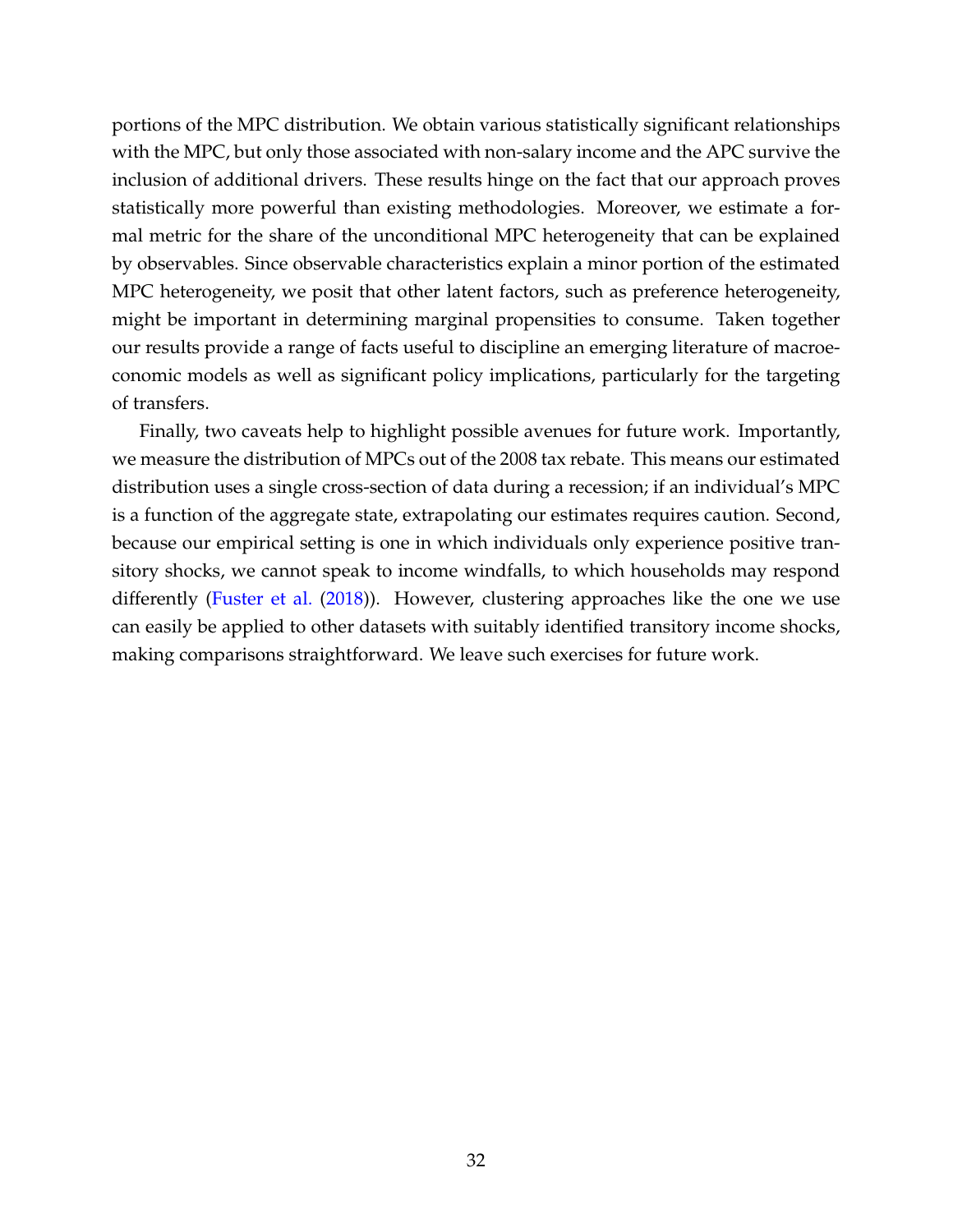portions of the MPC distribution. We obtain various statistically significant relationships with the MPC, but only those associated with non-salary income and the APC survive the inclusion of additional drivers. These results hinge on the fact that our approach proves statistically more powerful than existing methodologies. Moreover, we estimate a formal metric for the share of the unconditional MPC heterogeneity that can be explained by observables. Since observable characteristics explain a minor portion of the estimated MPC heterogeneity, we posit that other latent factors, such as preference heterogeneity, might be important in determining marginal propensities to consume. Taken together our results provide a range of facts useful to discipline an emerging literature of macroeconomic models as well as significant policy implications, particularly for the targeting of transfers.

Finally, two caveats help to highlight possible avenues for future work. Importantly, we measure the distribution of MPCs out of the 2008 tax rebate. This means our estimated distribution uses a single cross-section of data during a recession; if an individual's MPC is a function of the aggregate state, extrapolating our estimates requires caution. Second, because our empirical setting is one in which individuals only experience positive transitory shocks, we cannot speak to income windfalls, to which households may respond differently [\(Fuster et al.](#page--1-29) [\(2018\)](#page--1-29)). However, clustering approaches like the one we use can easily be applied to other datasets with suitably identified transitory income shocks, making comparisons straightforward. We leave such exercises for future work.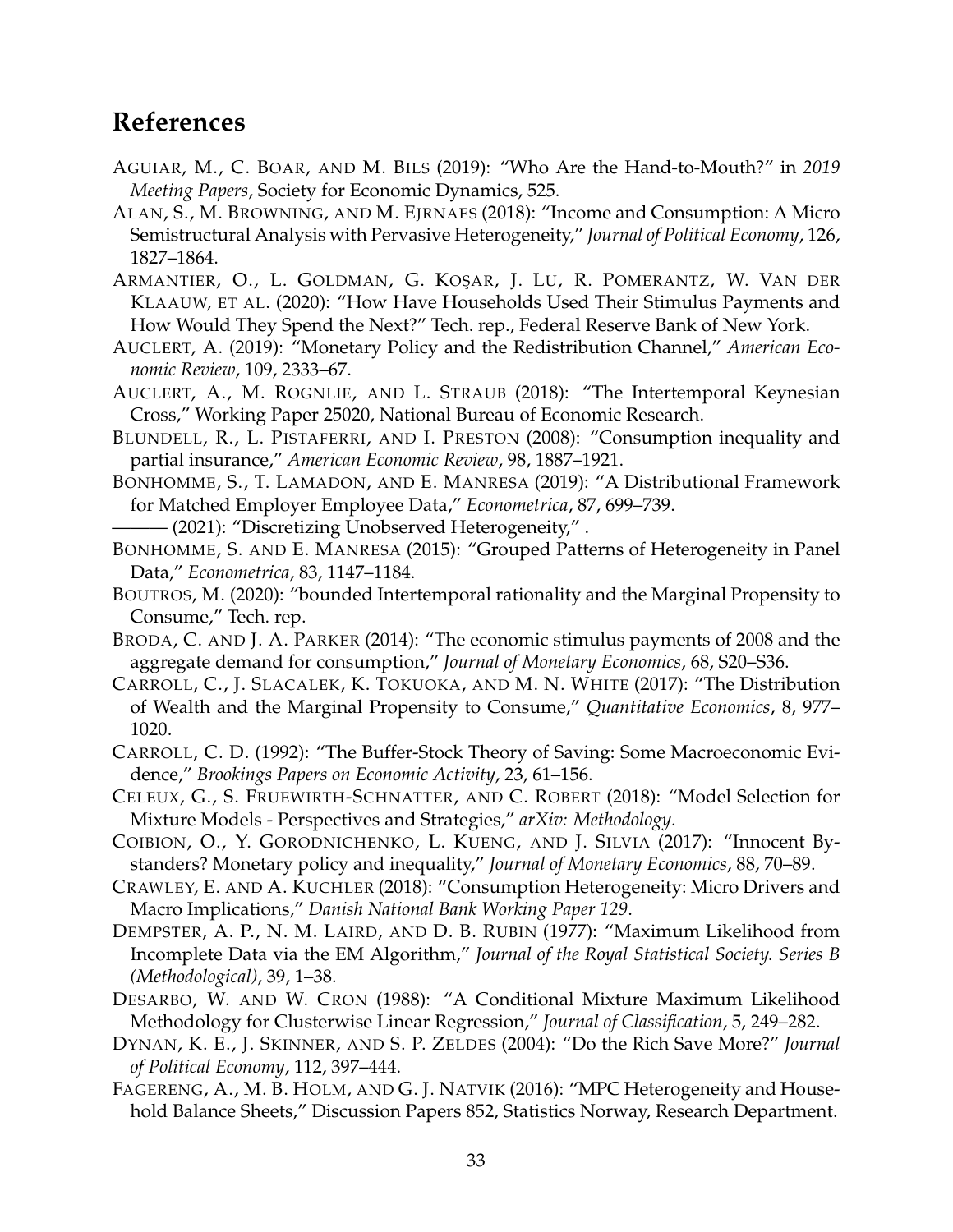# **References**

- AGUIAR, M., C. BOAR, AND M. BILS (2019): "Who Are the Hand-to-Mouth?" in *2019 Meeting Papers*, Society for Economic Dynamics, 525.
- ALAN, S., M. BROWNING, AND M. EJRNAES (2018): "Income and Consumption: A Micro Semistructural Analysis with Pervasive Heterogeneity," *Journal of Political Economy*, 126, 1827–1864.
- ARMANTIER, O., L. GOLDMAN, G. KOŞAR, J. LU, R. POMERANTZ, W. VAN DER KLAAUW, ET AL. (2020): "How Have Households Used Their Stimulus Payments and How Would They Spend the Next?" Tech. rep., Federal Reserve Bank of New York.
- AUCLERT, A. (2019): "Monetary Policy and the Redistribution Channel," *American Economic Review*, 109, 2333–67.
- AUCLERT, A., M. ROGNLIE, AND L. STRAUB (2018): "The Intertemporal Keynesian Cross," Working Paper 25020, National Bureau of Economic Research.
- BLUNDELL, R., L. PISTAFERRI, AND I. PRESTON (2008): "Consumption inequality and partial insurance," *American Economic Review*, 98, 1887–1921.
- BONHOMME, S., T. LAMADON, AND E. MANRESA (2019): "A Distributional Framework for Matched Employer Employee Data," *Econometrica*, 87, 699–739.
- ——— (2021): "Discretizing Unobserved Heterogeneity," .
- BONHOMME, S. AND E. MANRESA (2015): "Grouped Patterns of Heterogeneity in Panel Data," *Econometrica*, 83, 1147–1184.
- BOUTROS, M. (2020): "bounded Intertemporal rationality and the Marginal Propensity to Consume," Tech. rep.
- BRODA, C. AND J. A. PARKER (2014): "The economic stimulus payments of 2008 and the aggregate demand for consumption," *Journal of Monetary Economics*, 68, S20–S36.
- CARROLL, C., J. SLACALEK, K. TOKUOKA, AND M. N. WHITE (2017): "The Distribution of Wealth and the Marginal Propensity to Consume," *Quantitative Economics*, 8, 977– 1020.
- CARROLL, C. D. (1992): "The Buffer-Stock Theory of Saving: Some Macroeconomic Evidence," *Brookings Papers on Economic Activity*, 23, 61–156.
- CELEUX, G., S. FRUEWIRTH-SCHNATTER, AND C. ROBERT (2018): "Model Selection for Mixture Models - Perspectives and Strategies," *arXiv: Methodology*.
- COIBION, O., Y. GORODNICHENKO, L. KUENG, AND J. SILVIA (2017): "Innocent Bystanders? Monetary policy and inequality," *Journal of Monetary Economics*, 88, 70–89.
- CRAWLEY, E. AND A. KUCHLER (2018): "Consumption Heterogeneity: Micro Drivers and Macro Implications," *Danish National Bank Working Paper 129*.
- DEMPSTER, A. P., N. M. LAIRD, AND D. B. RUBIN (1977): "Maximum Likelihood from Incomplete Data via the EM Algorithm," *Journal of the Royal Statistical Society. Series B (Methodological)*, 39, 1–38.
- DESARBO, W. AND W. CRON (1988): "A Conditional Mixture Maximum Likelihood Methodology for Clusterwise Linear Regression," *Journal of Classification*, 5, 249–282.
- DYNAN, K. E., J. SKINNER, AND S. P. ZELDES (2004): "Do the Rich Save More?" *Journal of Political Economy*, 112, 397–444.
- FAGERENG, A., M. B. HOLM, AND G. J. NATVIK (2016): "MPC Heterogeneity and Household Balance Sheets," Discussion Papers 852, Statistics Norway, Research Department.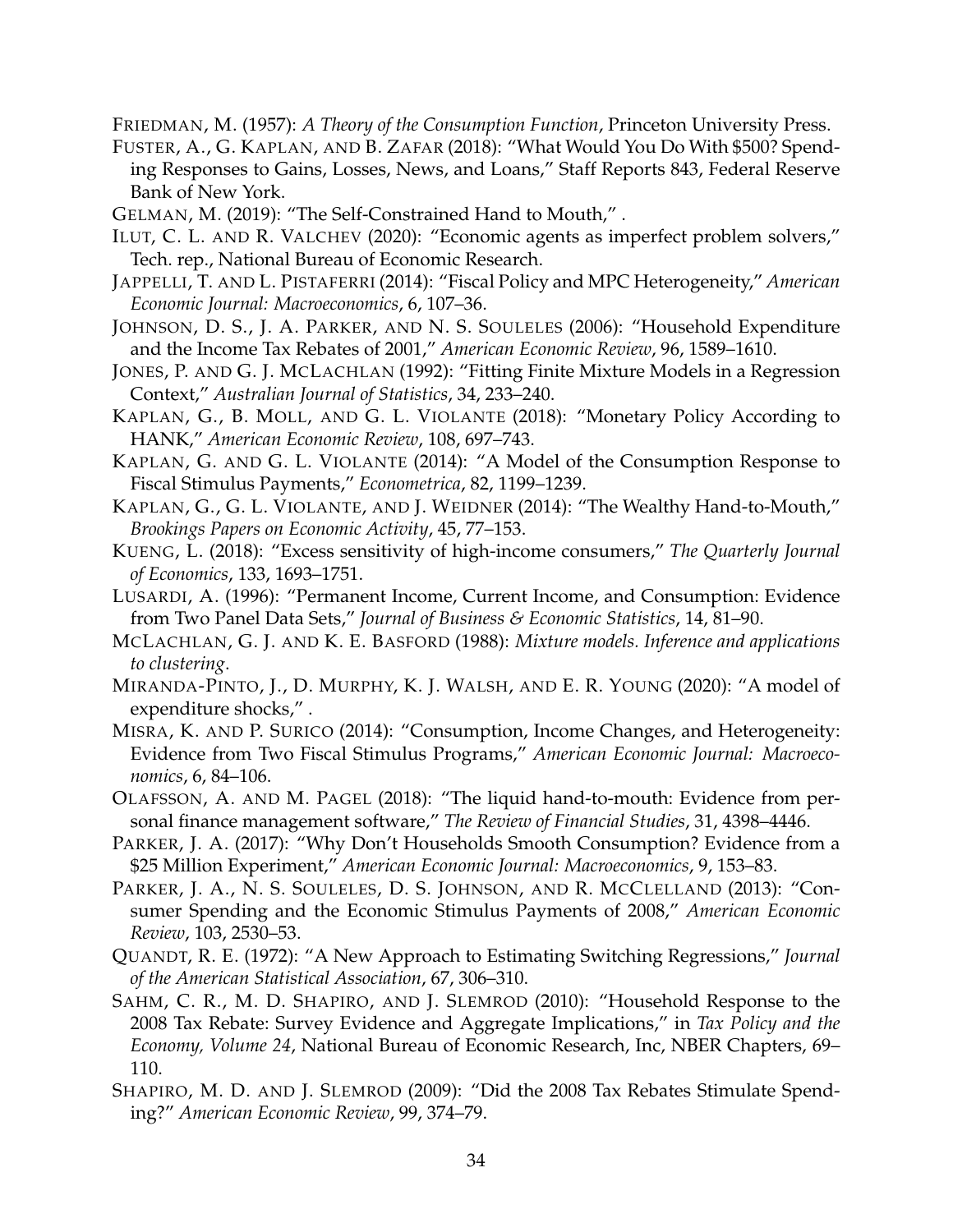FRIEDMAN, M. (1957): *A Theory of the Consumption Function*, Princeton University Press.

- FUSTER, A., G. KAPLAN, AND B. ZAFAR (2018): "What Would You Do With \$500? Spending Responses to Gains, Losses, News, and Loans," Staff Reports 843, Federal Reserve Bank of New York.
- GELMAN, M. (2019): "The Self-Constrained Hand to Mouth," .
- ILUT, C. L. AND R. VALCHEV (2020): "Economic agents as imperfect problem solvers," Tech. rep., National Bureau of Economic Research.
- JAPPELLI, T. AND L. PISTAFERRI (2014): "Fiscal Policy and MPC Heterogeneity," *American Economic Journal: Macroeconomics*, 6, 107–36.
- JOHNSON, D. S., J. A. PARKER, AND N. S. SOULELES (2006): "Household Expenditure and the Income Tax Rebates of 2001," *American Economic Review*, 96, 1589–1610.
- JONES, P. AND G. J. MCLACHLAN (1992): "Fitting Finite Mixture Models in a Regression Context," *Australian Journal of Statistics*, 34, 233–240.
- KAPLAN, G., B. MOLL, AND G. L. VIOLANTE (2018): "Monetary Policy According to HANK," *American Economic Review*, 108, 697–743.
- KAPLAN, G. AND G. L. VIOLANTE (2014): "A Model of the Consumption Response to Fiscal Stimulus Payments," *Econometrica*, 82, 1199–1239.
- KAPLAN, G., G. L. VIOLANTE, AND J. WEIDNER (2014): "The Wealthy Hand-to-Mouth," *Brookings Papers on Economic Activity*, 45, 77–153.
- KUENG, L. (2018): "Excess sensitivity of high-income consumers," *The Quarterly Journal of Economics*, 133, 1693–1751.
- LUSARDI, A. (1996): "Permanent Income, Current Income, and Consumption: Evidence from Two Panel Data Sets," *Journal of Business & Economic Statistics*, 14, 81–90.
- MCLACHLAN, G. J. AND K. E. BASFORD (1988): *Mixture models. Inference and applications to clustering*.
- MIRANDA-PINTO, J., D. MURPHY, K. J. WALSH, AND E. R. YOUNG (2020): "A model of expenditure shocks," .
- MISRA, K. AND P. SURICO (2014): "Consumption, Income Changes, and Heterogeneity: Evidence from Two Fiscal Stimulus Programs," *American Economic Journal: Macroeconomics*, 6, 84–106.
- OLAFSSON, A. AND M. PAGEL (2018): "The liquid hand-to-mouth: Evidence from personal finance management software," *The Review of Financial Studies*, 31, 4398–4446.
- PARKER, J. A. (2017): "Why Don't Households Smooth Consumption? Evidence from a \$25 Million Experiment," *American Economic Journal: Macroeconomics*, 9, 153–83.
- PARKER, J. A., N. S. SOULELES, D. S. JOHNSON, AND R. MCCLELLAND (2013): "Consumer Spending and the Economic Stimulus Payments of 2008," *American Economic Review*, 103, 2530–53.
- QUANDT, R. E. (1972): "A New Approach to Estimating Switching Regressions," *Journal of the American Statistical Association*, 67, 306–310.
- SAHM, C. R., M. D. SHAPIRO, AND J. SLEMROD (2010): "Household Response to the 2008 Tax Rebate: Survey Evidence and Aggregate Implications," in *Tax Policy and the Economy, Volume 24*, National Bureau of Economic Research, Inc, NBER Chapters, 69– 110.
- SHAPIRO, M. D. AND J. SLEMROD (2009): "Did the 2008 Tax Rebates Stimulate Spending?" *American Economic Review*, 99, 374–79.